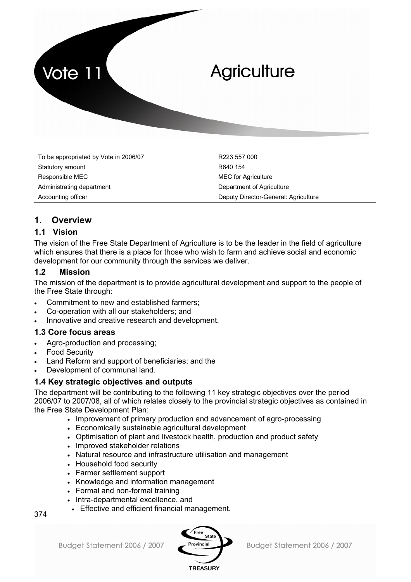

To be appropriated by Vote in 2006/07 R223 557 000 Statutory amount R640 154 Responsible MEC **MEC MEC MEC** for Agriculture Administrating department **Department Communistration** Department of Agriculture Accounting officer The Deputy Director-General: Agriculture

## **1. Overview**

## **1.1 Vision**

The vision of the Free State Department of Agriculture is to be the leader in the field of agriculture which ensures that there is a place for those who wish to farm and achieve social and economic development for our community through the services we deliver.

## **1.2 Mission**

The mission of the department is to provide agricultural development and support to the people of the Free State through:

- Commitment to new and established farmers;
- Co-operation with all our stakeholders; and
- Innovative and creative research and development.

### **1.3 Core focus areas**

- Agro-production and processing;
- **Food Security**
- Land Reform and support of beneficiaries; and the
- Development of communal land.

### **1.4 Key strategic objectives and outputs**

The department will be contributing to the following 11 key strategic objectives over the period 2006/07 to 2007/08, all of which relates closely to the provincial strategic objectives as contained in the Free State Development Plan:

- Improvement of primary production and advancement of agro-processing
- Economically sustainable agricultural development
- Optimisation of plant and livestock health, production and product safety
- Improved stakeholder relations
- Natural resource and infrastructure utilisation and management
- Household food security
- Farmer settlement support
- Knowledge and information management
- Formal and non-formal training
- Intra-departmental excellence, and
- Effective and efficient financial management.



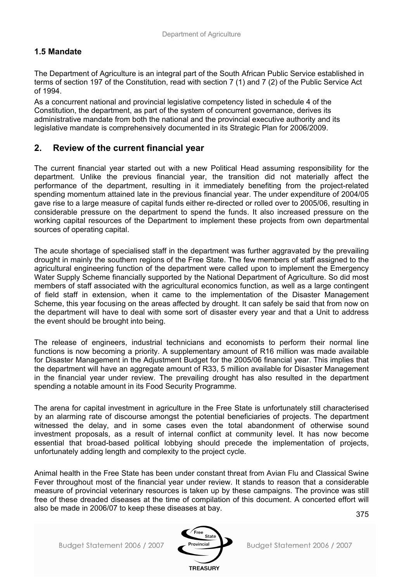## **1.5 Mandate**

The Department of Agriculture is an integral part of the South African Public Service established in terms of section 197 of the Constitution, read with section 7 (1) and 7 (2) of the Public Service Act of 1994.

As a concurrent national and provincial legislative competency listed in schedule 4 of the Constitution, the department, as part of the system of concurrent governance, derives its administrative mandate from both the national and the provincial executive authority and its legislative mandate is comprehensively documented in its Strategic Plan for 2006/2009.

## **2. Review of the current financial year**

The current financial year started out with a new Political Head assuming responsibility for the department. Unlike the previous financial year, the transition did not materially affect the performance of the department, resulting in it immediately benefiting from the project-related spending momentum attained late in the previous financial year. The under expenditure of 2004/05 gave rise to a large measure of capital funds either re-directed or rolled over to 2005/06, resulting in considerable pressure on the department to spend the funds. It also increased pressure on the working capital resources of the Department to implement these projects from own departmental sources of operating capital.

The acute shortage of specialised staff in the department was further aggravated by the prevailing drought in mainly the southern regions of the Free State. The few members of staff assigned to the agricultural engineering function of the department were called upon to implement the Emergency Water Supply Scheme financially supported by the National Department of Agriculture. So did most members of staff associated with the agricultural economics function, as well as a large contingent of field staff in extension, when it came to the implementation of the Disaster Management Scheme, this year focusing on the areas affected by drought. It can safely be said that from now on the department will have to deal with some sort of disaster every year and that a Unit to address the event should be brought into being.

The release of engineers, industrial technicians and economists to perform their normal line functions is now becoming a priority. A supplementary amount of R16 million was made available for Disaster Management in the Adjustment Budget for the 2005/06 financial year. This implies that the department will have an aggregate amount of R33, 5 million available for Disaster Management in the financial year under review. The prevailing drought has also resulted in the department spending a notable amount in its Food Security Programme.

The arena for capital investment in agriculture in the Free State is unfortunately still characterised by an alarming rate of discourse amongst the potential beneficiaries of projects. The department witnessed the delay, and in some cases even the total abandonment of otherwise sound investment proposals, as a result of internal conflict at community level. It has now become essential that broad-based political lobbying should precede the implementation of projects, unfortunately adding length and complexity to the project cycle.

Animal health in the Free State has been under constant threat from Avian Flu and Classical Swine Fever throughout most of the financial year under review. It stands to reason that a considerable measure of provincial veterinary resources is taken up by these campaigns. The province was still free of these dreaded diseases at the time of compilation of this document. A concerted effort will also be made in 2006/07 to keep these diseases at bay.

375

Budget Statement 2006 / 2007

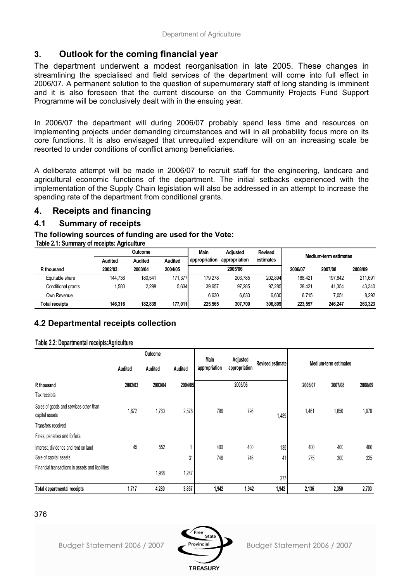## **3. Outlook for the coming financial year**

The department underwent a modest reorganisation in late 2005. These changes in streamlining the specialised and field services of the department will come into full effect in 2006/07. A permanent solution to the question of supernumerary staff of long standing is imminent and it is also foreseen that the current discourse on the Community Projects Fund Support Programme will be conclusively dealt with in the ensuing year.

In 2006/07 the department will during 2006/07 probably spend less time and resources on implementing projects under demanding circumstances and will in all probability focus more on its core functions. It is also envisaged that unrequited expenditure will on an increasing scale be resorted to under conditions of conflict among beneficiaries.

A deliberate attempt will be made in 2006/07 to recruit staff for the engineering, landcare and agricultural economic functions of the department. The initial setbacks experienced with the implementation of the Supply Chain legislation will also be addressed in an attempt to increase the spending rate of the department from conditional grants.

## **4. Receipts and financing**

## **4.1 Summary of receipts**

### **The following sources of funding are used for the Vote:**

**Table 2.1: Summary of receipts: Agriculture**

|                       |                | Outcome        |                | Main          | <b>Adiusted</b> | <b>Revised</b> |         | Medium-term estimates |         |
|-----------------------|----------------|----------------|----------------|---------------|-----------------|----------------|---------|-----------------------|---------|
|                       | <b>Audited</b> | <b>Audited</b> | <b>Audited</b> | appropriation | appropriation   | estimates      |         |                       |         |
| R thousand            | 2002/03        | 2003/04        | 2004/05        |               | 2005/06         |                | 2006/07 | 2007/08               | 2008/09 |
| Equitable share       | 144.736        | 180.541        | 171.377        | 179.278       | 203.785         | 202.894        | 188.421 | 197.842               | 211.691 |
| Conditional grants    | ,580           | 2,298          | 5,634          | 39.657        | 97.285          | 97.285         | 28.421  | 41.354                | 43.340  |
| Own Revenue           |                |                |                | 6.630         | 6,630           | 6.630          | 6.715   | 7.051                 | 8,292   |
| <b>Total receipts</b> | 146.316        | 182.839        | 177.011        | 225.565       | 307.700         | 306.809        | 223.557 | 246.247               | 263,323 |

## **4.2 Departmental receipts collection**

#### **Table 2.2: Departmental receipts:Agriculture**

|                                                          |         | Outcome |         |                       |                           |                  |         |                       |         |
|----------------------------------------------------------|---------|---------|---------|-----------------------|---------------------------|------------------|---------|-----------------------|---------|
|                                                          | Audited | Audited | Audited | Main<br>appropriation | Adjusted<br>appropriation | Revised estimate |         | Medium-term estimates |         |
| R thousand                                               | 2002/03 | 2003/04 | 2004/05 |                       | 2005/06                   |                  | 2006/07 | 2007/08               | 2008/09 |
| Tax receipts                                             |         |         |         |                       |                           |                  |         |                       |         |
| Sales of goods and services other than<br>capital assets | 1,672   | 1,760   | 2,578   | 796                   | 796                       | 1,489            | 1,461   | 1,650                 | 1,978   |
| Transfers received                                       |         |         |         |                       |                           |                  |         |                       |         |
| Fines, penalties and forfeits                            |         |         |         |                       |                           |                  |         |                       |         |
| Interest, dividends and rent on land                     | 45      | 552     |         | 400                   | 400                       | 135              | 400     | 400                   | 400     |
| Sale of capital assets                                   |         |         | 31      | 746                   | 746                       | 41               | 275     | 300                   | 325     |
| Financial transactions in assets and liabilities         |         | 1,968   | 1,247   |                       |                           | 277              |         |                       |         |
| <b>Total departmental receipts</b>                       | 1,717   | 4,280   | 3,857   | 1,942                 | 1,942                     | 1,942            | 2,136   | 2,350                 | 2,703   |

Budget Statement 2006 / 2007

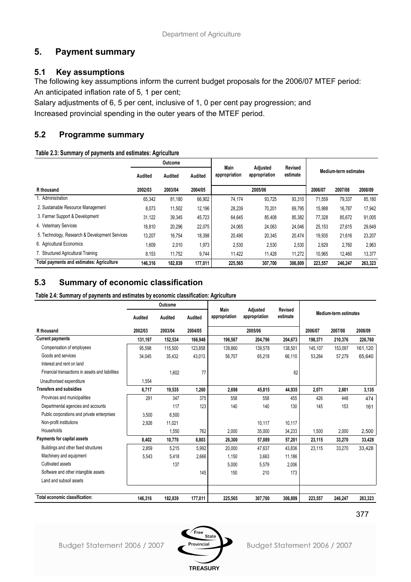## **5. Payment summary**

## **5.1 Key assumptions**

The following key assumptions inform the current budget proposals for the 2006/07 MTEF period: An anticipated inflation rate of 5, 1 per cent;

Salary adjustments of 6, 5 per cent, inclusive of 1, 0 per cent pay progression; and Increased provincial spending in the outer years of the MTEF period.

## **5.2 Programme summary**

#### **Table 2.3: Summary of payments and estimates: Agriculture**

|                                                  |         | Outcome |         |                       | Adjusted      | <b>Revised</b> |         |                       |         |
|--------------------------------------------------|---------|---------|---------|-----------------------|---------------|----------------|---------|-----------------------|---------|
|                                                  | Audited | Audited | Audited | Main<br>appropriation | appropriation | estimate       |         | Medium-term estimates |         |
| R thousand                                       | 2002/03 | 2003/04 | 2004/05 |                       | 2005/06       |                | 2006/07 | 2007/08               | 2008/09 |
| 1. Administration                                | 65,342  | 81,180  | 66,902  | 74.174                | 93,725        | 93,310         | 71.559  | 79,337                | 85,180  |
| 2. Sustainable Resource Management               | 8,073   | 11,502  | 12,196  | 28,239                | 70,201        | 69,795         | 15,988  | 16,787                | 17,942  |
| 3. Farmer Support & Development                  | 31,122  | 39,345  | 45,723  | 64,645                | 85,408        | 85,382         | 77,328  | 85,672                | 91,005  |
| 4. Veterinary Services                           | 18,810  | 20,296  | 22,075  | 24,065                | 24,063        | 24,046         | 25,153  | 27,615                | 29,649  |
| 5. Technology, Research & Development Services   | 13,207  | 16,754  | 18,398  | 20,490                | 20,345        | 20,474         | 19,935  | 21,616                | 23,207  |
| 6. Agricultural Economics                        | 1,609   | 2,010   | 1,973   | 2,530                 | 2,530         | 2,530          | 2.629   | 2.760                 | 2,963   |
| 7. Structured Agricultural Training              | 8,153   | 11,752  | 9,744   | 11,422                | 11,428        | 11,272         | 10,965  | 12,460                | 13,377  |
| <b>Total payments and estimates: Agriculture</b> | 146.316 | 182.839 | 177,011 | 225,565               | 307,700       | 306.809        | 223.557 | 246.247               | 263,323 |

## **5.3 Summary of economic classification**

**Table 2.4: Summary of payments and estimates by economic classification: Agriculture**

|                                                  |         | Outcome |         | Main          | Adjusted      | <b>Revised</b> |         |                       |         |
|--------------------------------------------------|---------|---------|---------|---------------|---------------|----------------|---------|-----------------------|---------|
|                                                  | Audited | Audited | Audited | appropriation | appropriation | estimate       |         | Medium-term estimates |         |
| R thousand                                       | 2002/03 | 2003/04 | 2004/05 |               | 2005/06       |                | 2006/07 | 2007/08               | 2008/09 |
| <b>Current payments</b>                          | 131,197 | 152,534 | 166,948 | 196,567       | 204,796       | 204,673        | 198,371 | 210,376               | 226,760 |
| Compensation of employees                        | 95.598  | 115.500 | 123.858 | 139.860       | 139.578       | 138.501        | 145.107 | 153.097               | 161,120 |
| Goods and services                               | 34,045  | 35,432  | 43,013  | 56,707        | 65,218        | 66,110         | 53,264  | 57,279                | 65,640  |
| Interest and rent on land                        |         |         |         |               |               |                |         |                       |         |
| Financial transactions in assets and liabilities |         | 1.602   | 77      |               |               | 62             |         |                       |         |
| Unauthorised expenditure                         | 1,554   |         |         |               |               |                |         |                       |         |
| <b>Transfers and subsidies</b>                   | 6,717   | 19,535  | 1,260   | 2,698         | 45,815        | 44,935         | 2,071   | 2,601                 | 3,135   |
| Provinces and municipalities                     | 291     | 347     | 375     | 558           | 558           | 455            | 426     | 448                   | 474     |
| Departmental agencies and accounts               |         | 117     | 123     | 140           | 140           | 130            | 145     | 153                   | 161     |
| Public corporations and private enterprises      | 3.500   | 6,500   |         |               |               |                |         |                       |         |
| Non-profit institutions                          | 2,926   | 11.021  |         |               | 10.117        | 10,117         |         |                       |         |
| Households                                       |         | 1,550   | 762     | 2.000         | 35.000        | 34,233         | 1.500   | 2,000                 | 2,500   |
| Payments for capital assets                      | 8,402   | 10,770  | 8,803   | 26,300        | 57,089        | 57,201         | 23,115  | 33,270                | 33,428  |
| Buildings and other fixed structures             | 2,859   | 5,215   | 5,992   | 20,000        | 47.637        | 43.836         | 23.115  | 33,270                | 33,428  |
| Machinery and equipment                          | 5,543   | 5.418   | 2,666   | 1.150         | 3.663         | 11.186         |         |                       |         |
| Cultivated assets                                |         | 137     |         | 5,000         | 5,579         | 2,006          |         |                       |         |
| Software and other intangible assets             |         |         | 145     | 150           | 210           | 173            |         |                       |         |
| Land and subsoil assets                          |         |         |         |               |               |                |         |                       |         |
|                                                  |         |         |         |               |               |                |         |                       |         |
| Total economic classification:                   | 146.316 | 182.839 | 177.011 | 225,565       | 307.700       | 306.809        | 223.557 | 246,247               | 263.323 |

377

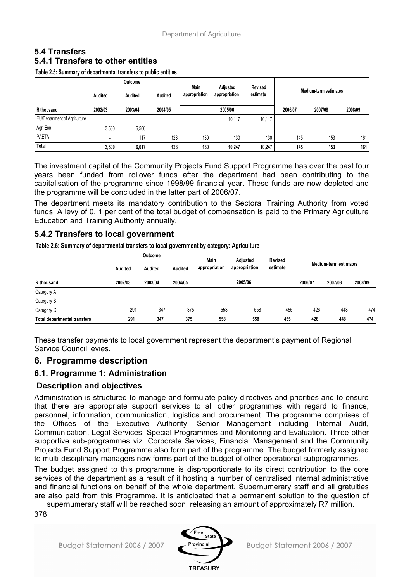## **5.4 Transfers 5.4.1 Transfers to other entities**

**Table 2.5: Summary of departmental transfers to public entities**

|                                     | Outcome                  |         |         |                       |                           |                            |                       |         |         |  |
|-------------------------------------|--------------------------|---------|---------|-----------------------|---------------------------|----------------------------|-----------------------|---------|---------|--|
|                                     | Audited                  | Audited | Audited | Main<br>appropriation | Adjusted<br>appropriation | <b>Revised</b><br>estimate | Medium-term estimates |         |         |  |
| R thousand                          | 2002/03                  | 2003/04 | 2004/05 |                       | 2005/06                   |                            | 2006/07               | 2007/08 | 2008/09 |  |
| <b>EU/Department of Agriculture</b> |                          |         |         |                       | 10.117                    | 10,117                     |                       |         |         |  |
| Agri-Eco                            | 3,500                    | 6,500   |         |                       |                           |                            |                       |         |         |  |
| <b>PAETA</b>                        | $\overline{\phantom{a}}$ | 117     | 123     | 130                   | 130                       | 130                        | 145                   | 153     | 161     |  |
| Total                               | 3,500                    | 6,617   | 123     | 130                   | 10.247                    | 10,247                     | 145                   | 153     | 161     |  |

The investment capital of the Community Projects Fund Support Programme has over the past four years been funded from rollover funds after the department had been contributing to the capitalisation of the programme since 1998/99 financial year. These funds are now depleted and the programme will be concluded in the latter part of 2006/07.

The department meets its mandatory contribution to the Sectoral Training Authority from voted funds. A levy of 0, 1 per cent of the total budget of compensation is paid to the Primary Agriculture Education and Training Authority annually.

### **5.4.2 Transfers to local government**

**Table 2.6: Summary of departmental transfers to local government by category: Agriculture**

|                                     |         | Outcome |         | Main          | Adjusted      | Revised  |         |                       |         |
|-------------------------------------|---------|---------|---------|---------------|---------------|----------|---------|-----------------------|---------|
|                                     | Audited | Audited | Audited | appropriation | appropriation | estimate |         | Medium-term estimates |         |
| R thousand                          | 2002/03 | 2003/04 | 2004/05 |               | 2005/06       |          | 2006/07 | 2007/08               | 2008/09 |
| Category A                          |         |         |         |               |               |          |         |                       |         |
| Category B                          |         |         |         |               |               |          |         |                       |         |
| Category C                          | 291     | 347     | 375     | 558           | 558           | 455      | 426     | 448                   | 474     |
| <b>Total departmental transfers</b> | 291     | 347     | 375     | 558           | 558           | 455      | 426     | 448                   | 474     |

These transfer payments to local government represent the department's payment of Regional Service Council levies.

### **6. Programme description**

### **6.1. Programme 1: Administration**

### **Description and objectives**

Administration is structured to manage and formulate policy directives and priorities and to ensure that there are appropriate support services to all other programmes with regard to finance, personnel, information, communication, logistics and procurement. The programme comprises of the Offices of the Executive Authority, Senior Management including Internal Audit, Communication, Legal Services, Special Programmes and Monitoring and Evaluation. Three other supportive sub-programmes viz. Corporate Services, Financial Management and the Community Projects Fund Support Programme also form part of the programme. The budget formerly assigned to multi-disciplinary managers now forms part of the budget of other operational subprogrammes.

The budget assigned to this programme is disproportionate to its direct contribution to the core services of the department as a result of it hosting a number of centralised internal administrative and financial functions on behalf of the whole department. Supernumerary staff and all gratuities are also paid from this Programme. It is anticipated that a permanent solution to the question of

supernumerary staff will be reached soon, releasing an amount of approximately R7 million.

378



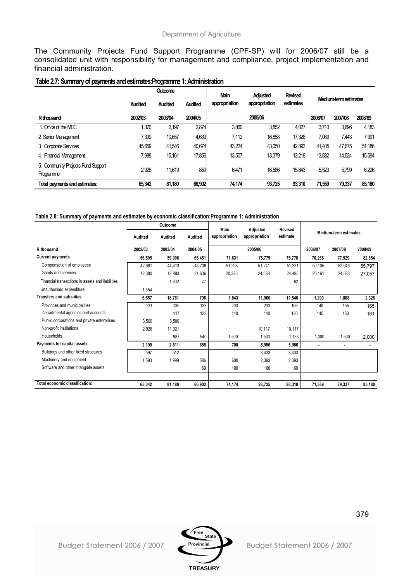The Community Projects Fund Support Programme (CPF-SP) will for 2006/07 still be a consolidated unit with responsibility for management and compliance, project implementation and financial administration.

#### **Table 2.7: Summary of payments and estimates:Programme 1: Administration**

|                                                 |                | <b>Outcome</b> |                | <b>Main</b>   | Adjusted      | <b>Revised</b> |         |                       |         |
|-------------------------------------------------|----------------|----------------|----------------|---------------|---------------|----------------|---------|-----------------------|---------|
|                                                 | <b>Audited</b> | Audited        | <b>Audited</b> | appropriation | appropriation | estimates      |         | Medium-term estimates |         |
| R <sub>thousand</sub>                           | 2002/03        | 2003/04        | 2004/05        |               | 2005/06       |                | 2006/07 | 2007/08               | 2008/09 |
| 1. Office of the MEC                            | 1,370          | 2,197          | 2,874          | 3,860         | 3,852         | 4,027          | 3.710   | 3,896                 | 4,183   |
| 2. Senior Management                            | 7,399          | 10,657         | 4,639          | 7.112         | 16,858        | 17,328         | 7,089   | 7,443                 | 7,991   |
| 3. Corporate Services                           | 45,659         | 41.546         | 40.674         | 43.224        | 43,050        | 42,893         | 41.405  | 47,675                | 51,186  |
| 4. Financial Management                         | 7.988          | 15.161         | 17,856         | 13.507        | 13.379        | 13.219         | 13,832  | 14.524                | 15,594  |
| 5. Community Projects Fund Support<br>Programme | 2,926          | 11.619         | 859            | 6.471         | 16,586        | 15.843         | 5,523   | 5,799                 | 6,226   |
| Total payments and estimates:                   | 65.342         | 81.180         | 66,902         | 74,174        | 93.725        | 93.310         | 71,559  | 79,337                | 85,180  |

#### **Table 2.8: Summary of payments and estimates by economic classification:Programme 1: Administration**

|                                                  |         | Outcome |         |                       |                           |                     |         |                              |         |
|--------------------------------------------------|---------|---------|---------|-----------------------|---------------------------|---------------------|---------|------------------------------|---------|
|                                                  | Audited | Audited | Audited | Main<br>appropriation | Adjusted<br>appropriation | Revised<br>estimate |         | <b>Medium-term estimates</b> |         |
| R thousand                                       | 2002/03 | 2003/04 | 2004/05 |                       | 2005/06                   |                     | 2006/07 | 2007/08                      | 2008/09 |
| <b>Current payments</b>                          | 56,595  | 59,908  | 65,451  | 71,631                | 75,779                    | 75,778              | 70,266  | 77,529                       | 82,854  |
| Compensation of employees                        | 42,661  | 44,413  | 43,738  | 51,298                | 51,241                    | 51,231              | 50,105  | 52,946                       | 55,797  |
| Goods and services                               | 12,380  | 13,893  | 21,636  | 20,333                | 24,538                    | 24,485              | 20,161  | 24,583                       | 27,057  |
| Financial transactions in assets and liabilities |         | 1,602   | 77      |                       |                           | 62                  |         |                              |         |
| Unauthorised expenditure                         | 1,554   |         |         |                       |                           |                     |         |                              |         |
| <b>Transfers and subsidies</b>                   | 6,557   | 18,761  | 796     | 1,843                 | 11,960                    | 11,546              | 1,293   | 1,808                        | 2,326   |
| Provinces and municipalities                     | 131     | 136     | 133     | 203                   | 203                       | 166                 | 148     | 155                          | 165     |
| Departmental agencies and accounts               |         | 117     | 123     | 140                   | 140                       | 130                 | 145     | 153                          | 161     |
| Public corporations and private enterprises      | 3,500   | 6,500   |         |                       |                           |                     |         |                              |         |
| Non-profit institutions                          | 2,926   | 11,021  |         |                       | 10,117                    | 10,117              |         |                              |         |
| Households                                       |         | 987     | 540     | 1,500                 | 1,500                     | 1,133               | 1,000   | 1,500                        | 2,000   |
| Payments for capital assets                      | 2,190   | 2,511   | 655     | 700                   | 5,986                     | 5,986               |         | $\blacksquare$               |         |
| Buildings and other fixed structures             | 597     | 512     |         |                       | 3,433                     | 3,433               |         |                              |         |
| Machinery and equipment                          | 1,593   | 1,999   | 586     | 600                   | 2,393                     | 2,393               |         |                              |         |
| Software and other intangible assets             |         |         | 69      | 100                   | 160                       | 160                 |         |                              |         |
|                                                  |         |         |         |                       |                           |                     |         |                              |         |
| Total economic classification:                   | 65,342  | 81,180  | 66,902  | 74,174                | 93,725                    | 93,310              | 71,559  | 79,337                       | 85,180  |

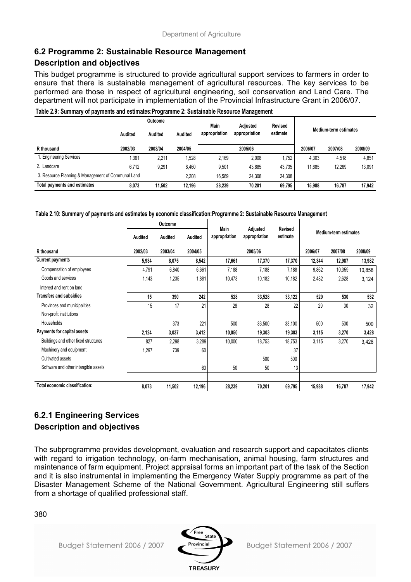## **6.2 Programme 2: Sustainable Resource Management**

## **Description and objectives**

This budget programme is structured to provide agricultural support services to farmers in order to ensure that there is sustainable management of agricultural resources. The key services to be performed are those in respect of agricultural engineering, soil conservation and Land Care. The department will not participate in implementation of the Provincial Infrastructure Grant in 2006/07.

|                                                    | <b>Outcome</b> |         |         | Main          | Adjusted      | <b>Revised</b> |                       |         |         |
|----------------------------------------------------|----------------|---------|---------|---------------|---------------|----------------|-----------------------|---------|---------|
|                                                    | Audited        | Audited | Audited | appropriation | appropriation | estimate       | Medium-term estimates |         |         |
| R thousand                                         | 2002/03        | 2003/04 | 2004/05 |               | 2005/06       |                | 2006/07               | 2007/08 | 2008/09 |
| 1. Engineering Services                            | 1.361          | 2.211   | .528    | 2.169         | 2.008         | .752           | 4.303                 | 4.518   | 4.851   |
| 2. Landcare                                        | 6.712          | 9.291   | 8.460   | 9,501         | 43.885        | 43.735         | 11.685                | 12.269  | 13,091  |
| 3. Resource Planning & Management of Communal Land |                |         | 2.208   | 16.569        | 24.308        | 24.308         |                       |         |         |
| Total payments and estimates                       | 8.073          | 11.502  | 12.196  | 28,239        | 70.201        | 69.795         | 15.988                | 16.787  | 17.942  |

#### **Table 2.9: Summary of payments and estimates:Programme 2: Sustainable Resource Management**

#### **Table 2.10: Summary of payments and estimates by economic classification:Programme 2: Sustainable Resource Management**

|                                      |         | Outcome |         |                       |                           |                            |         |                       |         |  |
|--------------------------------------|---------|---------|---------|-----------------------|---------------------------|----------------------------|---------|-----------------------|---------|--|
|                                      | Audited | Audited | Audited | Main<br>appropriation | Adjusted<br>appropriation | <b>Revised</b><br>estimate |         | Medium-term estimates |         |  |
| R thousand                           | 2002/03 | 2003/04 | 2004/05 |                       | 2005/06                   |                            | 2006/07 | 2007/08               | 2008/09 |  |
| <b>Current payments</b>              | 5,934   | 8,075   | 8,542   | 17,661                | 17,370                    | 17,370                     | 12,344  | 12,987                | 13,982  |  |
| Compensation of employees            | 4,791   | 6,840   | 6,661   | 7,188                 | 7,188                     | 7,188                      | 9,862   | 10,359                | 10,858  |  |
| Goods and services                   | 1,143   | 1,235   | 1,881   | 10,473                | 10,182                    | 10,182                     | 2,482   | 2,628                 | 3,124   |  |
| Interest and rent on land            |         |         |         |                       |                           |                            |         |                       |         |  |
| <b>Transfers and subsidies</b>       | 15      | 390     | 242     | 528                   | 33,528                    | 33,122                     | 529     | 530                   | 532     |  |
| Provinces and municipalities         | 15      | 17      | 21      | 28                    | 28                        | 22                         | 29      | 30                    | 32      |  |
| Non-profit institutions              |         |         |         |                       |                           |                            |         |                       |         |  |
| Households                           |         | 373     | 221     | 500                   | 33,500                    | 33,100                     | 500     | 500                   | 500     |  |
| Payments for capital assets          | 2,124   | 3,037   | 3,412   | 10,050                | 19,303                    | 19,303                     | 3,115   | 3,270                 | 3,428   |  |
| Buildings and other fixed structures | 827     | 2,298   | 3,289   | 10,000                | 18,753                    | 18,753                     | 3,115   | 3,270                 | 3,428   |  |
| Machinery and equipment              | 1,297   | 739     | 60      |                       |                           | 37                         |         |                       |         |  |
| Cultivated assets                    |         |         |         |                       | 500                       | 500                        |         |                       |         |  |
| Software and other intangible assets |         |         | 63      | 50                    | 50                        | 13                         |         |                       |         |  |
| Total economic classification:       | 8,073   | 11,502  | 12,196  | 28,239                | 70,201                    | 69,795                     | 15,988  | 16,787                | 17,942  |  |

## **6.2.1 Engineering Services Description and objectives**

The subprogramme provides development, evaluation and research support and capacitates clients with regard to irrigation technology, on-farm mechanisation, animal housing, farm structures and maintenance of farm equipment. Project appraisal forms an important part of the task of the Section and it is also instrumental in implementing the Emergency Water Supply programme as part of the Disaster Management Scheme of the National Government. Agricultural Engineering still suffers from a shortage of qualified professional staff.

380

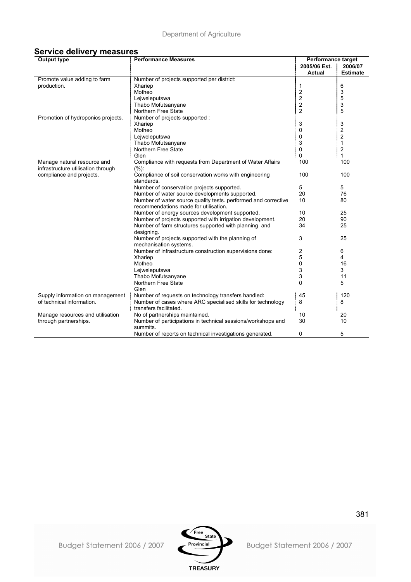| <b>Service delivery measures</b> |
|----------------------------------|
|----------------------------------|

| <b>Output type</b>                 | <b>Performance Measures</b>                                    | Performance target |                         |
|------------------------------------|----------------------------------------------------------------|--------------------|-------------------------|
|                                    |                                                                | 2005/06 Est.       | 2006/07                 |
|                                    |                                                                | Actual             | <b>Estimate</b>         |
| Promote value adding to farm       | Number of projects supported per district:                     |                    |                         |
| production.                        | Xhariep                                                        | 1                  | 6                       |
|                                    | Motheo                                                         | 2                  | 3                       |
|                                    | Lejweleputswa                                                  | 2                  | 5                       |
|                                    | Thabo Mofutsanyane                                             | 2                  | 3                       |
|                                    | Northern Free State                                            | $\overline{c}$     | 5                       |
| Promotion of hydroponics projects. | Number of projects supported :                                 |                    |                         |
|                                    | Xhariep                                                        | 3                  | 3                       |
|                                    | Motheo                                                         | 0                  | $\overline{\mathbf{c}}$ |
|                                    | Lejweleputswa                                                  | 0                  | 2                       |
|                                    | Thabo Mofutsanyane                                             | 3                  | $\mathbf{1}$            |
|                                    | Northern Free State                                            | 0                  | 2                       |
|                                    | Glen                                                           | 0                  | 1                       |
| Manage natural resource and        | Compliance with requests from Department of Water Affairs      | 100                | 100                     |
| infrastructure utilisation through | (%):                                                           |                    |                         |
| compliance and projects.           | Compliance of soil conservation works with engineering         | 100                | 100                     |
|                                    | standards.                                                     |                    |                         |
|                                    | Number of conservation projects supported.                     | 5                  | 5                       |
|                                    | Number of water source developments supported.                 | 20                 | 76                      |
|                                    | Number of water source quality tests. performed and corrective | 10                 | 80                      |
|                                    | recommendations made for utilisation.                          |                    |                         |
|                                    | Number of energy sources development supported.                | 10                 | 25                      |
|                                    | Number of projects supported with irrigation development.      | 20                 | 90                      |
|                                    | Number of farm structures supported with planning and          | 34                 | 25                      |
|                                    | designing.                                                     |                    |                         |
|                                    | Number of projects supported with the planning of              | 3                  | 25                      |
|                                    | mechanisation systems.                                         |                    |                         |
|                                    | Number of infrastructure construction supervisions done:       | 2                  | 6                       |
|                                    | Xhariep                                                        | 5                  | 4                       |
|                                    | Motheo                                                         | 0                  | 16                      |
|                                    | Lejweleputswa                                                  | 3                  | 3                       |
|                                    | Thabo Mofutsanyane                                             | 3                  | 11                      |
|                                    | Northern Free State                                            | 0                  | 5                       |
|                                    | Glen                                                           |                    |                         |
| Supply information on management   | Number of requests on technology transfers handled:            | 45                 | 120                     |
| of technical information.          | Number of cases where ARC specialised skills for technology    | 8                  | 8                       |
|                                    | transfers facilitated.                                         |                    |                         |
| Manage resources and utilisation   | No of partnerships maintained.                                 | 10                 | 20                      |
| through partnerships.              | Number of participations in technical sessions/workshops and   | 30                 | 10                      |
|                                    | summits.                                                       |                    |                         |
|                                    | Number of reports on technical investigations generated.       | 0                  | 5                       |

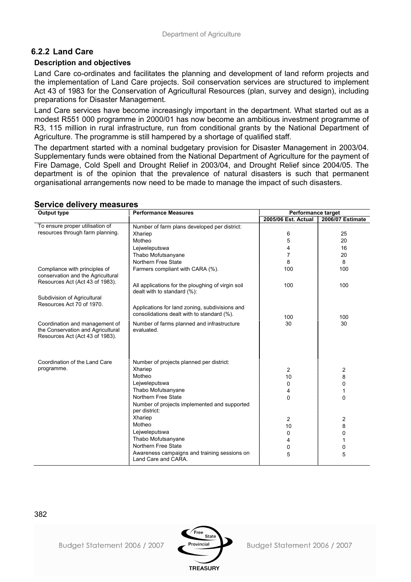## **6.2.2 Land Care**

### **Description and objectives**

Land Care co-ordinates and facilitates the planning and development of land reform projects and the implementation of Land Care projects. Soil conservation services are structured to implement Act 43 of 1983 for the Conservation of Agricultural Resources (plan, survey and design), including preparations for Disaster Management.

Land Care services have become increasingly important in the department. What started out as a modest R551 000 programme in 2000/01 has now become an ambitious investment programme of R3, 115 million in rural infrastructure, run from conditional grants by the National Department of Agriculture. The programme is still hampered by a shortage of qualified staff.

The department started with a nominal budgetary provision for Disaster Management in 2003/04. Supplementary funds were obtained from the National Department of Agriculture for the payment of Fire Damage, Cold Spell and Drought Relief in 2003/04, and Drought Relief since 2004/05. The department is of the opinion that the prevalence of natural disasters is such that permanent organisational arrangements now need to be made to manage the impact of such disasters.

| <b>Output type</b>                | <b>Performance Measures</b>                                                                  | <b>Performance target</b> |                  |
|-----------------------------------|----------------------------------------------------------------------------------------------|---------------------------|------------------|
|                                   |                                                                                              | 2005/06 Est. Actual       | 2006/07 Estimate |
| To ensure proper utilisation of   | Number of farm plans developed per district:                                                 |                           |                  |
| resources through farm planning.  | Xhariep                                                                                      | 6                         | 25               |
|                                   | Motheo                                                                                       | 5                         | 20               |
|                                   | Lejweleputswa                                                                                | 4                         | 16               |
|                                   | Thabo Mofutsanyane                                                                           | 7                         | 20               |
|                                   | Northern Free State                                                                          | 8                         | 8                |
| Compliance with principles of     | Farmers compliant with CARA (%).                                                             | 100                       | 100              |
| conservation and the Agricultural |                                                                                              |                           |                  |
| Resources Act (Act 43 of 1983).   | All applications for the ploughing of virgin soil                                            | 100                       | 100              |
|                                   | dealt with to standard (%):                                                                  |                           |                  |
| Subdivision of Agricultural       |                                                                                              |                           |                  |
| Resources Act 70 of 1970.         |                                                                                              |                           |                  |
|                                   | Applications for land zoning, subdivisions and<br>consolidations dealt with to standard (%). |                           |                  |
|                                   |                                                                                              | 100                       | 100              |
| Coordination and management of    | Number of farms planned and infrastructure                                                   | 30                        | 30               |
| the Conservation and Agricultural | evaluated.                                                                                   |                           |                  |
| Resources Act (Act 43 of 1983).   |                                                                                              |                           |                  |
|                                   |                                                                                              |                           |                  |
|                                   |                                                                                              |                           |                  |
| Coordination of the Land Care     | Number of projects planned per district:                                                     |                           |                  |
| programme.                        | Xhariep                                                                                      | $\overline{2}$            | 2                |
|                                   | Motheo                                                                                       | 10                        | 8                |
|                                   | Lejweleputswa                                                                                | 0                         | 0                |
|                                   | Thabo Mofutsanyane                                                                           | 4                         | 1                |
|                                   | Northern Free State                                                                          | $\mathbf 0$               | 0                |
|                                   | Number of projects implemented and supported                                                 |                           |                  |
|                                   | per district:                                                                                |                           |                  |
|                                   | Xhariep                                                                                      | 2                         | 2                |
|                                   | Motheo                                                                                       | 10                        | 8                |
|                                   | Lejweleputswa                                                                                | 0                         | 0                |
|                                   | Thabo Mofutsanyane                                                                           | 4                         | 1                |
|                                   | Northern Free State                                                                          | 0                         | 0                |
|                                   | Awareness campaigns and training sessions on                                                 | 5                         | 5                |
|                                   | Land Care and CARA.                                                                          |                           |                  |
|                                   |                                                                                              |                           |                  |

### **Service delivery measures**

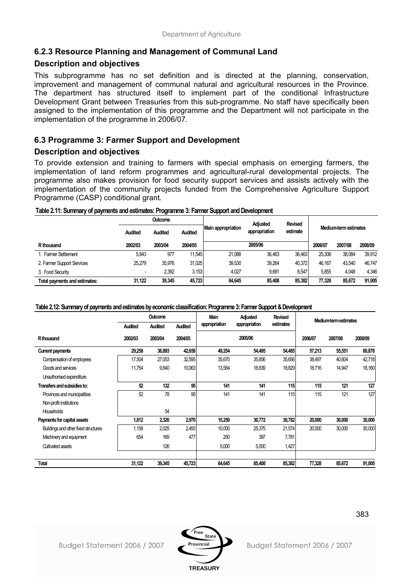## **6.2.3 Resource Planning and Management of Communal Land**

### **Description and objectives**

This subprogramme has no set definition and is directed at the planning, conservation, improvement and management of communal natural and agricultural resources in the Province. The department has structured itself to implement part of the conditional Infrastructure Development Grant between Treasuries from this sub-programme. No staff have specifically been assigned to the implementation of this programme and the Department will not participate in the implementation of the programme in 2006/07.

## **6.3 Programme 3: Farmer Support and Development**

## **Description and objectives**

To provide extension and training to farmers with special emphasis on emerging farmers, the implementation of land reform programmes and agricultural-rural developmental projects. The programme also makes provision for food security support services and assists actively with the implementation of the community projects funded from the Comprehensive Agriculture Support Programme (CASP) conditional grant.

|                            | <b>Outcome</b> |                |         | Adjusted                                        | <b>Revised</b> |        |         |                       |         |  |
|----------------------------|----------------|----------------|---------|-------------------------------------------------|----------------|--------|---------|-----------------------|---------|--|
|                            | Audited        | <b>Audited</b> | Audited | Main appropriation<br>appropriation<br>estimate |                |        |         | Medium-term estimates |         |  |
| R thousand                 | 2002/03        | 2003/04        | 2004/05 |                                                 | 2005/06        |        | 2006/07 | 2007/08               | 2008/09 |  |
| 1. Farmer Settlement       | 5.843          | 977            | 11.545  | 21.088                                          | 36.463         | 36.463 | 25.306  | 38.084                | 39.912  |  |
| 2. Farmer Support Services | 25,279         | 35.976         | 31.025  | 39.530                                          | 39.264         | 40.372 | 46.167  | 43.540                | 46.747  |  |
| 3. Food Security           |                | 2,392          | 3,153   | 4.027                                           | 9,681          | 8,547  | 5.855   | 4.048                 | 4.346   |  |

**Total payments and estimates: 31,122 39,345 45,723 64,645 85,408 85,382 77,328 85,672 91,005**

**Table 2.11: Summary of payments and estimates: Programme 3: Farmer Support and Development**

#### **Table 2.12: Summary of payments and estimates by economic classification: Programme 3: Farmer Support & Development**

|                                      | <b>Outcome</b> |                | Main<br>Adjusted | <b>Revised</b> | Medium-term estimates |           |         |         |         |
|--------------------------------------|----------------|----------------|------------------|----------------|-----------------------|-----------|---------|---------|---------|
|                                      | <b>Audited</b> | <b>Audited</b> | <b>Audited</b>   | appropriation  | appropriation         | estimates |         |         |         |
| R <sub>thousand</sub>                | 2002/03        | 2003/04        | 2004/05          |                | 2005/06               |           | 2006/07 | 2007/08 | 2008/09 |
| <b>Current payments</b>              | 29,258         | 36,893         | 42,658           | 49,254         | 54,495                | 54,485    | 57,213  | 55,551  | 60,878  |
| Compensation of employees            | 17,504         | 27,053         | 32,595           | 35,670         | 35,656                | 35,656    | 38,497  | 40,604  | 42,718  |
| Goods and services                   | 11,754         | 9,840          | 10,063           | 13,584         | 18,839                | 18,829    | 18,716  | 14,947  | 18,160  |
| Unauthorised expenditure             |                |                |                  |                |                       |           |         |         |         |
| Transfers and subsidies to:          | 52             | 132            | 95               | 141            | 141                   | 115       | 115     | 121     | 127     |
| Provinces and municipalities         | 52             | 78             | 95               | 141            | 141                   | 115       | 115     | 121     | 127     |
| Non-profit institutions              |                |                |                  |                |                       |           |         |         |         |
| <b>Households</b>                    |                | 54             |                  |                |                       |           |         |         |         |
| Payments for capital assets          | 1,812          | 2,320          | 2,970            | 15,250         | 30,772                | 30,782    | 20,000  | 30,000  | 30,000  |
| Buildings and other fixed structures | 1,158          | 2,025          | 2,493            | 10,000         | 25,375                | 21,574    | 20,000  | 30,000  | 30,000  |
| Machinery and equipment              | 654            | 169            | 477              | 250            | 397                   | 7,781     |         |         |         |
| Cultivated assets                    |                | 126            |                  | 5,000          | 5,000                 | 1,427     |         |         |         |
|                                      |                |                |                  |                |                       |           |         |         |         |
| Total                                | 31,122         | 39.345         | 45,723           | 64,645         | 85,408                | 85,382    | 77,328  | 85,672  | 91,005  |

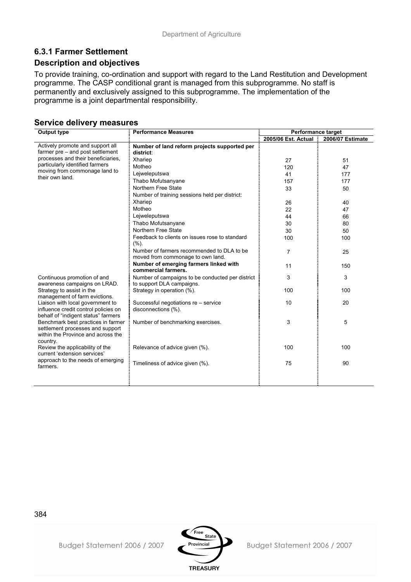## **6.3.1 Farmer Settlement**

### **Description and objectives**

To provide training, co-ordination and support with regard to the Land Restitution and Development programme. The CASP conditional grant is managed from this subprogramme. No staff is permanently and exclusively assigned to this subprogramme. The implementation of the programme is a joint departmental responsibility.

### **Service delivery measures**

| <b>Output type</b>                                                                                                       | <b>Performance Measures</b>                                                     | <b>Performance target</b> |                  |  |  |
|--------------------------------------------------------------------------------------------------------------------------|---------------------------------------------------------------------------------|---------------------------|------------------|--|--|
|                                                                                                                          |                                                                                 | 2005/06 Est. Actual       | 2006/07 Estimate |  |  |
| Actively promote and support all<br>farmer pre – and post settlement                                                     | Number of land reform projects supported per<br>district:                       |                           |                  |  |  |
| processes and their beneficiaries.                                                                                       | Xhariep                                                                         | 27                        | 51               |  |  |
| particularly identified farmers                                                                                          | Motheo                                                                          | 120                       | 47               |  |  |
| moving from commonage land to                                                                                            | Lejweleputswa                                                                   | 41                        | 177              |  |  |
| their own land.                                                                                                          | Thabo Mofutsanyane                                                              | 157                       | 177              |  |  |
|                                                                                                                          | Northern Free State                                                             | 33                        | 50               |  |  |
|                                                                                                                          | Number of training sessions held per district:                                  |                           |                  |  |  |
|                                                                                                                          | Xhariep                                                                         | 26                        | 40               |  |  |
|                                                                                                                          | Motheo                                                                          | 22                        | 47               |  |  |
|                                                                                                                          | Lejweleputswa                                                                   | 44                        | 66               |  |  |
|                                                                                                                          | Thabo Mofutsanyane                                                              | 30                        | 80               |  |  |
|                                                                                                                          | Northern Free State                                                             | 30                        | 50               |  |  |
|                                                                                                                          | Feedback to clients on issues rose to standard<br>(%).                          | 100                       | 100              |  |  |
|                                                                                                                          | Number of farmers recommended to DLA to be<br>moved from commonage to own land. | $\overline{7}$            | 25               |  |  |
|                                                                                                                          | Number of emerging farmers linked with<br>commercial farmers.                   | 11                        | 150              |  |  |
| Continuous promotion of and<br>awareness campaigns on LRAD.                                                              | Number of campaigns to be conducted per district<br>to support DLA campaigns.   | 3                         | 3                |  |  |
| Strategy to assist in the<br>management of farm evictions.                                                               | Strategy in operation (%).                                                      | 100                       | 100              |  |  |
| Liaison with local government to<br>influence credit control policies on<br>behalf of "indigent status" farmers          | Successful negotiations re - service<br>disconnections (%).                     | 10                        | 20               |  |  |
| Benchmark best practices in farmer<br>settlement processes and support<br>within the Province and across the<br>country. | Number of benchmarking exercises.                                               | 3                         | 5                |  |  |
| Review the applicability of the<br>current 'extension services'                                                          | Relevance of advice given (%).                                                  | 100                       | 100              |  |  |
| approach to the needs of emerging<br>farmers.                                                                            | Timeliness of advice given (%).                                                 | 75                        | 90               |  |  |
|                                                                                                                          |                                                                                 |                           |                  |  |  |

384



Budget Statement 2006 / 2007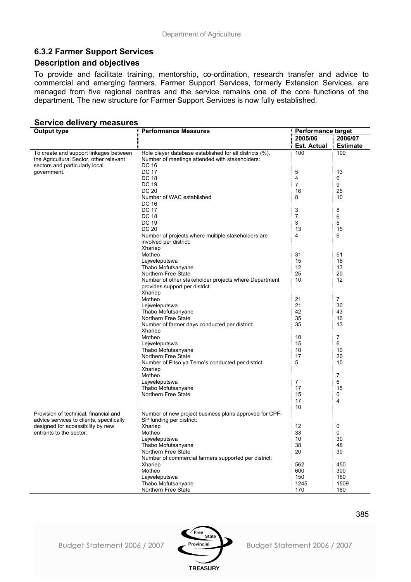## **6.3.2 Farmer Support Services**

### **Description and objectives**

To provide and facilitate training, mentorship, co-ordination, research transfer and advice to commercial and emerging farmers. Farmer Support Services, formerly Extension Services, are managed from five regional centres and the service remains one of the core functions of the department. The new structure for Farmer Support Services is now fully established.

#### **Service delivery measures**

| <b>Output type</b>                       | <b>Performance Measures</b><br><b>Performance target</b> |                    |                 |  |  |
|------------------------------------------|----------------------------------------------------------|--------------------|-----------------|--|--|
|                                          |                                                          | 2005/06            | 2006/07         |  |  |
|                                          |                                                          | <b>Est. Actual</b> | <b>Estimate</b> |  |  |
| To create and support linkages between   | Role player database established for all districts (%).  | 100                | 100             |  |  |
| the Agricultural Sector, other relevant  | Number of meetings attended with stakeholders:           |                    |                 |  |  |
| sectors and particularly local           | DC 16                                                    |                    |                 |  |  |
| government.                              | <b>DC 17</b>                                             | 5                  | 13              |  |  |
|                                          | <b>DC 18</b>                                             | 4                  | 6               |  |  |
|                                          | DC 19                                                    | $\overline{7}$     | 9               |  |  |
|                                          | <b>DC 20</b>                                             | 16                 | 25              |  |  |
|                                          | Number of WAC established                                | 8                  | 10              |  |  |
|                                          | DC 16                                                    |                    |                 |  |  |
|                                          | <b>DC 17</b>                                             | 3                  | 8               |  |  |
|                                          | <b>DC 18</b>                                             | 7                  | 6               |  |  |
|                                          | <b>DC 19</b><br><b>DC 20</b>                             | 3                  | 5               |  |  |
|                                          | Number of projects where multiple stakeholders are       | 13<br>4            | 15<br>6         |  |  |
|                                          | involved per district:                                   |                    |                 |  |  |
|                                          | Xhariep                                                  |                    |                 |  |  |
|                                          | Motheo                                                   | 31                 | 51              |  |  |
|                                          | Lejweleputswa                                            | 15                 | 16              |  |  |
|                                          | Thabo Mofutsanyane                                       | 12                 | 13              |  |  |
|                                          | Northern Free State                                      | 25                 | 20              |  |  |
|                                          | Number of other stakeholder projects where Department    | 10                 | 12              |  |  |
|                                          | provides support per district:                           |                    |                 |  |  |
|                                          | Xhariep                                                  |                    |                 |  |  |
|                                          | Motheo                                                   | 21                 | 7               |  |  |
|                                          | Lejweleputswa                                            | 21                 | 30              |  |  |
|                                          | Thabo Mofutsanyane                                       | 42                 | 43              |  |  |
|                                          | Northern Free State                                      | 35                 | 16              |  |  |
|                                          | Number of farmer days conducted per district:            | 35                 | 13              |  |  |
|                                          | Xhariep                                                  |                    |                 |  |  |
|                                          | Motheo                                                   | 10                 | $\overline{7}$  |  |  |
|                                          | Lejweleputswa                                            | 15                 | 6               |  |  |
|                                          | Thabo Mofutsanyane                                       | 10                 | 10              |  |  |
|                                          | Northern Free State                                      | 17                 | 20              |  |  |
|                                          | Number of Pitso ya Temo's conducted per district:        | 5                  | 10              |  |  |
|                                          | Xhariep                                                  |                    |                 |  |  |
|                                          | Motheo                                                   |                    | $\overline{7}$  |  |  |
|                                          | Lejweleputswa<br>Thabo Mofutsanyane                      | 7<br>17            | 6<br>15         |  |  |
|                                          | Northern Free State                                      | 15                 | 0               |  |  |
|                                          |                                                          | 17                 | 4               |  |  |
|                                          |                                                          | 10                 |                 |  |  |
| Provision of technical, financial and    | Number of new project business plans approved for CPF-   |                    |                 |  |  |
| advice services to clients, specifically | SP funding per district:                                 |                    |                 |  |  |
| designed for accessibility by new        | Xhariep                                                  | 12                 | 0               |  |  |
| entrants to the sector.                  | Motheo                                                   | 33                 | 0               |  |  |
|                                          | Lejweleputswa                                            | 10                 | 30              |  |  |
|                                          | Thabo Mofutsanyane                                       | 38                 | 48              |  |  |
|                                          | Northern Free State                                      | 20                 | 30              |  |  |
|                                          | Number of commercial farmers supported per district:     |                    |                 |  |  |
|                                          | Xhariep                                                  | 562                | 450             |  |  |
|                                          | Motheo                                                   | 600                | 300             |  |  |
|                                          | Lejweleputswa                                            | 150                | 160             |  |  |
|                                          | Thabo Mofutsanyane                                       | 1245               | 1509            |  |  |
|                                          | Northern Free State                                      | 170                | 180             |  |  |

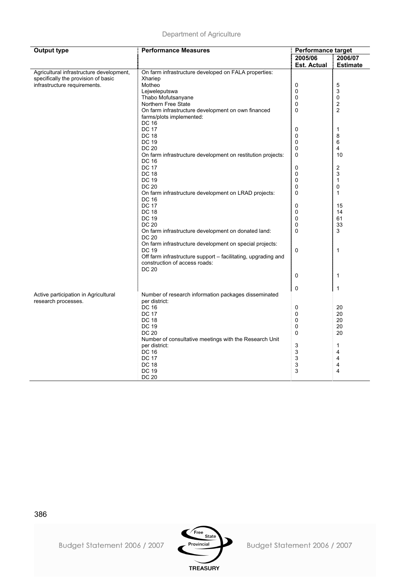| <b>Output type</b>                       | <b>Performance Measures</b>                                   | Performance target |                         |  |
|------------------------------------------|---------------------------------------------------------------|--------------------|-------------------------|--|
|                                          |                                                               | 2005/06            | 2006/07                 |  |
|                                          |                                                               | <b>Est. Actual</b> | <b>Estimate</b>         |  |
| Agricultural infrastructure development, | On farm infrastructure developed on FALA properties:          |                    |                         |  |
| specifically the provision of basic      | Xhariep                                                       |                    |                         |  |
| infrastructure requirements.             | Motheo                                                        | $\mathbf 0$        | $\mathbf 5$             |  |
|                                          | Lejweleputswa                                                 | 0                  | 3                       |  |
|                                          | Thabo Mofutsanyane                                            | 0                  | 0                       |  |
|                                          | Northern Free State                                           | 0                  | $\overline{2}$          |  |
|                                          | On farm infrastructure development on own financed            | 0                  | $\overline{c}$          |  |
|                                          | farms/plots implemented:                                      |                    |                         |  |
|                                          | <b>DC 16</b>                                                  |                    |                         |  |
|                                          | <b>DC 17</b>                                                  | 0                  | 1                       |  |
|                                          | <b>DC 18</b>                                                  | 0                  | 8                       |  |
|                                          | <b>DC 19</b>                                                  | 0                  | 6                       |  |
|                                          | <b>DC 20</b>                                                  | 0                  | 4                       |  |
|                                          | On farm infrastructure development on restitution projects:   | 0                  | 10                      |  |
|                                          | <b>DC 16</b>                                                  |                    |                         |  |
|                                          | <b>DC 17</b>                                                  | 0                  | $\overline{\mathbf{c}}$ |  |
|                                          | <b>DC 18</b>                                                  | $\Omega$           | 3                       |  |
|                                          | <b>DC 19</b>                                                  | 0                  | 1                       |  |
|                                          | <b>DC 20</b>                                                  | 0                  | 0                       |  |
|                                          | On farm infrastructure development on LRAD projects:          | 0                  | $\mathbf{1}$            |  |
|                                          | DC 16                                                         |                    |                         |  |
|                                          | <b>DC 17</b>                                                  | 0                  | 15                      |  |
|                                          | <b>DC 18</b>                                                  | 0                  | 14                      |  |
|                                          | <b>DC 19</b>                                                  | 0                  | 61                      |  |
|                                          | <b>DC 20</b>                                                  | 0                  | 33                      |  |
|                                          | On farm infrastructure development on donated land:<br>DC 20  | 0                  | 3                       |  |
|                                          | On farm infrastructure development on special projects:       |                    |                         |  |
|                                          | <b>DC 19</b>                                                  | 0                  | $\mathbf{1}$            |  |
|                                          | Off farm infrastructure support - facilitating, upgrading and |                    |                         |  |
|                                          | construction of access roads:                                 |                    |                         |  |
|                                          | <b>DC 20</b>                                                  |                    |                         |  |
|                                          |                                                               | 0                  | $\mathbf{1}$            |  |
|                                          |                                                               |                    |                         |  |
|                                          |                                                               | 0                  | $\mathbf{1}$            |  |
| Active participation in Agricultural     | Number of research information packages disseminated          |                    |                         |  |
| research processes.                      | per district:                                                 |                    |                         |  |
|                                          | <b>DC 16</b>                                                  | 0                  | 20                      |  |
|                                          | <b>DC 17</b>                                                  | 0                  | 20                      |  |
|                                          | <b>DC 18</b>                                                  | 0                  | 20                      |  |
|                                          | <b>DC 19</b>                                                  | 0                  | 20                      |  |
|                                          | <b>DC 20</b>                                                  | 0                  | 20                      |  |
|                                          | Number of consultative meetings with the Research Unit        |                    |                         |  |
|                                          | per district:                                                 | 3                  | 1                       |  |
|                                          | <b>DC 16</b>                                                  | 3                  | 4                       |  |
|                                          | <b>DC 17</b>                                                  | 3                  | 4                       |  |
|                                          | <b>DC 18</b>                                                  | 3                  | 4                       |  |
|                                          | <b>DC 19</b>                                                  | 3                  | 4                       |  |
|                                          | <b>DC 20</b>                                                  |                    |                         |  |



Budget Statement 2006 / 2007

386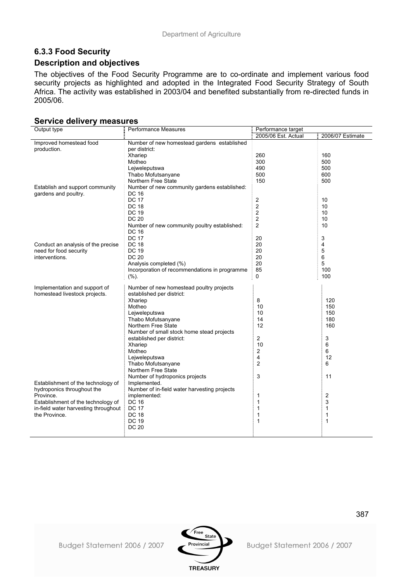# **6.3.3 Food Security**

## **Description and objectives**

The objectives of the Food Security Programme are to co-ordinate and implement various food security projects as highlighted and adopted in the Integrated Food Security Strategy of South Africa. The activity was established in 2003/04 and benefited substantially from re-directed funds in 2005/06.

#### **Service delivery measures**

| Output type                          | Performance Measures                          | Performance target      |                  |  |
|--------------------------------------|-----------------------------------------------|-------------------------|------------------|--|
|                                      |                                               | 2005/06 Est. Actual     | 2006/07 Estimate |  |
| Improved homestead food              | Number of new homestead gardens established   |                         |                  |  |
| production.                          | per district:                                 |                         |                  |  |
|                                      | Xhariep                                       | 260                     | 160              |  |
|                                      | Motheo                                        | 300                     | 500              |  |
|                                      | Lejweleputswa                                 | 490                     | 500              |  |
|                                      | Thabo Mofutsanyane                            | 500                     | 600              |  |
|                                      | Northern Free State                           | 150                     | 500              |  |
| Establish and support community      | Number of new community gardens established:  |                         |                  |  |
| gardens and poultry.                 | <b>DC 16</b>                                  |                         |                  |  |
|                                      | <b>DC 17</b>                                  | $\overline{2}$          | 10               |  |
|                                      | <b>DC 18</b>                                  | $\overline{\mathbf{c}}$ | 10               |  |
|                                      | <b>DC 19</b>                                  | $\overline{c}$          | 10               |  |
|                                      | <b>DC 20</b>                                  | 2                       | 10               |  |
|                                      | Number of new community poultry established:  | $\overline{c}$          | 10               |  |
|                                      | DC 16                                         |                         |                  |  |
|                                      | <b>DC 17</b>                                  | 20                      | 3                |  |
| Conduct an analysis of the precise   | <b>DC 18</b>                                  | 20                      | 4                |  |
| need for food security               | <b>DC 19</b>                                  | 20                      | 5                |  |
| interventions.                       | <b>DC 20</b>                                  | 20                      | 6                |  |
|                                      | Analysis completed (%)                        | 20                      | 5                |  |
|                                      | Incorporation of recommendations in programme | 85                      | 100              |  |
|                                      | (%).                                          | 0                       | 100              |  |
|                                      |                                               |                         |                  |  |
| Implementation and support of        | Number of new homestead poultry projects      |                         |                  |  |
| homestead livestock projects.        | established per district:                     |                         |                  |  |
|                                      | Xhariep                                       | 8                       | 120              |  |
|                                      | Motheo                                        | 10                      | 150              |  |
|                                      | Lejweleputswa                                 | 10                      | 150              |  |
|                                      | Thabo Mofutsanyane                            | 14                      | 180              |  |
|                                      | Northern Free State                           | 12                      | 160              |  |
|                                      | Number of small stock home stead projects     |                         |                  |  |
|                                      | established per district:                     | $\overline{2}$          | 3                |  |
|                                      | Xhariep                                       | 10                      | 6                |  |
|                                      | Motheo                                        | 2                       | 6                |  |
|                                      | Lejweleputswa                                 | 4                       | 12               |  |
|                                      | Thabo Mofutsanyane                            | $\overline{2}$          | 6                |  |
|                                      | Northern Free State                           |                         |                  |  |
|                                      | Number of hydroponics projects                | 3                       | 11               |  |
| Establishment of the technology of   | Implemented.                                  |                         |                  |  |
| hydroponics throughout the           | Number of in-field water harvesting projects  |                         |                  |  |
| Province.                            | implemented:                                  | 1                       | 2                |  |
| Establishment of the technology of   | DC 16                                         | $\mathbf{1}$            | 3                |  |
| in-field water harvesting throughout | <b>DC 17</b>                                  | 1                       | 1                |  |
| the Province.                        | <b>DC 18</b>                                  | 1                       | 1                |  |
|                                      | <b>DC 19</b>                                  | 1                       | 1                |  |
|                                      | <b>DC 20</b>                                  |                         |                  |  |
|                                      |                                               |                         |                  |  |

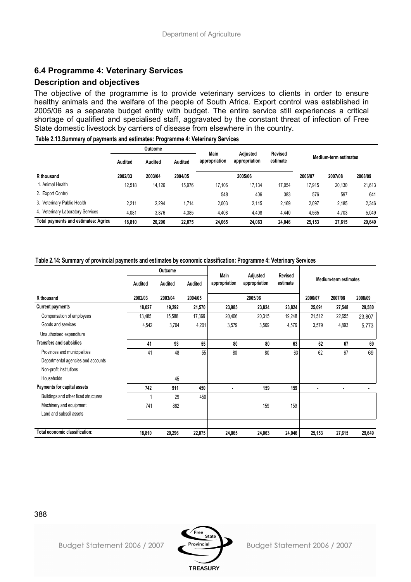## **6.4 Programme 4: Veterinary Services**

## **Description and objectives**

The objective of the programme is to provide veterinary services to clients in order to ensure healthy animals and the welfare of the people of South Africa. Export control was established in 2005/06 as a separate budget entity with budget. The entire service still experiences a critical shortage of qualified and specialised staff, aggravated by the constant threat of infection of Free State domestic livestock by carriers of disease from elsewhere in the country.

|                                      | <b>Outcome</b> |         |         | Main          | Adiusted      | <b>Revised</b> |         |                       |         |
|--------------------------------------|----------------|---------|---------|---------------|---------------|----------------|---------|-----------------------|---------|
|                                      | Audited        | Audited | Audited | appropriation | appropriation | estimate       |         | Medium-term estimates |         |
| R thousand                           | 2002/03        | 2003/04 | 2004/05 |               | 2005/06       |                | 2006/07 | 2007/08               | 2008/09 |
| . Animal Health                      | 12.518         | 14.126  | 15.976  | 17.106        | 17.134        | 17.054         | 17.915  | 20.130                | 21,613  |
| 2. Export Control                    |                |         |         | 548           | 406           | 383            | 576     | 597                   | 641     |
| 3. Veterinary Public Health          | 2.211          | 2.294   | .714    | 2.003         | 2,115         | 2.169          | 2,097   | 2.185                 | 2,346   |
| 4. Veterinary Laboratory Services    | 4,081          | 3.876   | 4,385   | 4,408         | 4.408         | 4,440          | 4,565   | 4.703                 | 5,049   |
| Total payments and estimates: Agricu | 18.810         | 20.296  | 22.075  | 24.065        | 24.063        | 24.046         | 25.153  | 27.615                | 29,649  |

#### **Table 2.14: Summary of provincial payments and estimates by economic classification: Programme 4: Veterinary Services**

|                                      |         | Outcome |         |               | Main                      |                     |         |                       |         |
|--------------------------------------|---------|---------|---------|---------------|---------------------------|---------------------|---------|-----------------------|---------|
|                                      | Audited | Audited | Audited | appropriation | Adjusted<br>appropriation | Revised<br>estimate |         | Medium-term estimates |         |
| R thousand                           | 2002/03 | 2003/04 | 2004/05 |               | 2005/06                   |                     | 2006/07 | 2007/08               | 2008/09 |
| <b>Current payments</b>              | 18,027  | 19,292  | 21,570  | 23,985        | 23,824                    | 23,824              | 25,091  | 27,548                | 29,580  |
| Compensation of employees            | 13,485  | 15,588  | 17,369  | 20,406        | 20,315                    | 19,248              | 21,512  | 22,655                | 23,807  |
| Goods and services                   | 4,542   | 3,704   | 4,201   | 3,579         | 3,509                     | 4,576               | 3,579   | 4,893                 | 5,773   |
| Unauthorised expenditure             |         |         |         |               |                           |                     |         |                       |         |
| <b>Transfers and subsidies</b>       | 41      | 93      | 55      | 80            | 80                        | 63                  | 62      | 67                    | 69      |
| Provinces and municipalities         | 41      | 48      | 55      | 80            | 80                        | 63                  | 62      | 67                    | 69      |
| Departmental agencies and accounts   |         |         |         |               |                           |                     |         |                       |         |
| Non-profit institutions              |         |         |         |               |                           |                     |         |                       |         |
| Households                           |         | 45      |         |               |                           |                     |         |                       |         |
| Payments for capital assets          | 742     | 911     | 450     |               | 159                       | 159                 |         |                       |         |
| Buildings and other fixed structures |         | 29      | 450     |               |                           |                     |         |                       |         |
| Machinery and equipment              | 741     | 882     |         |               | 159                       | 159                 |         |                       |         |
| Land and subsoil assets              |         |         |         |               |                           |                     |         |                       |         |
|                                      |         |         |         |               |                           |                     |         |                       |         |
| Total economic classification:       | 18,810  | 20,296  | 22,075  | 24,065        | 24,063                    | 24,046              | 25,153  | 27,615                | 29,649  |

388

Budget Statement 2006 / 2007

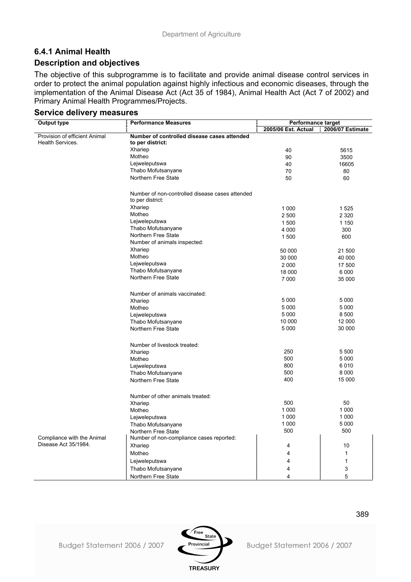## **6.4.1 Animal Health Description and objectives**

The objective of this subprogramme is to facilitate and provide animal disease control services in order to protect the animal population against highly infectious and economic diseases, through the implementation of the Animal Disease Act (Act 35 of 1984), Animal Health Act (Act 7 of 2002) and Primary Animal Health Programmes/Projects.

| <b>Output type</b>                                 | <b>Performance Measures</b>                     | <b>Performance target</b> |                  |  |  |
|----------------------------------------------------|-------------------------------------------------|---------------------------|------------------|--|--|
|                                                    |                                                 | 2005/06 Est. Actual       | 2006/07 Estimate |  |  |
| Provision of efficient Animal                      | Number of controlled disease cases attended     |                           |                  |  |  |
| Health Services.                                   | to per district:                                |                           |                  |  |  |
|                                                    | Xhariep                                         | 40                        | 5615             |  |  |
|                                                    | Motheo                                          | 90                        | 3500             |  |  |
|                                                    | Lejweleputswa                                   | 40                        | 16605            |  |  |
|                                                    | Thabo Mofutsanyane                              | 70                        | 80               |  |  |
|                                                    | Northern Free State                             | 50                        | 60               |  |  |
|                                                    |                                                 |                           |                  |  |  |
|                                                    | Number of non-controlled disease cases attended |                           |                  |  |  |
|                                                    | to per district:                                |                           |                  |  |  |
|                                                    | Xhariep                                         | 1 0 0 0                   | 1525             |  |  |
|                                                    | Motheo                                          | 2 500                     | 2 3 2 0          |  |  |
|                                                    | Lejweleputswa                                   | 1500                      | 1 1 5 0          |  |  |
|                                                    | Thabo Mofutsanyane                              | 4 0 0 0                   | 300              |  |  |
|                                                    | Northern Free State                             |                           | 600              |  |  |
|                                                    | Number of animals inspected:                    | 1500                      |                  |  |  |
|                                                    | Xhariep                                         |                           |                  |  |  |
|                                                    | Motheo                                          | 50 000                    | 21 500           |  |  |
|                                                    | Lejweleputswa                                   | 30 000                    | 40 000           |  |  |
|                                                    |                                                 | 2 0 0 0                   | 17500            |  |  |
|                                                    | Thabo Mofutsanyane<br>Northern Free State       | 18 000                    | 6 0 0 0          |  |  |
|                                                    |                                                 | 7 0 0 0                   | 35 000           |  |  |
|                                                    |                                                 |                           |                  |  |  |
|                                                    | Number of animals vaccinated:                   |                           |                  |  |  |
|                                                    | Xhariep                                         | 5 0 0 0                   | 5 0 0 0          |  |  |
|                                                    | Motheo                                          | 5 0 0 0                   | 5 0 0 0          |  |  |
|                                                    | Lejweleputswa                                   | 5 0 0 0                   | 8500             |  |  |
|                                                    | Thabo Mofutsanyane                              | 10 000                    | 12 000           |  |  |
|                                                    | Northern Free State                             | 5 0 0 0                   | 30 000           |  |  |
|                                                    |                                                 |                           |                  |  |  |
|                                                    | Number of livestock treated:                    |                           |                  |  |  |
|                                                    | Xhariep                                         | 250                       | 5 500            |  |  |
|                                                    | Motheo                                          | 500                       | 5 0 0 0          |  |  |
|                                                    | Lejweleputswa                                   | 800                       | 6010             |  |  |
|                                                    | Thabo Mofutsanyane                              | 500                       | 8 0 0 0          |  |  |
|                                                    | Northern Free State                             | 400                       | 15 000           |  |  |
|                                                    |                                                 |                           |                  |  |  |
|                                                    | Number of other animals treated:                |                           |                  |  |  |
|                                                    | Xhariep                                         | 500                       | 50               |  |  |
|                                                    | Motheo                                          | 1 0 0 0                   | 1 0 0 0          |  |  |
|                                                    |                                                 | 1 0 0 0                   | 1 0 0 0          |  |  |
|                                                    | Lejweleputswa                                   | 1 0 0 0                   | 5 0 0 0          |  |  |
|                                                    | Thabo Mofutsanyane<br>Northern Free State       | 500                       | 500              |  |  |
|                                                    |                                                 |                           |                  |  |  |
| Compliance with the Animal<br>Disease Act 35/1984. | Number of non-compliance cases reported:        |                           |                  |  |  |
|                                                    | Xhariep                                         | 4                         | 10               |  |  |
|                                                    | Motheo                                          | 4                         | 1                |  |  |
|                                                    | Lejweleputswa                                   | 4                         | 1                |  |  |
|                                                    | Thabo Mofutsanyane                              | 4                         | 3                |  |  |
|                                                    | Northern Free State                             | 4                         | 5                |  |  |

**TREASURY** 

### **Service delivery measures**

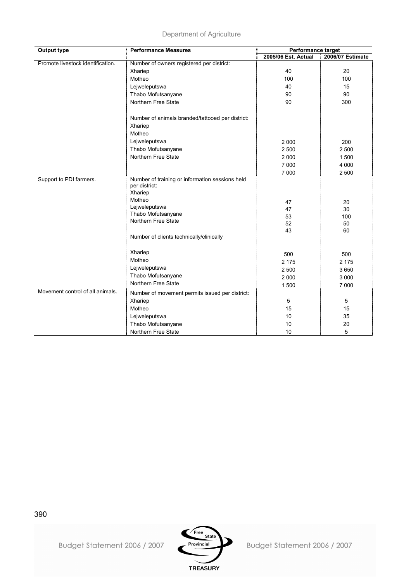| <b>Output type</b>                | <b>Performance Measures</b>                                      | <b>Performance target</b> |                  |  |  |
|-----------------------------------|------------------------------------------------------------------|---------------------------|------------------|--|--|
|                                   |                                                                  | 2005/06 Est. Actual       | 2006/07 Estimate |  |  |
| Promote livestock identification. | Number of owners registered per district:                        |                           |                  |  |  |
|                                   | Xhariep                                                          | 40                        | 20               |  |  |
|                                   | Motheo                                                           | 100                       | 100              |  |  |
|                                   | Lejweleputswa                                                    | 40                        | 15               |  |  |
|                                   | Thabo Mofutsanyane                                               | 90                        | 90               |  |  |
|                                   | Northern Free State                                              | 90                        | 300              |  |  |
|                                   | Number of animals branded/tattooed per district:                 |                           |                  |  |  |
|                                   | Xhariep                                                          |                           |                  |  |  |
|                                   | Motheo                                                           |                           |                  |  |  |
|                                   | Lejweleputswa                                                    | 2 0 0 0                   | 200              |  |  |
|                                   | Thabo Mofutsanyane                                               | 2 500                     | 2 500            |  |  |
|                                   | Northern Free State                                              | 2 0 0 0                   | 1500             |  |  |
|                                   |                                                                  | 7 0 0 0                   | 4 0 0 0          |  |  |
|                                   |                                                                  | 7 0 0 0                   | 2 500            |  |  |
| Support to PDI farmers.           | Number of training or information sessions held<br>per district: |                           |                  |  |  |
|                                   | Xhariep                                                          |                           |                  |  |  |
|                                   | Motheo                                                           |                           |                  |  |  |
|                                   | Lejweleputswa                                                    | 47<br>47                  | 20<br>30         |  |  |
|                                   | Thabo Mofutsanyane                                               | 53                        | 100              |  |  |
|                                   | Northern Free State                                              | 52                        | 50               |  |  |
|                                   |                                                                  | 43                        | 60               |  |  |
|                                   | Number of clients technically/clinically                         |                           |                  |  |  |
|                                   |                                                                  |                           |                  |  |  |
|                                   | Xhariep                                                          | 500                       | 500              |  |  |
|                                   | Motheo                                                           | 2 1 7 5                   | 2 1 7 5          |  |  |
|                                   | Lejweleputswa                                                    | 2 500                     | 3 6 5 0          |  |  |
|                                   | Thabo Mofutsanyane                                               | 2 0 0 0                   | 3 0 0 0          |  |  |
|                                   | Northern Free State                                              | 1500                      | 7 0 0 0          |  |  |
| Movement control of all animals.  | Number of movement permits issued per district:                  |                           |                  |  |  |
|                                   | Xhariep                                                          | 5                         | 5                |  |  |
|                                   | Motheo                                                           | 15                        | 15               |  |  |
|                                   | Lejweleputswa                                                    | 10                        | 35               |  |  |
|                                   | Thabo Mofutsanyane                                               | 10                        | 20               |  |  |
|                                   | Northern Free State                                              | 10                        | 5                |  |  |



Budget Statement 2006 / 2007

390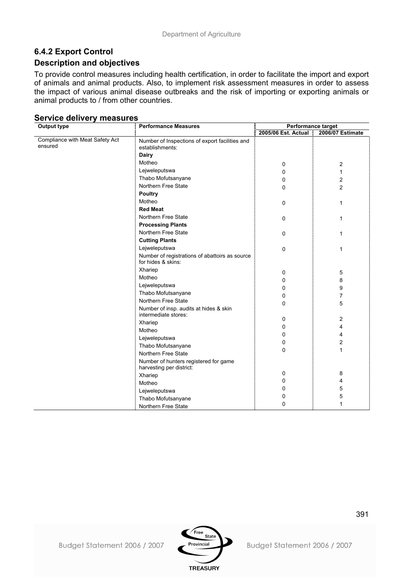## **6.4.2 Export Control**

### **Description and objectives**

To provide control measures including health certification, in order to facilitate the import and export of animals and animal products. Also, to implement risk assessment measures in order to assess the impact of various animal disease outbreaks and the risk of importing or exporting animals or animal products to / from other countries.

| Output type                                | <b>Performance Measures</b>                                          | Performance target  |                  |
|--------------------------------------------|----------------------------------------------------------------------|---------------------|------------------|
|                                            |                                                                      | 2005/06 Est. Actual | 2006/07 Estimate |
| Compliance with Meat Safety Act<br>ensured | Number of Inspections of export facilities and<br>establishments:    |                     |                  |
|                                            | <b>Dairy</b>                                                         |                     |                  |
|                                            | Motheo                                                               | 0                   | 2                |
|                                            | Lejweleputswa                                                        | 0                   | $\mathbf{1}$     |
|                                            | Thabo Mofutsanyane                                                   | 0                   | $\overline{c}$   |
|                                            | Northern Free State                                                  | 0                   | $\overline{2}$   |
|                                            | <b>Poultry</b>                                                       |                     |                  |
|                                            | Motheo                                                               | $\mathbf 0$         | 1                |
|                                            | <b>Red Meat</b>                                                      |                     |                  |
|                                            | Northern Free State                                                  | 0                   | 1                |
|                                            | <b>Processing Plants</b>                                             |                     |                  |
|                                            | Northern Free State                                                  | $\mathbf 0$         | 1                |
|                                            | <b>Cutting Plants</b>                                                |                     |                  |
|                                            | Lejweleputswa                                                        | $\mathbf 0$         | 1                |
|                                            | Number of registrations of abattoirs as source<br>for hides & skins: |                     |                  |
|                                            | Xhariep                                                              | 0                   | 5                |
|                                            | Motheo                                                               | 0                   | 8                |
|                                            | Lejweleputswa                                                        | 0                   | 9                |
|                                            | Thabo Mofutsanyane                                                   | 0                   | $\overline{7}$   |
|                                            | Northern Free State                                                  | 0                   | 5                |
|                                            | Number of insp. audits at hides & skin                               |                     |                  |
|                                            | intermediate stores:                                                 | 0                   | $\overline{2}$   |
|                                            | Xhariep                                                              | 0                   | 4                |
|                                            | Motheo                                                               | 0                   | 4                |
|                                            | Lejweleputswa                                                        | 0                   | $\overline{2}$   |
|                                            | Thabo Mofutsanyane                                                   | 0                   | $\mathbf{1}$     |
|                                            | Northern Free State                                                  |                     |                  |
|                                            | Number of hunters registered for game<br>harvesting per district:    |                     |                  |
|                                            | Xhariep                                                              | 0                   | 8                |
|                                            | Motheo                                                               | 0                   | 4                |
|                                            | Lejweleputswa                                                        | 0                   | 5                |
|                                            | Thabo Mofutsanyane                                                   | 0                   | 5                |
|                                            | Northern Free State                                                  | 0                   | 1                |

### **Service delivery measures**

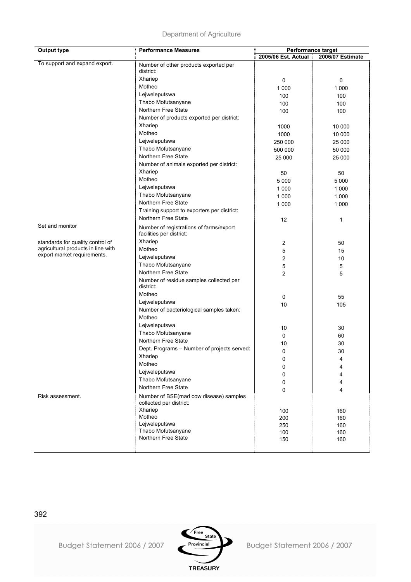| <b>Output type</b>                 | <b>Performance Measures</b>                          | Performance target    |                  |  |  |  |
|------------------------------------|------------------------------------------------------|-----------------------|------------------|--|--|--|
|                                    |                                                      | 2005/06 Est. Actual : | 2006/07 Estimate |  |  |  |
| To support and expand export.      | Number of other products exported per                |                       |                  |  |  |  |
|                                    | district:                                            |                       |                  |  |  |  |
|                                    | Xhariep                                              | 0                     | 0                |  |  |  |
|                                    | Motheo                                               | 1 0 0 0               | 1 0 0 0          |  |  |  |
|                                    | Lejweleputswa                                        | 100                   | 100              |  |  |  |
|                                    | Thabo Mofutsanyane                                   | 100                   | 100              |  |  |  |
|                                    | Northern Free State                                  | 100                   | 100              |  |  |  |
|                                    | Number of products exported per district:            |                       |                  |  |  |  |
|                                    | Xhariep                                              | 1000                  | 10 000           |  |  |  |
|                                    | Motheo                                               | 1000                  | 10 000           |  |  |  |
|                                    | Lejweleputswa                                        | 250 000               | 25 000           |  |  |  |
|                                    | Thabo Mofutsanyane                                   | 500 000               | 50 000           |  |  |  |
|                                    | Northern Free State                                  | 25 000                | 25 000           |  |  |  |
|                                    | Number of animals exported per district:             |                       |                  |  |  |  |
|                                    | Xhariep                                              | 50                    | 50               |  |  |  |
|                                    | Motheo                                               | 5 0 0 0               | 5 0 0 0          |  |  |  |
|                                    | Lejweleputswa                                        | 1 0 0 0               | 1 0 0 0          |  |  |  |
|                                    | Thabo Mofutsanyane                                   | 1 0 0 0               | 1 0 0 0          |  |  |  |
|                                    | Northern Free State                                  | 1 0 0 0               | 1 0 0 0          |  |  |  |
|                                    | Training support to exporters per district:          |                       |                  |  |  |  |
|                                    | Northern Free State                                  | 12                    | 1                |  |  |  |
| Set and monitor                    | Number of registrations of farms/export              |                       |                  |  |  |  |
|                                    | facilities per district:                             |                       |                  |  |  |  |
| standards for quality control of   | Xhariep                                              | 2                     | 50               |  |  |  |
| agricultural products in line with | Motheo                                               | 5                     | 15               |  |  |  |
| export market requirements.        | Lejweleputswa                                        | 2                     | 10               |  |  |  |
|                                    | Thabo Mofutsanyane                                   | 5                     | 5                |  |  |  |
|                                    | Northern Free State                                  | $\overline{c}$        | 5                |  |  |  |
|                                    | Number of residue samples collected per<br>district: |                       |                  |  |  |  |
|                                    | Motheo                                               | 0                     | 55               |  |  |  |
|                                    | Lejweleputswa                                        | 10                    | 105              |  |  |  |
|                                    | Number of bacteriological samples taken:             |                       |                  |  |  |  |
|                                    | Motheo                                               |                       |                  |  |  |  |
|                                    | Lejweleputswa                                        | 10                    | 30               |  |  |  |
|                                    | Thabo Mofutsanyane                                   | 0                     | 60               |  |  |  |
|                                    | Northern Free State                                  | 10                    | 30               |  |  |  |
|                                    | Dept. Programs - Number of projects served:          | 0                     | 30               |  |  |  |
|                                    | Xhariep                                              | 0                     | 4                |  |  |  |
|                                    | Motheo                                               | 0                     | 4                |  |  |  |
|                                    | Lejweleputswa                                        | 0                     | 4                |  |  |  |
|                                    | Thabo Mofutsanyane                                   | 0                     |                  |  |  |  |
|                                    | Northern Free State                                  |                       | 4                |  |  |  |
| Risk assessment.                   | Number of BSE(mad cow disease) samples               | 0                     | 4                |  |  |  |
|                                    | collected per district:                              |                       |                  |  |  |  |
|                                    | Xhariep                                              | 100                   | 160              |  |  |  |
|                                    | Motheo                                               | 200                   | 160              |  |  |  |
|                                    | Lejweleputswa<br>Thabo Mofutsanyane                  | 250                   | 160              |  |  |  |
|                                    | Northern Free State                                  | 100                   | 160              |  |  |  |
|                                    |                                                      | 150                   | 160              |  |  |  |
|                                    |                                                      |                       |                  |  |  |  |



Budget Statement 2006 / 2007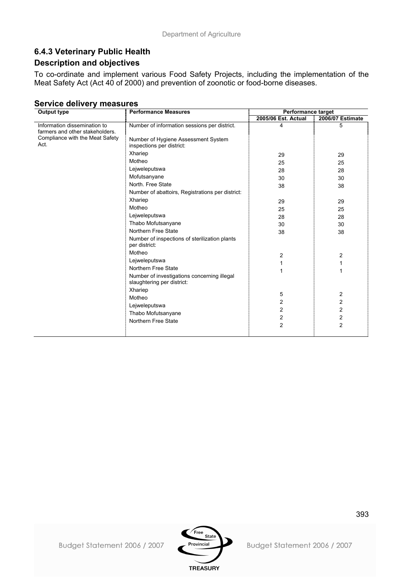## **6.4.3 Veterinary Public Health**

## **Description and objectives**

To co-ordinate and implement various Food Safety Projects, including the implementation of the Meat Safety Act (Act 40 of 2000) and prevention of zoonotic or food-borne diseases.

| <b>Output type</b>                                                                                         | <b>Performance Measures</b>                                                                                                                                                                                                                                                                                                                  | Performance target                                       |                                                                                                      |
|------------------------------------------------------------------------------------------------------------|----------------------------------------------------------------------------------------------------------------------------------------------------------------------------------------------------------------------------------------------------------------------------------------------------------------------------------------------|----------------------------------------------------------|------------------------------------------------------------------------------------------------------|
|                                                                                                            |                                                                                                                                                                                                                                                                                                                                              | 2005/06 Est. Actual                                      | 2006/07 Estimate                                                                                     |
| Information dissemination to<br>farmers and other stakeholders.<br>Compliance with the Meat Safety<br>Act. | Number of information sessions per district.<br>Number of Hygiene Assessment System<br>inspections per district:                                                                                                                                                                                                                             | 4                                                        | 5                                                                                                    |
|                                                                                                            | Xhariep<br>Motheo                                                                                                                                                                                                                                                                                                                            | 29<br>25                                                 | 29<br>25                                                                                             |
|                                                                                                            | Lejweleputswa<br>Mofutsanyane<br>North. Free State<br>Number of abattoirs, Registrations per district:                                                                                                                                                                                                                                       | 28<br>30<br>38                                           | 28<br>30<br>38                                                                                       |
|                                                                                                            | Xhariep<br>Motheo<br>Lejweleputswa<br>Thabo Mofutsanyane<br>Northern Free State<br>Number of inspections of sterilization plants<br>per district:<br>Motheo<br>Lejweleputswa<br>Northern Free State<br>Number of investigations concerning illegal<br>slaughtering per district:<br>Xhariep<br>Motheo<br>Lejweleputswa<br>Thabo Mofutsanyane | 29<br>25<br>28<br>30<br>38<br>2<br>1<br>5<br>2<br>2<br>2 | 29<br>25<br>28<br>30<br>38<br>2<br>1<br>2<br>$\overline{\mathbf{c}}$<br>2<br>$\overline{\mathbf{c}}$ |
|                                                                                                            | Northern Free State                                                                                                                                                                                                                                                                                                                          | $\overline{2}$                                           | $\overline{2}$                                                                                       |

### **Service delivery measures**

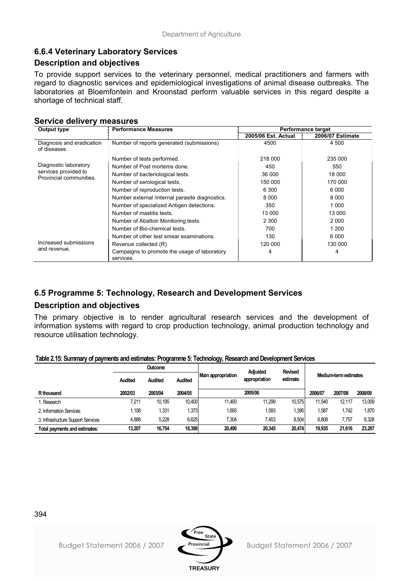## **6.6.4 Veterinary Laboratory Services**

### **Description and objectives**

To provide support services to the veterinary personnel, medical practitioners and farmers with regard to diagnostic services and epidemiological investigations of animal disease outbreaks. The laboratories at Bloemfontein and Kroonstad perform valuable services in this regard despite a shortage of technical staff.

#### **Service delivery measures**

| <b>Output type</b>                              | <b>Performance Measures</b>                               |                     | <b>Performance target</b> |
|-------------------------------------------------|-----------------------------------------------------------|---------------------|---------------------------|
|                                                 |                                                           | 2005/06 Est. Actual | 2006/07 Estimate          |
| Diagnosis and eradication<br>of diseases.       | Number of reports generated (submissions)                 | 4500                | 4 500                     |
|                                                 | Number of tests performed.                                | 218 000             | 235 000                   |
| Diagnostic laboratory                           | Number of Post mortems done.                              | 450                 | 550                       |
| services provided to<br>Provincial communities. | Number of bacteriological tests.                          | 36 000              | 18 000                    |
|                                                 | Number of serological tests.                              | 150 000             | 170 000                   |
|                                                 | Number of reproduction tests.                             | 6 3 0 0             | 6 0 0 0                   |
|                                                 | Number external /internal parasite diagnostics.           | 8 0 0 0             | 8 0 0 0                   |
|                                                 | Number of specialized Antigen detections.                 | 350                 | 1 0 0 0                   |
|                                                 | Number of mastitis tests.                                 | 13 000              | 13 000                    |
|                                                 | Number of Abattoir Monitoring tests.                      | 2 3 0 0             | 2 0 0 0                   |
|                                                 | Number of Bio-chemical tests.                             | 700                 | 1 200                     |
|                                                 | Number of other test smear examinations.                  | 130                 | 6000                      |
| Increased submissions                           | Revenue collected (R)                                     | 120 000             | 130 000                   |
| and revenue.                                    | Campaigns to promote the usage of laboratory<br>services. | 4                   | 4                         |

## **6.5 Programme 5: Technology, Research and Development Services**

### **Description and objectives**

The primary objective is to render agricultural research services and the development of information systems with regard to crop production technology, animal production technology and resource utilisation technology.

#### **Table 2.15: Summary of payments and estimates: Programme 5: Technology, Research and Development Services**

|                                    |                | <b>Outcome</b> |         | <b>Adiusted</b>    |               | <b>Revised</b> |         |                       |         |
|------------------------------------|----------------|----------------|---------|--------------------|---------------|----------------|---------|-----------------------|---------|
|                                    | <b>Audited</b> | Audited        | Audited | Main appropriation | appropriation | estimate       |         | Medium-term estimates |         |
| R thousand                         | 2002/03        | 2003/04        | 2004/05 |                    | 2005/06       |                | 2006/07 | 2007/08               | 2008/09 |
| . Research                         | 7,211          | 10.195         | 10.400  | 11.493             | 11,299        | 10.575         | 11.540  | 12.117                | 13.009  |
| 2. Information Services            | 1.108          | 1,331          | 1,373   | 1,693              | 1,593         | ,395           | 1,587   | 1.742                 | 1.870   |
| 3. Infrastructure Support Services | 4.888          | 5,228          | 6,625   | 7.304              | 7.453         | 8.504          | 6.808   | 7.757                 | 8.328   |
| Total payments and estimates:      | 13.207         | 16.754         | 18,398  | 20,490             | 20,345        | 20,474         | 19,935  | 21.616                | 23,207  |



394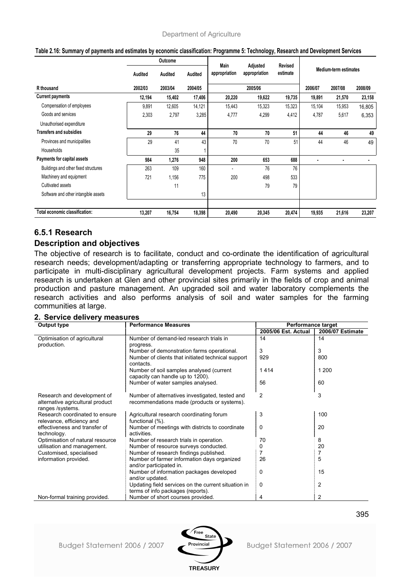|                                      |         | Outcome |         |                       |                           |                     |                       |         |         |
|--------------------------------------|---------|---------|---------|-----------------------|---------------------------|---------------------|-----------------------|---------|---------|
|                                      | Audited | Audited | Audited | Main<br>appropriation | Adjusted<br>appropriation | Revised<br>estimate | Medium-term estimates |         |         |
| R thousand                           | 2002/03 | 2003/04 | 2004/05 |                       | 2005/06                   |                     | 2006/07               | 2007/08 | 2008/09 |
| <b>Current payments</b>              | 12,194  | 15,402  | 17,406  | 20,220                | 19,622                    | 19,735              | 19,891                | 21,570  | 23,158  |
| Compensation of employees            | 9,891   | 12,605  | 14,121  | 15,443                | 15,323                    | 15,323              | 15,104                | 15,953  | 16,805  |
| Goods and services                   | 2,303   | 2,797   | 3,285   | 4,777                 | 4,299                     | 4,412               | 4,787                 | 5,617   | 6,353   |
| Unauthorised expenditure             |         |         |         |                       |                           |                     |                       |         |         |
| <b>Transfers and subsidies</b>       | 29      | 76      | 44      | 70                    | 70                        | 51                  | 44                    | 46      | 49      |
| Provinces and municipalities         | 29      | 41      | 43      | 70                    | 70                        | 51                  | 44                    | 46      | 49      |
| Households                           |         | 35      |         |                       |                           |                     |                       |         |         |
| Payments for capital assets          | 984     | 1,276   | 948     | 200                   | 653                       | 688                 |                       |         |         |
| Buildings and other fixed structures | 263     | 109     | 160     |                       | 76                        | 76                  |                       |         |         |
| Machinery and equipment              | 721     | 1,156   | 775     | 200                   | 498                       | 533                 |                       |         |         |
| Cultivated assets                    |         | 11      |         |                       | 79                        | 79                  |                       |         |         |
| Software and other intangible assets |         |         | 13      |                       |                           |                     |                       |         |         |
| Total economic classification:       | 13,207  | 16,754  | 18,398  | 20,490                | 20,345                    | 20,474              | 19,935                | 21,616  | 23,207  |

#### **Table 2.16: Summary of payments and estimates by economic classification: Programme 5: Technology, Research and Development Services**

### **6.5.1 Research**

### **Description and objectives**

The objective of research is to facilitate, conduct and co-ordinate the identification of agricultural research needs; development/adapting or transferring appropriate technology to farmers, and to participate in multi-disciplinary agricultural development projects. Farm systems and applied research is undertaken at Glen and other provincial sites primarily in the fields of crop and animal production and pasture management. An upgraded soil and water laboratory complements the research activities and also performs analysis of soil and water samples for the farming communities at large.

#### **2. Service delivery measures**

| <b>Output type</b>                           | <b>Performance Measures</b>                                    | Performance target  |                  |  |  |
|----------------------------------------------|----------------------------------------------------------------|---------------------|------------------|--|--|
|                                              |                                                                | 2005/06 Est. Actual | 2006/07 Estimate |  |  |
| Optimisation of agricultural                 | Number of demand-led research trials in                        | 14                  | 14               |  |  |
| production.                                  | progress.                                                      |                     |                  |  |  |
|                                              | Number of demonstration farms operational.                     | 3                   | 3                |  |  |
|                                              | Number of clients that initiated technical support             | 929                 | 800              |  |  |
|                                              | contacts.                                                      |                     |                  |  |  |
|                                              | Number of soil samples analysed (current                       | 1414                | 1 200            |  |  |
|                                              | capacity can handle up to 1200).                               |                     |                  |  |  |
|                                              | Number of water samples analysed.                              | 56                  | 60               |  |  |
|                                              |                                                                |                     |                  |  |  |
| Research and development of                  | Number of alternatives investigated, tested and                | 2                   | 3                |  |  |
| alternative agricultural product             | recommendations made (products or systems).                    |                     |                  |  |  |
| ranges /systems.                             |                                                                |                     |                  |  |  |
| Research coordinated to ensure               | Agricultural research coordinating forum                       | 3                   | 100              |  |  |
| relevance, efficiency and                    | functional (%).                                                |                     |                  |  |  |
| effectiveness and transfer of<br>technology. | Number of meetings with districts to coordinate<br>activities. | 0                   | 20               |  |  |
| Optimisation of natural resource             | Number of research trials in operation.                        | 70                  | 8                |  |  |
| utilisation and management.                  | Number of resource surveys conducted.                          | 0                   | 20               |  |  |
| Customised, specialised                      | Number of research findings published.                         |                     | 7                |  |  |
| information provided.                        | Number of farmer information days organized                    | 26                  | 5                |  |  |
|                                              | and/or participated in.                                        |                     |                  |  |  |
|                                              | Number of information packages developed                       | 0                   | 15               |  |  |
|                                              | and/or updated.                                                |                     |                  |  |  |
|                                              | Updating field services on the current situation in            | 0                   | $\overline{2}$   |  |  |
|                                              | terms of info packages (reports).                              |                     |                  |  |  |
| Non-formal training provided.                | Number of short courses provided.                              | 4                   | 2                |  |  |

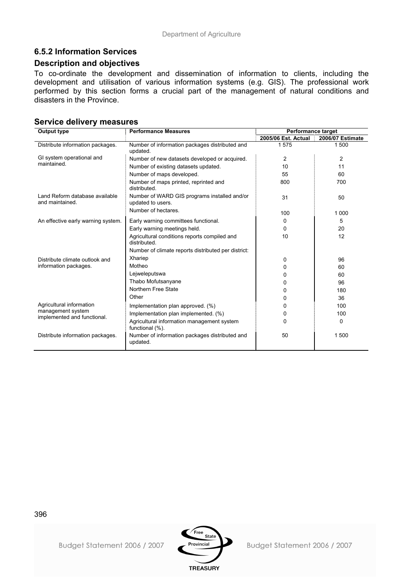## **6.5.2 Information Services**

### **Description and objectives**

To co-ordinate the development and dissemination of information to clients, including the development and utilisation of various information systems (e.g. GIS). The professional work performed by this section forms a crucial part of the management of natural conditions and disasters in the Province.

#### **Service delivery measures**

| <b>Output type</b>                                | <b>Performance Measures</b>                                       | Performance target  |                         |  |  |
|---------------------------------------------------|-------------------------------------------------------------------|---------------------|-------------------------|--|--|
|                                                   |                                                                   | 2005/06 Est. Actual | <b>2006/07 Estimate</b> |  |  |
| Distribute information packages.                  | Number of information packages distributed and<br>updated.        | 1575                | 1500                    |  |  |
| GI system operational and                         | Number of new datasets developed or acquired.                     | 2                   | 2                       |  |  |
| maintained.                                       | Number of existing datasets updated.                              | 10                  | 11                      |  |  |
|                                                   | Number of maps developed.                                         | 55                  | 60                      |  |  |
|                                                   | Number of maps printed, reprinted and<br>distributed.             | 800                 | 700                     |  |  |
| Land Reform database available<br>and maintained. | Number of WARD GIS programs installed and/or<br>updated to users. | 31                  | 50                      |  |  |
|                                                   | Number of hectares.                                               | 100                 | 1 0 0 0                 |  |  |
| An effective early warning system.                | Early warning committees functional.                              | 0                   | 5                       |  |  |
|                                                   | Early warning meetings held.                                      | 0                   | 20                      |  |  |
|                                                   | Agricultural conditions reports compiled and<br>distributed.      | 10                  | 12                      |  |  |
|                                                   | Number of climate reports distributed per district:               |                     |                         |  |  |
| Distribute climate outlook and                    | Xhariep                                                           | 0                   | 96                      |  |  |
| information packages.                             | Motheo                                                            | 0                   | 60                      |  |  |
|                                                   | Lejweleputswa                                                     | 0                   | 60                      |  |  |
|                                                   | Thabo Mofutsanyane                                                | 0                   | 96                      |  |  |
|                                                   | Northern Free State                                               | 0                   | 180                     |  |  |
|                                                   | Other                                                             | 0                   | 36                      |  |  |
| Agricultural information                          | Implementation plan approved. (%)                                 | 0                   | 100                     |  |  |
| management system<br>implemented and functional.  | Implementation plan implemented. (%)                              | 0                   | 100                     |  |  |
|                                                   | Agricultural information management system<br>functional (%).     | 0                   | 0                       |  |  |
| Distribute information packages.                  | Number of information packages distributed and<br>updated.        | 50                  | 1500                    |  |  |

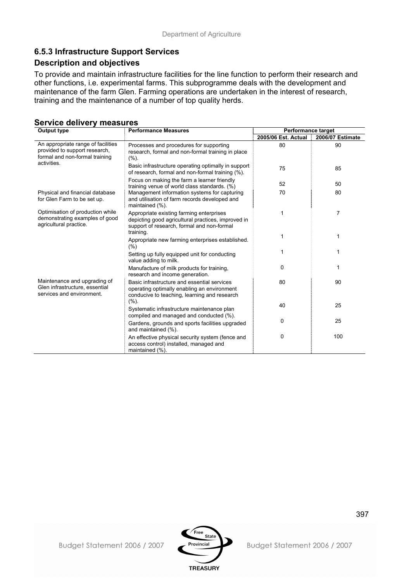## **6.5.3 Infrastructure Support Services**

### **Description and objectives**

To provide and maintain infrastructure facilities for the line function to perform their research and other functions, i.e. experimental farms. This subprogramme deals with the development and maintenance of the farm Glen. Farming operations are undertaken in the interest of research, training and the maintenance of a number of top quality herds.

### **Service delivery measures**

| <b>Output type</b>                                                                                    | <b>Performance target</b>                                                                                                                                 |                     |                  |
|-------------------------------------------------------------------------------------------------------|-----------------------------------------------------------------------------------------------------------------------------------------------------------|---------------------|------------------|
|                                                                                                       |                                                                                                                                                           | 2005/06 Est. Actual | 2006/07 Estimate |
| An appropriate range of facilities<br>provided to support research,<br>formal and non-formal training | Processes and procedures for supporting<br>research, formal and non-formal training in place<br>(%).                                                      | 80                  | 90               |
| activities.                                                                                           | Basic infrastructure operating optimally in support<br>of research, formal and non-formal training (%).                                                   | 75                  | 85               |
|                                                                                                       | Focus on making the farm a learner friendly<br>training venue of world class standards. (%)                                                               | 52                  | 50               |
| Physical and financial database<br>for Glen Farm to be set up.                                        | Management information systems for capturing<br>and utilisation of farm records developed and<br>maintained (%).                                          | 70                  | 80               |
| Optimisation of production while<br>demonstrating examples of good<br>agricultural practice.          | Appropriate existing farming enterprises<br>depicting good agricultural practices, improved in<br>support of research, formal and non-formal<br>training. | 1                   | $\overline{7}$   |
|                                                                                                       | Appropriate new farming enterprises established.<br>(%)                                                                                                   | 1                   | 1                |
|                                                                                                       | Setting up fully equipped unit for conducting<br>value adding to milk.                                                                                    |                     | 1                |
|                                                                                                       | Manufacture of milk products for training,<br>research and income generation.                                                                             | 0                   | 1                |
| Maintenance and upgrading of<br>Glen infrastructure, essential<br>services and environment.           | Basic infrastructure and essential services<br>operating optimally enabling an environment<br>conducive to teaching, learning and research<br>(%).        | 80                  | 90               |
|                                                                                                       | Systematic infrastructure maintenance plan<br>compiled and managed and conducted (%).                                                                     | 40                  | 25               |
|                                                                                                       | Gardens, grounds and sports facilities upgraded<br>and maintained (%).                                                                                    | 0                   | 25               |
|                                                                                                       | An effective physical security system (fence and<br>access control) installed, managed and<br>maintained (%).                                             | 0                   | 100              |

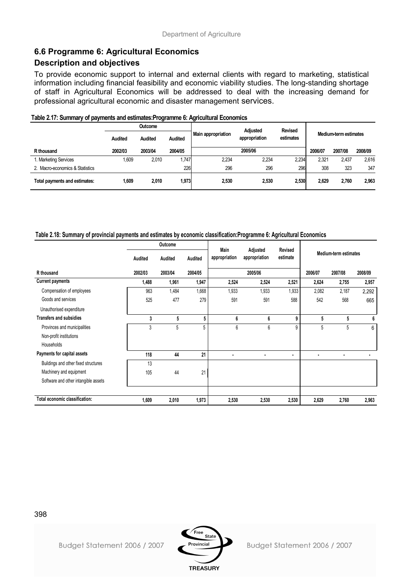## **6.6 Programme 6: Agricultural Economics**

## **Description and objectives**

To provide economic support to internal and external clients with regard to marketing, statistical information including financial feasibility and economic viability studies. The long-standing shortage of staff in Agricultural Economics will be addressed to deal with the increasing demand for professional agricultural economic and disaster management services.

| $\ldots$<br>$1.99$ where $9.1$ , $9.1$ , $9.1$ , $9.1$ , $1.0$ , $1.0$ , $1.0$ , $1.0$ , $1.0$ , $1.0$ |                |                |                |                    |                 |                |         |                       |         |
|--------------------------------------------------------------------------------------------------------|----------------|----------------|----------------|--------------------|-----------------|----------------|---------|-----------------------|---------|
|                                                                                                        |                | <b>Outcome</b> |                |                    | <b>Adiusted</b> | <b>Revised</b> |         |                       |         |
|                                                                                                        | <b>Audited</b> | <b>Audited</b> | <b>Audited</b> | Main appropriation | appropriation   | estimates      |         | Medium-term estimates |         |
| R thousand                                                                                             | 2002/03        | 2003/04        | 2004/05        |                    | 2005/06         |                | 2006/07 | 2007/08               | 2008/09 |
| 1. Marketing Services                                                                                  | 1,609          | 2.010          | .747           | 2.234              | 2,234           | 2,234          | 2.321   | 2.437                 | 2,616   |
| 2. Macro-economics & Statistics                                                                        |                |                | 226            | 296                | 296             | 296            | 308     | 323                   | 347     |
| Total payments and estimates:                                                                          | 1.609          | 2,010          | 1,973          | 2,530              | 2.530           | 2,530          | 2.629   | 2.760                 | 2,963   |

#### **Table 2.17: Summary of payments and estimates:Programme 6: Agricultural Economics**

#### **Table 2.18: Summary of provincial payments and estimates by economic classification:Programme 6: Agricultural Economics**

|                                      | Outcome |         | Main    |               |                           |                            |                       |         |         |
|--------------------------------------|---------|---------|---------|---------------|---------------------------|----------------------------|-----------------------|---------|---------|
|                                      | Audited | Audited | Audited | appropriation | Adjusted<br>appropriation | <b>Revised</b><br>estimate | Medium-term estimates |         |         |
| R thousand                           | 2002/03 | 2003/04 | 2004/05 |               | 2005/06                   |                            | 2006/07               | 2007/08 | 2008/09 |
| <b>Current payments</b>              | 1,488   | 1,961   | 1,947   | 2,524         | 2,524                     | 2,521                      | 2,624                 | 2,755   | 2,957   |
| Compensation of employees            | 963     | 1,484   | 1,668   | 1,933         | 1,933                     | 1,933                      | 2,082                 | 2,187   | 2,292   |
| Goods and services                   | 525     | 477     | 279     | 591           | 591                       | 588                        | 542                   | 568     | 665     |
| Unauthorised expenditure             |         |         |         |               |                           |                            |                       |         |         |
| <b>Transfers and subsidies</b>       | 3       | 5       | 5       | 6             | 6                         | 9                          | 5                     | 5       | 6       |
| Provinces and municipalities         | 3       | 5       | 5       | 6             | 6                         | 9                          | 5                     | 5       | 6       |
| Non-profit institutions              |         |         |         |               |                           |                            |                       |         |         |
| Households                           |         |         |         |               |                           |                            |                       |         |         |
| Payments for capital assets          | 118     | 44      | 21      |               | ٠                         | $\blacksquare$             | ٠                     |         |         |
| Buildings and other fixed structures | 13      |         |         |               |                           |                            |                       |         |         |
| Machinery and equipment              | 105     | 44      | 21      |               |                           |                            |                       |         |         |
| Software and other intangible assets |         |         |         |               |                           |                            |                       |         |         |
|                                      |         |         |         |               |                           |                            |                       |         |         |
| Total economic classification:       | 1,609   | 2,010   | 1,973   | 2,530         | 2,530                     | 2,530                      | 2,629                 | 2,760   | 2,963   |



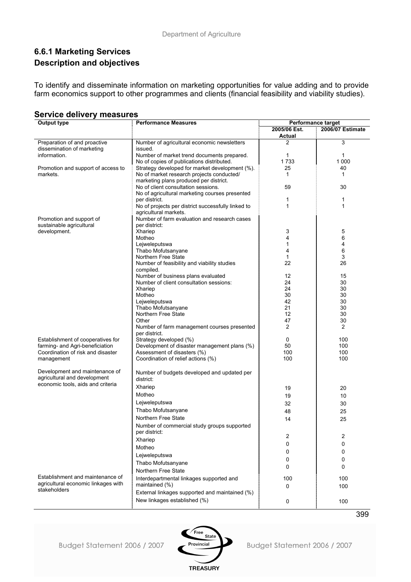## **6.6.1 Marketing Services Description and objectives**

To identify and disseminate information on marketing opportunities for value adding and to provide farm economics support to other programmes and clients (financial feasibility and viability studies).

| <br>Output type                     | <b>Performance Measures</b><br>Performance target                                   |                               |                  |  |  |
|-------------------------------------|-------------------------------------------------------------------------------------|-------------------------------|------------------|--|--|
|                                     |                                                                                     | 2005/06 Est.<br><b>Actual</b> | 2006/07 Estimate |  |  |
| Preparation of and proactive        | Number of agricultural economic newsletters                                         | 2                             | 3                |  |  |
| dissemination of marketing          | issued.                                                                             |                               |                  |  |  |
| information.                        | Number of market trend documents prepared.                                          | 1                             | 1                |  |  |
|                                     | No of copies of publications distributed.                                           | 1733                          | 1 000            |  |  |
| Promotion and support of access to  | Strategy developed for market development (%).                                      | 25                            | 40               |  |  |
| markets.                            | No of market research projects conducted/<br>marketing plans produced per district. | 1                             | 1                |  |  |
|                                     | No of client consultation sessions.                                                 | 59                            | 30               |  |  |
|                                     | No of agricultural marketing courses presented                                      |                               |                  |  |  |
|                                     | per district.                                                                       | 1                             | 1                |  |  |
|                                     | No of projects per district successfully linked to<br>agricultural markets.         | 1                             | 1                |  |  |
| Promotion and support of            | Number of farm evaluation and research cases                                        |                               |                  |  |  |
| sustainable agricultural            | per district:                                                                       |                               |                  |  |  |
| development.                        | Xhariep                                                                             | 3                             | 5                |  |  |
|                                     | Motheo                                                                              | 4                             | 6                |  |  |
|                                     | Lejweleputswa                                                                       | 1                             | 4                |  |  |
|                                     | Thabo Mofutsanyane                                                                  | 4                             | 6                |  |  |
|                                     | Northern Free State                                                                 | 1                             | 3                |  |  |
|                                     | Number of feasibility and viability studies<br>compiled.                            | 22                            | 26               |  |  |
|                                     | Number of business plans evaluated                                                  | 12                            | 15               |  |  |
|                                     | Number of client consultation sessions:                                             | 24                            | 30               |  |  |
|                                     | Xhariep                                                                             | 24                            | 30               |  |  |
|                                     | Motheo                                                                              | 30                            | 30               |  |  |
|                                     | Lejweleputswa                                                                       | 42                            | 30               |  |  |
|                                     | Thabo Mofutsanyane                                                                  | 21                            | 30               |  |  |
|                                     | Northern Free State                                                                 | 12                            | 30               |  |  |
|                                     | Other<br>Number of farm management courses presented                                | 47<br>2                       | 30<br>2          |  |  |
| Establishment of cooperatives for   | per district.<br>Strategy developed (%)                                             | 0                             | 100              |  |  |
| farming- and Agri-beneficiation     | Development of disaster management plans (%)                                        | 50                            | 100              |  |  |
| Coordination of risk and disaster   | Assessment of disasters (%)                                                         | 100                           | 100              |  |  |
| management                          | Coordination of relief actions (%)                                                  | 100                           | 100              |  |  |
| Development and maintenance of      |                                                                                     |                               |                  |  |  |
| agricultural and development        | Number of budgets developed and updated per<br>district:                            |                               |                  |  |  |
| economic tools, aids and criteria   | Xhariep                                                                             | 19                            | 20               |  |  |
|                                     | Motheo                                                                              | 19                            | 10               |  |  |
|                                     | Lejweleputswa                                                                       | 32                            | 30               |  |  |
|                                     | Thabo Mofutsanyane                                                                  | 48                            | 25               |  |  |
|                                     | Northern Free State                                                                 | 14                            | 25               |  |  |
|                                     | Number of commercial study groups supported<br>per district:                        |                               |                  |  |  |
|                                     |                                                                                     | 2                             | 2                |  |  |
|                                     | Xhariep<br>Motheo                                                                   | 0                             | 0                |  |  |
|                                     |                                                                                     | 0                             | 0                |  |  |
|                                     | Lejweleputswa                                                                       | 0                             | 0                |  |  |
|                                     | Thabo Mofutsanyane                                                                  | 0                             | 0                |  |  |
| Establishment and maintenance of    | Northern Free State                                                                 |                               |                  |  |  |
| agricultural economic linkages with | Interdepartmental linkages supported and                                            | 100                           | 100              |  |  |
| stakeholders                        | maintained (%)<br>External linkages supported and maintained (%)                    | 0                             | 100              |  |  |
|                                     | New linkages established (%)                                                        | 0                             | 100              |  |  |

#### **Service delivery measures**

Budget Statement 2006 / 2007



Budget Statement 2006 / 2007

399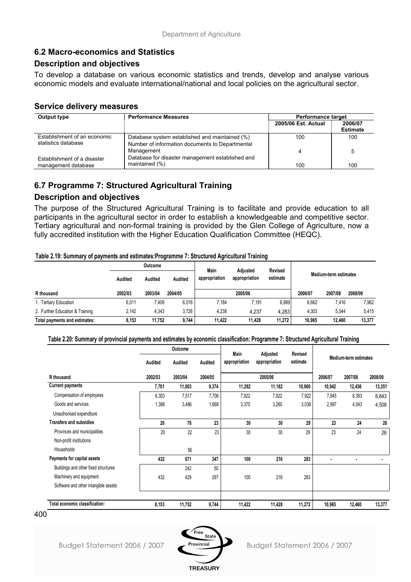## **6.2 Macro-economics and Statistics**

### **Description and objectives**

To develop a database on various economic statistics and trends, develop and analyse various economic models and evaluate international/national and local policies on the agricultural sector.

### **Service delivery measures**

| Output type                                         | <b>Performance Measures</b>                                                                       |                     |                            |  |  |
|-----------------------------------------------------|---------------------------------------------------------------------------------------------------|---------------------|----------------------------|--|--|
|                                                     |                                                                                                   | 2005/06 Est. Actual | 2006/07<br><b>Estimate</b> |  |  |
| Establishment of an economic<br>statistics database | Database system established and maintained (%)<br>Number of information documents to Departmental | 100                 | 100                        |  |  |
| Establishment of a disaster                         | Management<br>Database for disaster management established and                                    |                     | 5                          |  |  |
| management database                                 | maintained (%)                                                                                    | 100                 | 100                        |  |  |

## **6.7 Programme 7: Structured Agricultural Training**

## **Description and objectives**

The purpose of the Structured Agricultural Training is to facilitate and provide education to all participants in the agricultural sector in order to establish a knowledgeable and competitive sector. Tertiary agricultural and non-formal training is provided by the Glen College of Agriculture, now a fully accredited institution with the Higher Education Qualification Committee (HEQC).

#### **Table 2.19: Summary of payments and estimates:Programme 7: Structured Agricultural Training**

|                                 |         | Main    | Adiusted | <b>Revised</b>                                                      |         |        |         |         |         |
|---------------------------------|---------|---------|----------|---------------------------------------------------------------------|---------|--------|---------|---------|---------|
|                                 | Audited | Audited | Audited  | Medium-term estimates<br>appropriation<br>appropriation<br>estimate |         |        |         |         |         |
| R thousand                      | 2002/03 | 2003/04 | 2004/05  |                                                                     | 2005/06 |        | 2006/07 | 2007/08 | 2008/09 |
| 1. Tertiary Education           | 6,011   | 409.    | 6,018    | 7.184                                                               | 7.191   | 6,989  | 6,662   | 7,416   | 7,962   |
| 2. Further Education & Training | 2.142   | 4,343   | 3.726    | 4.238                                                               | 4.237   | 4.283  | 4,303   | 5,044   | 5,415   |
| Total payments and estimates:   | 8,153   | 11.752  | 9.744    | 11.422                                                              | 11.428  | 11.272 | 10.965  | 12.460  | 13,377  |

#### **Table 2.20: Summary of provincial payments and estimates by economic classification: Programme 7: Structured Agricultural Training**

|                                      |         | Outcome |                | Main          | Adjusted      | <b>Revised</b> |         |                       |         |
|--------------------------------------|---------|---------|----------------|---------------|---------------|----------------|---------|-----------------------|---------|
|                                      | Audited | Audited | <b>Audited</b> | appropriation | appropriation | estimate       |         | Medium-term estimates |         |
| R thousand                           | 2002/03 | 2003/04 | 2004/05        |               | 2005/06       |                | 2006/07 | 2007/08               | 2008/09 |
| <b>Current payments</b>              | 7,701   | 11,003  | 9,374          | 11,292        | 11,182        | 10,960         | 10,942  | 12,436                | 13,351  |
| Compensation of employees            | 6,303   | 7,517   | 7,706          | 7,922         | 7,922         | 7,922          | 7,945   | 8,393                 | 8,843   |
| Goods and services                   | 1,398   | 3,486   | 1,668          | 3,370         | 3,260         | 3,038          | 2,997   | 4,043                 | 4,508   |
| Unauthorised expenditure             |         |         |                |               |               |                |         |                       |         |
| <b>Transfers and subsidies</b>       | 20      | 78      | 23             | 30            | 30            | 29             | 23      | 24                    | 26      |
| Provinces and municipalities         | 20      | 22      | 23             | 30            | 30            | 29             | 23      | 24                    | 26      |
| Non-profit institutions              |         |         |                |               |               |                |         |                       |         |
| Households                           |         | 56      |                |               |               |                |         |                       |         |
| Payments for capital assets          | 432     | 671     | 347            | 100           | 216           | 283            |         |                       |         |
| Buildings and other fixed structures |         | 242     | 50             |               |               |                |         |                       |         |
| Machinery and equipment              | 432     | 429     | 297            | 100           | 216           | 283            |         |                       |         |
| Software and other intangible assets |         |         |                |               |               |                |         |                       |         |
|                                      |         |         |                |               |               |                |         |                       |         |
| Total economic classification:       | 8,153   | 11,752  | 9,744          | 11,422        | 11,428        | 11,272         | 10,965  | 12,460                | 13,377  |

400



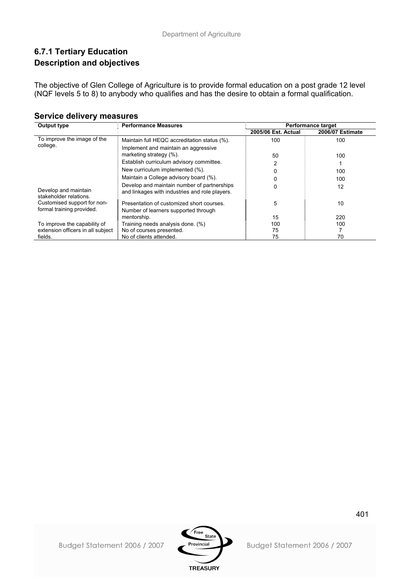## **6.7.1 Tertiary Education Description and objectives**

The objective of Glen College of Agriculture is to provide formal education on a post grade 12 level (NQF levels 5 to 8) to anybody who qualifies and has the desire to obtain a formal qualification.

| Output type                                    | <b>Performance Measures</b>                                                                   |                     | <b>Performance target</b> |
|------------------------------------------------|-----------------------------------------------------------------------------------------------|---------------------|---------------------------|
|                                                |                                                                                               | 2005/06 Est. Actual | <b>2006/07 Estimate</b>   |
| To improve the image of the                    | Maintain full HEQC accreditation status (%).                                                  | 100                 | 100                       |
| college.                                       | Implement and maintain an aggressive                                                          |                     |                           |
|                                                | marketing strategy (%).                                                                       | 50                  | 100                       |
|                                                | Establish curriculum advisory committee.                                                      | 2                   |                           |
|                                                | New curriculum implemented (%).                                                               | 0                   | 100                       |
|                                                | Maintain a College advisory board (%).                                                        |                     | 100                       |
| Develop and maintain<br>stakeholder relations. | Develop and maintain number of partnerships<br>and linkages with industries and role players. | 0                   | 12                        |
| Customised support for non-                    | Presentation of customized short courses.                                                     | 5                   | 10                        |
| formal training provided.                      | Number of learners supported through<br>mentorship.                                           | 15                  | 220                       |
| To improve the capability of                   | Training needs analysis done. (%)                                                             | 100                 | 100                       |
| extension officers in all subject              | No of courses presented.                                                                      | 75                  |                           |
| fields.                                        | No of clients attended.                                                                       | 75                  | 70                        |

### **Service delivery measures**

Budget Statement 2006 / 2007

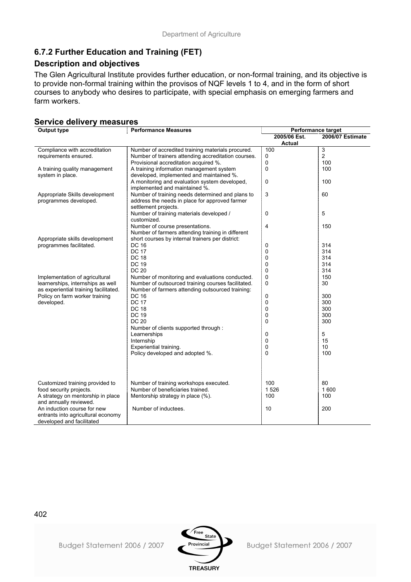## **6.7.2 Further Education and Training (FET)**

### **Description and objectives**

The Glen Agricultural Institute provides further education, or non-formal training, and its objective is to provide non-formal training within the provisos of NQF levels 1 to 4, and in the form of short courses to anybody who desires to participate, with special emphasis on emerging farmers and farm workers.

### **Service delivery measures**

| <b>Output type</b>                    | <b>Performance Measures</b>                         | Performance target |                         |
|---------------------------------------|-----------------------------------------------------|--------------------|-------------------------|
|                                       |                                                     | 2005/06 Est.       | <b>2006/07 Estimate</b> |
|                                       |                                                     | <b>Actual</b>      |                         |
| Compliance with accreditation         | Number of accredited training materials procured.   | 100                | 3                       |
| requirements ensured.                 | Number of trainers attending accreditation courses. | 0                  | $\overline{c}$          |
|                                       | Provisional accreditation acquired %.               | 0                  | 100                     |
| A training quality management         | A training information management system            | 0                  | 100                     |
| system in place.                      | developed, implemented and maintained %.            |                    |                         |
|                                       | A monitoring and evaluation system developed,       | 0                  | 100                     |
|                                       | implemented and maintained %.                       |                    |                         |
| Appropriate Skills development        | Number of training needs determined and plans to    | 3                  | 60                      |
| programmes developed.                 | address the needs in place for approved farmer      |                    |                         |
|                                       | settlement projects.                                |                    |                         |
|                                       | Number of training materials developed /            | 0                  | 5                       |
|                                       | customized.                                         |                    |                         |
|                                       | Number of course presentations.                     | 4                  | 150                     |
|                                       | Number of farmers attending training in different   |                    |                         |
| Appropriate skills development        | short courses by internal trainers per district:    |                    |                         |
| programmes facilitated.               | <b>DC 16</b>                                        | 0                  | 314                     |
|                                       | <b>DC 17</b>                                        | 0                  | 314                     |
|                                       | <b>DC 18</b>                                        | 0                  | 314                     |
|                                       | <b>DC 19</b>                                        | 0                  | 314                     |
|                                       | <b>DC 20</b>                                        | 0                  | 314                     |
| Implementation of agricultural        | Number of monitoring and evaluations conducted.     | 0                  | 150                     |
| learnerships, internships as well     | Number of outsourced training courses facilitated.  | 0                  | 30                      |
| as experiential training facilitated. | Number of farmers attending outsourced training:    |                    |                         |
| Policy on farm worker training        | DC 16                                               | 0                  | 300                     |
| developed.                            | <b>DC 17</b>                                        | 0                  | 300                     |
|                                       | <b>DC 18</b>                                        |                    |                         |
|                                       |                                                     | 0                  | 300                     |
|                                       | DC 19                                               | 0                  | 300                     |
|                                       | <b>DC 20</b>                                        | 0                  | 300                     |
|                                       | Number of clients supported through :               |                    |                         |
|                                       | Learnerships                                        | 0                  | 5                       |
|                                       | Internship                                          | 0                  | 15                      |
|                                       | Experiential training.                              | 0                  | 10                      |
|                                       | Policy developed and adopted %.                     | 0                  | 100                     |
|                                       |                                                     |                    |                         |
|                                       |                                                     |                    |                         |
|                                       |                                                     |                    |                         |
| Customized training provided to       | Number of training workshops executed.              | 100                | 80                      |
| food security projects.               | Number of beneficiaries trained.                    | 1526               | 1 600                   |
| A strategy on mentorship in place     | Mentorship strategy in place (%).                   | 100                | 100                     |
| and annually reviewed.                |                                                     |                    |                         |
| An induction course for new           | Number of inductees.                                | 10                 | 200                     |
| entrants into agricultural economy    |                                                     |                    |                         |
| developed and facilitated             |                                                     |                    |                         |
|                                       |                                                     |                    |                         |

402

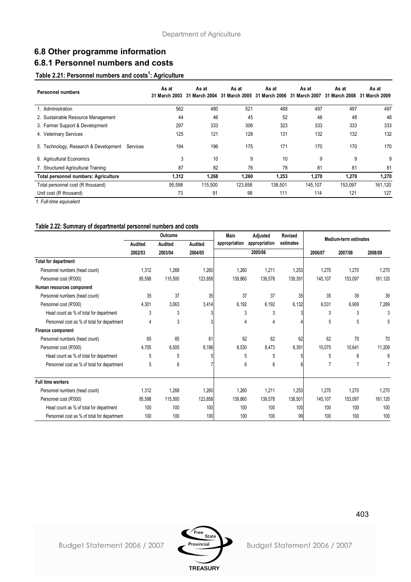## **6.8 Other programme information 6.8.1 Personnel numbers and costs**

#### **Table 2.21: Personnel numbers and costs1 : Agriculture**

| <b>Personnel numbers</b>                          | As at<br><b>31 March 2003</b> | As at<br>31 March 2004 | As at<br>31 March 2005 | As at<br>31 March 2006 31 March 2007 | As at   | As at<br>31 March 2008 | As at<br>31 March 2009 |
|---------------------------------------------------|-------------------------------|------------------------|------------------------|--------------------------------------|---------|------------------------|------------------------|
| . Administration                                  | 562                           | 480                    | 521                    | 488                                  | 497     | 497                    | 497                    |
| 2. Sustainable Resource Management                | 44                            | 46                     | 45                     | 52                                   | 48      | 48                     | 48                     |
| 3. Farmer Support & Development                   | 297                           | 333                    | 306                    | 323                                  | 333     | 333                    | 333                    |
| 4. Veterinary Services                            | 125                           | 121                    | 128                    | 131                                  | 132     | 132                    | 132                    |
| 5. Technology, Research & Development<br>Services | 194                           | 196                    | 175                    | 171                                  | 170     | 170                    | 170                    |
| 6. Agricultural Economics                         | 3                             | 10                     | 9                      | 10                                   | 9       | 9                      | 9                      |
| 7. Structured Agricultural Training               | 87                            | 82                     | 76                     | 78                                   | 81      | 81                     | 81                     |
| Total personnel numbers: Agriculture              | 1,312                         | 1,268                  | 1,260                  | 1,253                                | 1,270   | 1,270                  | 1,270                  |
| Total personnel cost (R thousand)                 | 95,598                        | 115,500                | 123,858                | 138,501                              | 145,107 | 153.097                | 161,120                |
| Unit cost (R thousand)                            | 73                            | 91                     | 98                     | 111                                  | 114     | 121                    | 127                    |

*1. Full-time equivalent*

#### **Table 2.22: Summary of departmental personnel numbers and costs**

|                                             |         | Outcome |                | Main          | Adjusted      | <b>Revised</b> | <b>Medium-term estimates</b> |                |              |
|---------------------------------------------|---------|---------|----------------|---------------|---------------|----------------|------------------------------|----------------|--------------|
|                                             | Audited | Audited | <b>Audited</b> | appropriation | appropriation | estimates      |                              |                |              |
|                                             | 2002/03 | 2003/04 | 2004/05        |               | 2005/06       |                | 2006/07                      | 2007/08        | 2008/09      |
| <b>Total for department</b>                 |         |         |                |               |               |                |                              |                |              |
| Personnel numbers (head count)              | 1,312   | 1,268   | 1,260          | 1,260         | 1,211         | 1,253          | 1.270                        | 1.270          | 1,270        |
| Personnel cost (R'000)                      | 95,598  | 115,500 | 123,858        | 139,860       | 139,578       | 139,391        | 145,107                      | 153,097        | 161,120      |
| Human resources component                   |         |         |                |               |               |                |                              |                |              |
| Personnel numbers (head count)              | 35      | 37      | 35             | 37            | 37            | 35             | 35                           | 39             | 39           |
| Personnel cost (R'000)                      | 4,301   | 3,063   | 3,414          | 6,192         | 6,192         | 6,132          | 6,531                        | 6,909          | 7,289        |
| Head count as % of total for department     | 3       | 3       |                | 3             | 3             |                | 3                            | 3              | 3            |
| Personnel cost as % of total for department | 4       | 3       |                | 4             | 4             |                | 5                            | 5              | 5            |
| <b>Finance component</b>                    |         |         |                |               |               |                |                              |                |              |
| Personnel numbers (head count)              | 65      | 65      | 61             | 62            | 62            | 62             | 62                           | 70             | 70           |
| Personnel cost (R'000)                      | 4,705   | 6,505   | 8,196          | 8,530         | 8,473         | 8,391          | 10,075                       | 10,641         | 11,208       |
| Head count as % of total for department     | 5       | 5       |                | 5             | 5             |                | 5                            | 6              | $\mathsf{f}$ |
| Personnel cost as % of total for department | 5       | 6       |                | 6             | 6             |                |                              | $\overline{7}$ |              |
| <b>Full time workers</b>                    |         |         |                |               |               |                |                              |                |              |
| Personnel numbers (head count)              | 1,312   | 1,268   | 1,260          | 1,260         | 1,211         | 1,253          | 1,270                        | 1,270          | 1,270        |
| Personnel cost (R'000)                      | 95,598  | 115,500 | 123,858        | 139,860       | 139,578       | 138,501        | 145,107                      | 153,097        | 161,120      |
| Head count as % of total for department     | 100     | 100     | 100            | 100           | 100           | 100            | 100                          | 100            | 100          |
| Personnel cost as % of total for department | 100     | 100     | 100            | 100           | 100           | 99             | 100                          | 100            | 100          |

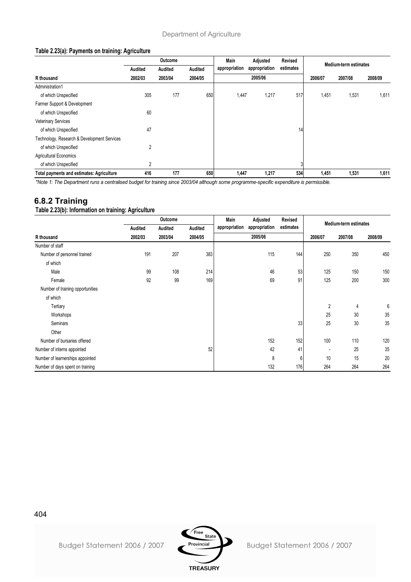#### **Table 2.23(a): Payments on training: Agriculture**

|                                                  | <b>Outcome</b><br>Main<br>Adjusted<br>Revised |         |         | Medium-term estimates |                            |     |         |         |         |
|--------------------------------------------------|-----------------------------------------------|---------|---------|-----------------------|----------------------------|-----|---------|---------|---------|
|                                                  | Audited                                       | Audited | Audited | appropriation         | estimates<br>appropriation |     |         |         |         |
| R thousand                                       | 2002/03                                       | 2003/04 | 2004/05 |                       | 2005/06                    |     | 2006/07 | 2007/08 | 2008/09 |
| Administration1                                  |                                               |         |         |                       |                            |     |         |         |         |
| of which Unspecified                             | 305                                           | 177     | 650     | 1,447                 | 1,217                      | 517 | 1,451   | 1,531   | 1,611   |
| Farmer Support & Development                     |                                               |         |         |                       |                            |     |         |         |         |
| of which Unspecified                             | 60                                            |         |         |                       |                            |     |         |         |         |
| <b>Veterinary Services</b>                       |                                               |         |         |                       |                            |     |         |         |         |
| of which Unspecified                             | 47                                            |         |         |                       |                            | 14  |         |         |         |
| Technology, Research & Development Services      |                                               |         |         |                       |                            |     |         |         |         |
| of which Unspecified                             | $\overline{2}$                                |         |         |                       |                            |     |         |         |         |
| <b>Agricultural Economics</b>                    |                                               |         |         |                       |                            |     |         |         |         |
| of which Unspecified                             | 2                                             |         |         |                       |                            | 3   |         |         |         |
| <b>Total payments and estimates: Agriculture</b> | 416                                           | 177     | 650     | 1,447                 | 1,217                      | 534 | 1,451   | 1,531   | 1,611   |

*\*Note 1: The Department runs a centralised budget for training since 2003/04 although some programme-specific expenditure is permissible.*

## **6.8.2 Training**

**Table 2.23(b): Information on training: Agriculture**

|                                  |         | Outcome |         | Main          | Adjusted      | Revised   |                | <b>Medium-term estimates</b> |         |
|----------------------------------|---------|---------|---------|---------------|---------------|-----------|----------------|------------------------------|---------|
|                                  | Audited | Audited | Audited | appropriation | appropriation | estimates |                |                              |         |
| R thousand                       | 2002/03 | 2003/04 | 2004/05 |               | 2005/06       |           | 2006/07        | 2007/08                      | 2008/09 |
| Number of staff                  |         |         |         |               |               |           |                |                              |         |
| Number of personnel trained      | 191     | 207     | 383     |               | 115           | 144       | 250            | 350                          | 450     |
| of which                         |         |         |         |               |               |           |                |                              |         |
| Male                             | 99      | 108     | 214     |               | 46            | 53        | 125            | 150                          | 150     |
| Female                           | 92      | 99      | 169     |               | 69            | 91        | 125            | 200                          | 300     |
| Number of training opportunities |         |         |         |               |               |           |                |                              |         |
| of which                         |         |         |         |               |               |           |                |                              |         |
| Tertiary                         |         |         |         |               |               |           | $\overline{2}$ | 4                            | 6       |
| Workshops                        |         |         |         |               |               |           | 25             | 30                           | 35      |
| Seminars                         |         |         |         |               |               | 33        | 25             | 30                           | 35      |
| Other                            |         |         |         |               |               |           |                |                              |         |
| Number of bursaries offered      |         |         |         |               | 152           | 152       | 100            | 110                          | 120     |
| Number of interns appointed      |         |         | 52      |               | 42            | 41        |                | 25                           | 35      |
| Number of learnerships appointed |         |         |         |               | 8             | 6         | 10             | 15                           | 20      |
| Number of days spent on training |         |         |         |               | 132           | 176       | 264            | 264                          | 264     |

404



Budget Statement 2006 / 2007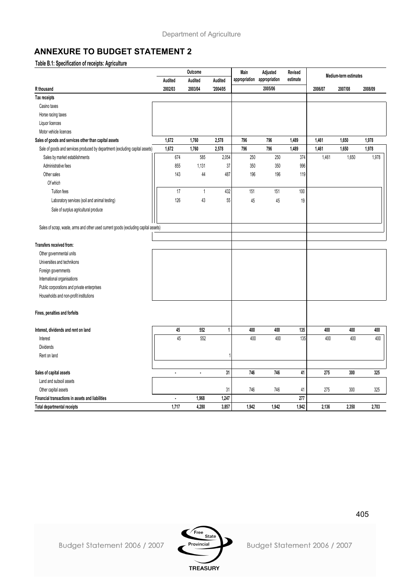## **ANNEXURE TO BUDGET STATEMENT 2**

#### **Table B.1: Specification of receipts: Agriculture**

|                                                                                     |         | Outcome        |             | Main          | Adjusted      | Revised   | Medium-term estimates<br>2007/08<br>2006/07 |       |         |
|-------------------------------------------------------------------------------------|---------|----------------|-------------|---------------|---------------|-----------|---------------------------------------------|-------|---------|
|                                                                                     | Audited | <b>Audited</b> | Audited     | appropriation | appropriation | estimate  |                                             |       |         |
| R thousand                                                                          | 2002/03 | 2003/04        | '2004/05    |               | 2005/06       |           |                                             |       | 2008/09 |
| Tax receipts                                                                        |         |                |             |               |               |           |                                             |       |         |
| Casino taxes                                                                        |         |                |             |               |               |           |                                             |       |         |
| Horse racing taxes                                                                  |         |                |             |               |               |           |                                             |       |         |
| Liquor licences                                                                     |         |                |             |               |               |           |                                             |       |         |
| Motor vehicle licences                                                              |         |                |             |               |               |           |                                             |       |         |
| Sales of goods and services other than capital assets                               | 1,672   | 1,760          | 2,578       | 796           | 796           | 1,489     | 1,461                                       | 1,650 | 1,978   |
| Sale of goods and services produced by department (excluding capital assets)        | 1,672   | 1,760          | 2,578       | 796           | 796           | 1,489     | 1,461                                       | 1,650 | 1,978   |
| Sales by market establishments                                                      | 674     | 585            | 2,054       | 250           | 250           | 374       | 1,461                                       | 1,650 | 1,978   |
| Administrative fees                                                                 | 855     | 1,131          | 37          | 350           | 350           | 996       |                                             |       |         |
| Other sales                                                                         | 143     | 44             | 487         | 196           | 196           | 119       |                                             |       |         |
| Of which                                                                            |         |                |             |               |               |           |                                             |       |         |
| Tuition fees                                                                        | 17      | $\mathbf{1}$   | 432         | 151           | 151           | 100       |                                             |       |         |
| Laboratory services (soil and animal testing)                                       | 126     | 43             | 55          | 45            | 45            | 19        |                                             |       |         |
| Sale of surplus agricultural produce                                                |         |                |             |               |               |           |                                             |       |         |
| Sales of scrap, waste, arms and other used current goods (excluding capital assets) |         |                |             |               |               |           |                                             |       |         |
| Transfers received from:                                                            |         |                |             |               |               |           |                                             |       |         |
| Other governmental units                                                            |         |                |             |               |               |           |                                             |       |         |
| Universities and technikons                                                         |         |                |             |               |               |           |                                             |       |         |
| Foreign governments                                                                 |         |                |             |               |               |           |                                             |       |         |
| International organisations                                                         |         |                |             |               |               |           |                                             |       |         |
| Public corporations and private enterprises                                         |         |                |             |               |               |           |                                             |       |         |
| Households and non-profit institutions                                              |         |                |             |               |               |           |                                             |       |         |
| Fines, penalties and forfeits                                                       |         |                |             |               |               |           |                                             |       |         |
| Interest, dividends and rent on land                                                | 45      | 552            | 1           | 400           | 400           | 135       | 400                                         | 400   | 400     |
| Interest                                                                            | 45      | 552            |             | 400           | 400           | 135       | 400                                         | 400   | 400     |
| Dividends                                                                           |         |                |             |               |               |           |                                             |       |         |
| Rent on land                                                                        |         |                |             |               |               |           |                                             |       |         |
| Sales of capital assets                                                             | i,      | ä,             | 31          | 746           | 746           | 41        | 275                                         | 300   | 325     |
| Land and subsoil assets                                                             |         |                |             |               |               |           |                                             |       |         |
|                                                                                     |         |                |             |               | 746           |           |                                             | 300   |         |
| Other capital assets<br>Financial transactions in assets and liabilities            | ×       | 1,968          | 31<br>1,247 | 746           |               | 41<br>277 | 275                                         |       | 325     |
| <b>Total departmental receipts</b>                                                  | 1.717   | 4.280          | 3,857       | 1.942         | 1.942         | 1.942     | 2.136                                       | 2.350 | 2.703   |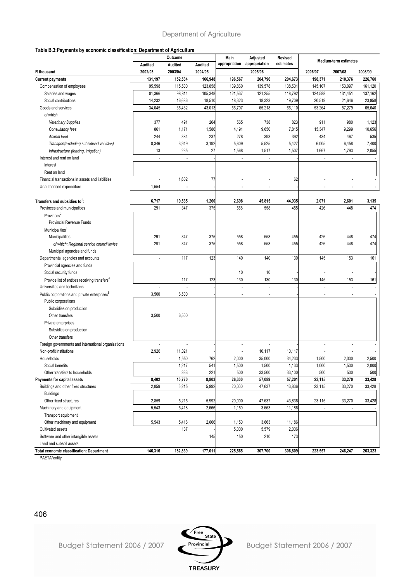#### **Table B.3:Payments by economic classification: Department of Agriculture**

|                                                                                          |                          | Outcome                  |         | Main                        | Adjusted                 | Revised   |                          | <b>Medium-term estimates</b> |         |
|------------------------------------------------------------------------------------------|--------------------------|--------------------------|---------|-----------------------------|--------------------------|-----------|--------------------------|------------------------------|---------|
|                                                                                          | Audited                  | Audited                  | Audited | appropriation appropriation |                          | estimates |                          |                              |         |
| R thousand                                                                               | 2002/03                  | 2003/04                  | 2004/05 |                             | 2005/06                  |           | 2006/07                  | 2007/08                      | 2008/09 |
| <b>Current payments</b>                                                                  | 131,197                  | 152,534                  | 166,948 | 196,567                     | 204,796                  | 204,673   | 198,371                  | 210,376                      | 226,760 |
| Compensation of employees                                                                | 95,598                   | 115,500                  | 123,858 | 139,860                     | 139,578                  | 138,501   | 145,107                  | 153,097                      | 161,120 |
| Salaries and wages                                                                       | 81,366                   | 98,814                   | 105,348 | 121,537                     | 121,255                  | 118,792   | 124,588                  | 131,451                      | 137,162 |
| Social contributions                                                                     | 14,232                   | 16,686                   | 18,510  | 18,323                      | 18,323                   | 19,709    | 20,519                   | 21,646                       | 23,958  |
| Goods and services                                                                       | 34,045                   | 35,432                   | 43,013  | 56,707                      | 65,218                   | 66,110    | 53,264                   | 57,279                       | 65,640  |
| of which                                                                                 |                          |                          |         |                             |                          |           |                          |                              |         |
| <b>Veterinary Supplies</b>                                                               | 377                      | 491                      | 264     | 565                         | 738                      | 823       | 911                      | 980                          | 1,123   |
| Consultancy fees                                                                         | 861                      | 1,171                    | 1,586   | 4,191                       | 9,650                    | 7,815     | 15,347                   | 9,299                        | 10,656  |
| Animal feed                                                                              | 244                      | 384                      | 237     | 278                         | 393                      | 392       | 434                      | 467                          | 535     |
| Transport(excluding subsidised vehicles)                                                 | 8,346                    | 3,949                    | 3,192   | 5,609                       | 5,525                    | 5,427     | 6,005                    | 6,458                        | 7,400   |
| Infrastructure (fencing, irrigation)                                                     | 13                       | 235                      | 27      | 1,568                       | 1,517                    | 1,507     | 1,667                    | 1,793                        | 2,055   |
| Interest and rent on land                                                                | $\blacksquare$           | $\overline{\phantom{a}}$ |         | $\overline{\phantom{a}}$    | ÷.                       |           | $\overline{\phantom{a}}$ | $\overline{\phantom{a}}$     |         |
| Interest                                                                                 |                          |                          |         |                             |                          |           |                          |                              |         |
| Rent on land                                                                             |                          |                          |         |                             |                          |           |                          |                              |         |
| Financial transactions in assets and liabilities                                         |                          | 1,602                    | 77      | L,                          | $\overline{\phantom{a}}$ | 62        | $\overline{a}$           | $\blacksquare$               |         |
| Unauthorised expenditure                                                                 | 1,554                    | $\blacksquare$           |         | $\overline{a}$              | $\overline{\phantom{a}}$ |           | $\overline{\phantom{a}}$ | $\overline{a}$               |         |
|                                                                                          |                          |                          |         |                             |                          |           |                          |                              |         |
| Transfers and subsidies to <sup>1</sup> :                                                | 6,717                    | 19,535                   | 1,260   | 2,698                       | 45,815                   | 44,935    | 2,071                    | 2,601                        | 3,135   |
| Provinces and municipalities                                                             | 291                      | 347                      | 375     | 558                         | 558                      | 455       | 426                      | 448                          | 474     |
| Provinces <sup>2</sup>                                                                   |                          |                          |         |                             |                          |           |                          |                              |         |
| <b>Provincial Revenue Funds</b>                                                          |                          |                          |         |                             |                          |           |                          |                              |         |
| Municipalities <sup>3</sup>                                                              |                          |                          |         |                             |                          |           |                          |                              |         |
| Municipalities                                                                           | 291                      | 347                      | 375     | 558                         | 558                      | 455       | 426                      | 448                          | 474     |
| of which: Regional service council levies                                                | 291                      | 347                      | 375     | 558                         | 558                      | 455       | 426                      | 448                          | 474     |
| Municipal agencies and funds                                                             |                          |                          |         |                             |                          |           |                          |                              |         |
| Departmental agencies and accounts                                                       | $\overline{\phantom{a}}$ | 117                      | 123     | 140                         | 140                      | 130       | 145                      | 153                          | 161     |
| Provincial agencies and funds                                                            |                          |                          |         |                             |                          |           |                          |                              |         |
| Social security funds                                                                    |                          |                          |         | 10                          | 10                       |           |                          |                              |         |
|                                                                                          |                          | 117                      | 123     | 130                         | 130                      | 130       | 145                      | 153                          | 161     |
| Provide list of entities receiving transfers <sup>4</sup><br>Universities and technikons |                          |                          |         | Ĭ.                          | L,                       |           |                          |                              |         |
|                                                                                          | 3,500                    | 6,500                    |         |                             |                          |           |                          |                              |         |
| Public corporations and private enterprises <sup>3</sup>                                 |                          |                          |         |                             |                          |           |                          |                              |         |
| Public corporations                                                                      |                          |                          |         |                             |                          |           |                          |                              |         |
| Subsidies on production                                                                  |                          |                          |         |                             |                          |           |                          |                              |         |
| Other transfers                                                                          | 3,500                    | 6,500                    |         |                             |                          |           |                          |                              |         |
| Private enterprises                                                                      |                          |                          |         |                             |                          |           |                          |                              |         |
| Subsidies on production                                                                  |                          |                          |         |                             |                          |           |                          |                              |         |
| Other transfers                                                                          |                          |                          |         |                             |                          |           |                          |                              |         |
| Foreign governments and international organisations                                      |                          |                          |         |                             | $\overline{\phantom{a}}$ |           |                          |                              |         |
| Non-profit institutions                                                                  | 2,926                    | 11,021                   |         |                             | 10,117                   | 10,117    |                          |                              |         |
| Households                                                                               |                          | 1,550                    | 762     | 2,000                       | 35,000                   | 34,233    | 1,500                    | 2,000                        | 2,500   |
| Social benefits                                                                          |                          | 1,217                    | 541     | 1,500                       | 1,500                    | 1,133     | 1,000                    | 1,500                        | 2,000   |
| Other transfers to households                                                            |                          | 333                      | 221     | 500                         | 33,500                   | 33,100    | 500                      | 500                          | 500     |
| Payments for capital assets                                                              | 8,402                    | 10,770                   | 8,803   | 26,300                      | 57,089                   | 57,201    | 23,115                   | 33,270                       | 33,428  |
| Buildings and other fixed structures                                                     | 2,859                    | 5,215                    | 5,992   | 20,000                      | 47,637                   | 43,836    | 23,115                   | 33,270                       | 33,428  |
| <b>Buildings</b>                                                                         |                          |                          |         |                             |                          |           |                          |                              |         |
| Other fixed structures                                                                   | 2,859                    | 5,215                    | 5,992   | 20,000                      | 47,637                   | 43,836    | 23,115                   | 33,270                       | 33,428  |
| Machinery and equipment                                                                  | 5,543                    | 5,418                    | 2,666   | 1,150                       | 3,663                    | 11,186    | $\overline{\phantom{a}}$ | $\overline{\phantom{a}}$     |         |
| Transport equipment                                                                      |                          |                          |         |                             |                          |           |                          |                              |         |
| Other machinery and equipment                                                            | 5,543                    | 5,418                    | 2,666   | 1,150                       | 3,663                    | 11,186    |                          |                              |         |
| Cultivated assets                                                                        |                          | 137                      |         | 5,000                       | 5,579                    | 2,006     |                          |                              |         |
| Software and other intangible assets                                                     |                          |                          | 145     | 150                         | 210                      | 173       |                          |                              |         |
| Land and subsoil assets                                                                  |                          |                          |         |                             |                          |           |                          |                              |         |
| <b>Total economic classification: Department</b>                                         | 146,316                  | 182,839                  | 177,011 | 225,565                     | 307,700                  | 306,809   | 223,557                  | 246,247                      | 263,323 |

PAETA\*entity

406



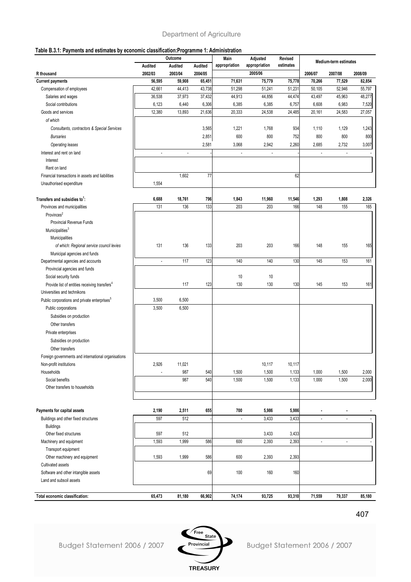#### **Table B.3.1: Payments and estimates by economic classification:Programme 1: Administration**

| apic Dio.  . ayments and countaies by                     | conforme classification.i regramme in Administration | Outcome                  |         | Main                     | Adjusted      | Revised   |                          |                       |                |
|-----------------------------------------------------------|------------------------------------------------------|--------------------------|---------|--------------------------|---------------|-----------|--------------------------|-----------------------|----------------|
|                                                           | Audited                                              | Audited                  | Audited | appropriation            | appropriation | estimates |                          | Medium-term estimates |                |
| R thousand                                                | 2002/03                                              | 2003/04                  | 2004/05 |                          | 2005/06       |           | 2006/07                  | 2007/08               | 2008/09        |
| <b>Current payments</b>                                   | 56,595                                               | 59,908                   | 65,451  | 71,631                   | 75,779        | 75,778    | 70,266                   | 77,529                | 82,854         |
| Compensation of employees                                 | 42,661                                               | 44,413                   | 43,738  | 51,298                   | 51,241        | 51,231    | 50,105                   | 52,946                | 55,797         |
| Salaries and wages                                        | 36,538                                               | 37,973                   | 37,432  | 44,913                   | 44,856        | 44,474    | 43,497                   | 45,963                | 48,277         |
| Social contributions                                      | 6,123                                                | 6,440                    | 6,306   | 6,385                    | 6,385         | 6,757     | 6,608                    | 6,983                 | 7,520          |
| Goods and services                                        | 12,380                                               | 13,893                   | 21,636  | 20,333                   | 24,538        | 24,485    | 20,161                   | 24,583                | 27,057         |
| of which                                                  |                                                      |                          |         |                          |               |           |                          |                       |                |
| Consultants, contractors & Special Services               |                                                      |                          | 3,565   | 1,221                    | 1,768         | 934       | 1,110                    | 1,129                 | 1,243          |
| <b>Bursaries</b>                                          |                                                      |                          | 2,851   | 600                      | 800           | 752       | 800                      | 800                   | 800            |
| Operating leases                                          |                                                      |                          | 2,581   | 3,068                    | 2,942         | 2,260     | 2,685                    | 2,732                 | 3,007          |
| Interest and rent on land                                 | ×                                                    | $\overline{\phantom{a}}$ |         | $\overline{\phantom{a}}$ |               |           | $\overline{\phantom{a}}$ |                       |                |
| Interest                                                  |                                                      |                          |         |                          |               |           |                          |                       |                |
| Rent on land                                              |                                                      |                          |         |                          |               |           |                          |                       |                |
| Financial transactions in assets and liabilities          |                                                      | 1,602                    | 77      |                          |               | 62        |                          |                       |                |
| Unauthorised expenditure                                  | 1,554                                                |                          |         |                          |               |           |                          |                       |                |
|                                                           |                                                      |                          |         |                          |               |           |                          |                       |                |
| Transfers and subsidies to <sup>1</sup> :                 | 6,688                                                | 18,761                   | 796     | 1,843                    | 11,960        | 11,546    | 1,293                    | 1,808                 | 2,326          |
| Provinces and municipalities                              | 131                                                  | 136                      | 133     | 203                      | 203           | 166       | 148                      | 155                   | 165            |
| Provinces <sup>2</sup>                                    |                                                      |                          |         |                          |               |           |                          |                       |                |
| Provincial Revenue Funds                                  |                                                      |                          |         |                          |               |           |                          |                       |                |
| Municipalities <sup>3</sup>                               |                                                      |                          |         |                          |               |           |                          |                       |                |
| Municipalities                                            |                                                      |                          |         |                          |               |           |                          |                       |                |
| of which: Regional service council levies                 | 131                                                  | 136                      | 133     | 203                      | 203           | 166       | 148                      | 155                   | 165            |
| Municipal agencies and funds                              |                                                      |                          |         |                          |               |           |                          |                       |                |
| Departmental agencies and accounts                        | ÷,                                                   | 117                      | 123     | 140                      | 140           | 130       | 145                      | 153                   | 161            |
| Provincial agencies and funds                             |                                                      |                          |         |                          |               |           |                          |                       |                |
| Social security funds                                     |                                                      |                          |         | 10                       | 10            |           |                          |                       |                |
| Provide list of entities receiving transfers <sup>4</sup> |                                                      | 117                      | 123     | 130                      | 130           | 130       | 145                      | 153                   | 161            |
| Universities and technikons                               |                                                      |                          |         |                          |               |           |                          |                       |                |
| Public corporations and private enterprises <sup>5</sup>  | 3,500                                                | 6,500                    |         |                          |               |           |                          |                       |                |
| Public corporations                                       | 3,500                                                | 6,500                    |         |                          |               |           |                          |                       |                |
| Subsidies on production                                   |                                                      |                          |         |                          |               |           |                          |                       |                |
| Other transfers                                           |                                                      |                          |         |                          |               |           |                          |                       |                |
| Private enterprises                                       |                                                      |                          |         |                          |               |           |                          |                       |                |
| Subsidies on production                                   |                                                      |                          |         |                          |               |           |                          |                       |                |
| Other transfers                                           |                                                      |                          |         |                          |               |           |                          |                       |                |
| Foreign governments and international organisations       |                                                      |                          |         |                          |               |           |                          |                       |                |
| Non-profit institutions                                   | 2,926                                                | 11,021                   |         |                          | 10,117        | 10,117    |                          |                       |                |
| Households                                                |                                                      | 987                      | 540     | 1,500                    | 1,500         | 1,133     | 1,000                    | 1,500                 | 2,000          |
| Social benefits                                           |                                                      | 987                      | 540     | 1,500                    | 1,500         | 1,133     | 1,000                    | 1,500                 | 2,000          |
| Other transfers to households                             |                                                      |                          |         |                          |               |           |                          |                       |                |
|                                                           |                                                      |                          |         |                          |               |           |                          |                       |                |
|                                                           |                                                      |                          |         |                          |               |           |                          |                       |                |
| Payments for capital assets                               | 2,190                                                | 2,511                    | 655     | 700                      | 5,986         | 5,986     | $\blacksquare$           |                       |                |
| Buildings and other fixed structures                      | 597                                                  | 512                      |         | $\overline{\phantom{a}}$ | 3,433         | 3,433     | ÷.                       | $\overline{a}$        | ٠              |
| <b>Buildings</b>                                          |                                                      |                          |         |                          |               |           |                          |                       |                |
| Other fixed structures                                    | 597                                                  | 512                      |         |                          | 3,433         | 3,433     |                          |                       |                |
| Machinery and equipment                                   | 1,593                                                | 1,999                    | 586     | 600                      | 2,393         | 2,393     | $\overline{\phantom{a}}$ | $\frac{1}{2}$         | $\blacksquare$ |
| Transport equipment                                       |                                                      |                          |         |                          |               |           |                          |                       |                |
| Other machinery and equipment                             | 1,593                                                | 1,999                    | 586     | 600                      | 2,393         | 2,393     |                          |                       |                |
| Cultivated assets                                         |                                                      |                          |         |                          |               |           |                          |                       |                |
| Software and other intangible assets                      |                                                      |                          | 69      | 100                      | 160           | 160       |                          |                       |                |
| Land and subsoil assets                                   |                                                      |                          |         |                          |               |           |                          |                       |                |
|                                                           |                                                      |                          |         |                          |               |           |                          |                       |                |
| Total economic classification:                            | 65,473                                               | 81,180                   | 66,902  | 74,174                   | 93,725        | 93,310    | 71,559                   | 79,337                | 85,180         |

407

Budget Statement 2006 / 2007

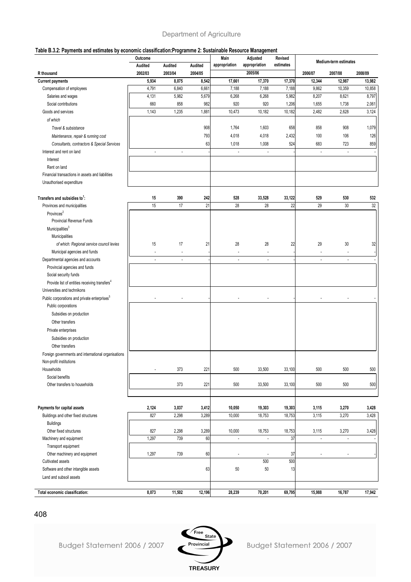#### **Table B.3.2: Payments and estimates by economic classification:Programme 2: Sustainable Resource Management**

| <b>Medium-term estimates</b><br>appropriation<br>appropriation<br>estimates<br>Audited<br>Audited<br>Audited<br>2005/06<br>2002/03<br>2003/04<br>2004/05<br>2006/07<br>2007/08<br>2008/09<br>R thousand<br>5,934<br>8,075<br>8,542<br>17,661<br>17,370<br>17,370<br>12,344<br>12,987<br><b>Current payments</b><br>13,982<br>7,188<br>4,791<br>6,840<br>6,661<br>7,188<br>7,188<br>9,862<br>10,359<br>10,858<br>Compensation of employees<br>5,982<br>8,797<br>4,131<br>5,679<br>6,268<br>6,268<br>5,982<br>8,207<br>8,621<br>Salaries and wages<br>660<br>858<br>982<br>920<br>920<br>1,738<br>2,061<br>Social contributions<br>1,206<br>1,655<br>1,235<br>Goods and services<br>1,143<br>1,881<br>10,473<br>10,182<br>10,182<br>2,482<br>2,628<br>3,124<br>of which<br>908<br>Travel & subsistance<br>1,764<br>1,603<br>658<br>858<br>908<br>1,079<br>793<br>2,432<br>4,018<br>4,018<br>100<br>106<br>126<br>Maintenance, repair & running cost<br>723<br>63<br>1,018<br>1,008<br>524<br>683<br>859<br>Consultants, contractors & Special Services<br>Interest and rent on land<br>$\overline{\phantom{a}}$<br>$\overline{\phantom{a}}$<br>$\overline{\phantom{a}}$<br>$\overline{\phantom{a}}$<br>$\overline{\phantom{a}}$<br>Interest<br>Rent on land<br>Financial transactions in assets and liabilities<br>Unauthorised expenditure<br>390<br>242<br>528<br>33,528<br>33,122<br>529<br>530<br>15<br>532<br>Transfers and subsidies to <sup>1</sup> : | rable D.J.Z. Faynients and estimates by economic classification.Frogramme Z. Justaniable Resource management | Outcome |  | Main | Adjusted | Revised |  |  |
|------------------------------------------------------------------------------------------------------------------------------------------------------------------------------------------------------------------------------------------------------------------------------------------------------------------------------------------------------------------------------------------------------------------------------------------------------------------------------------------------------------------------------------------------------------------------------------------------------------------------------------------------------------------------------------------------------------------------------------------------------------------------------------------------------------------------------------------------------------------------------------------------------------------------------------------------------------------------------------------------------------------------------------------------------------------------------------------------------------------------------------------------------------------------------------------------------------------------------------------------------------------------------------------------------------------------------------------------------------------------------------------------------------------------------------------------------------|--------------------------------------------------------------------------------------------------------------|---------|--|------|----------|---------|--|--|
|                                                                                                                                                                                                                                                                                                                                                                                                                                                                                                                                                                                                                                                                                                                                                                                                                                                                                                                                                                                                                                                                                                                                                                                                                                                                                                                                                                                                                                                            |                                                                                                              |         |  |      |          |         |  |  |
|                                                                                                                                                                                                                                                                                                                                                                                                                                                                                                                                                                                                                                                                                                                                                                                                                                                                                                                                                                                                                                                                                                                                                                                                                                                                                                                                                                                                                                                            |                                                                                                              |         |  |      |          |         |  |  |
|                                                                                                                                                                                                                                                                                                                                                                                                                                                                                                                                                                                                                                                                                                                                                                                                                                                                                                                                                                                                                                                                                                                                                                                                                                                                                                                                                                                                                                                            |                                                                                                              |         |  |      |          |         |  |  |
|                                                                                                                                                                                                                                                                                                                                                                                                                                                                                                                                                                                                                                                                                                                                                                                                                                                                                                                                                                                                                                                                                                                                                                                                                                                                                                                                                                                                                                                            |                                                                                                              |         |  |      |          |         |  |  |
|                                                                                                                                                                                                                                                                                                                                                                                                                                                                                                                                                                                                                                                                                                                                                                                                                                                                                                                                                                                                                                                                                                                                                                                                                                                                                                                                                                                                                                                            |                                                                                                              |         |  |      |          |         |  |  |
|                                                                                                                                                                                                                                                                                                                                                                                                                                                                                                                                                                                                                                                                                                                                                                                                                                                                                                                                                                                                                                                                                                                                                                                                                                                                                                                                                                                                                                                            |                                                                                                              |         |  |      |          |         |  |  |
|                                                                                                                                                                                                                                                                                                                                                                                                                                                                                                                                                                                                                                                                                                                                                                                                                                                                                                                                                                                                                                                                                                                                                                                                                                                                                                                                                                                                                                                            |                                                                                                              |         |  |      |          |         |  |  |
|                                                                                                                                                                                                                                                                                                                                                                                                                                                                                                                                                                                                                                                                                                                                                                                                                                                                                                                                                                                                                                                                                                                                                                                                                                                                                                                                                                                                                                                            |                                                                                                              |         |  |      |          |         |  |  |
|                                                                                                                                                                                                                                                                                                                                                                                                                                                                                                                                                                                                                                                                                                                                                                                                                                                                                                                                                                                                                                                                                                                                                                                                                                                                                                                                                                                                                                                            |                                                                                                              |         |  |      |          |         |  |  |
|                                                                                                                                                                                                                                                                                                                                                                                                                                                                                                                                                                                                                                                                                                                                                                                                                                                                                                                                                                                                                                                                                                                                                                                                                                                                                                                                                                                                                                                            |                                                                                                              |         |  |      |          |         |  |  |
|                                                                                                                                                                                                                                                                                                                                                                                                                                                                                                                                                                                                                                                                                                                                                                                                                                                                                                                                                                                                                                                                                                                                                                                                                                                                                                                                                                                                                                                            |                                                                                                              |         |  |      |          |         |  |  |
|                                                                                                                                                                                                                                                                                                                                                                                                                                                                                                                                                                                                                                                                                                                                                                                                                                                                                                                                                                                                                                                                                                                                                                                                                                                                                                                                                                                                                                                            |                                                                                                              |         |  |      |          |         |  |  |
|                                                                                                                                                                                                                                                                                                                                                                                                                                                                                                                                                                                                                                                                                                                                                                                                                                                                                                                                                                                                                                                                                                                                                                                                                                                                                                                                                                                                                                                            |                                                                                                              |         |  |      |          |         |  |  |
|                                                                                                                                                                                                                                                                                                                                                                                                                                                                                                                                                                                                                                                                                                                                                                                                                                                                                                                                                                                                                                                                                                                                                                                                                                                                                                                                                                                                                                                            |                                                                                                              |         |  |      |          |         |  |  |
|                                                                                                                                                                                                                                                                                                                                                                                                                                                                                                                                                                                                                                                                                                                                                                                                                                                                                                                                                                                                                                                                                                                                                                                                                                                                                                                                                                                                                                                            |                                                                                                              |         |  |      |          |         |  |  |
|                                                                                                                                                                                                                                                                                                                                                                                                                                                                                                                                                                                                                                                                                                                                                                                                                                                                                                                                                                                                                                                                                                                                                                                                                                                                                                                                                                                                                                                            |                                                                                                              |         |  |      |          |         |  |  |
|                                                                                                                                                                                                                                                                                                                                                                                                                                                                                                                                                                                                                                                                                                                                                                                                                                                                                                                                                                                                                                                                                                                                                                                                                                                                                                                                                                                                                                                            |                                                                                                              |         |  |      |          |         |  |  |
| 17<br>15<br>21<br>28<br>28<br>22<br>29<br>30<br>32<br>Provinces and municipalities                                                                                                                                                                                                                                                                                                                                                                                                                                                                                                                                                                                                                                                                                                                                                                                                                                                                                                                                                                                                                                                                                                                                                                                                                                                                                                                                                                         |                                                                                                              |         |  |      |          |         |  |  |
| Provinces <sup>2</sup>                                                                                                                                                                                                                                                                                                                                                                                                                                                                                                                                                                                                                                                                                                                                                                                                                                                                                                                                                                                                                                                                                                                                                                                                                                                                                                                                                                                                                                     |                                                                                                              |         |  |      |          |         |  |  |
| Provincial Revenue Funds                                                                                                                                                                                                                                                                                                                                                                                                                                                                                                                                                                                                                                                                                                                                                                                                                                                                                                                                                                                                                                                                                                                                                                                                                                                                                                                                                                                                                                   |                                                                                                              |         |  |      |          |         |  |  |
| Municipalities <sup>3</sup>                                                                                                                                                                                                                                                                                                                                                                                                                                                                                                                                                                                                                                                                                                                                                                                                                                                                                                                                                                                                                                                                                                                                                                                                                                                                                                                                                                                                                                |                                                                                                              |         |  |      |          |         |  |  |
| Municipalities                                                                                                                                                                                                                                                                                                                                                                                                                                                                                                                                                                                                                                                                                                                                                                                                                                                                                                                                                                                                                                                                                                                                                                                                                                                                                                                                                                                                                                             |                                                                                                              |         |  |      |          |         |  |  |
| 15<br>17<br>28<br>28<br>22<br>29<br>30<br>21<br>32<br>of which: Regional service council levies                                                                                                                                                                                                                                                                                                                                                                                                                                                                                                                                                                                                                                                                                                                                                                                                                                                                                                                                                                                                                                                                                                                                                                                                                                                                                                                                                            |                                                                                                              |         |  |      |          |         |  |  |
| Municipal agencies and funds<br>÷,<br>÷,<br>ä,<br>$\overline{\phantom{a}}$<br>ä,                                                                                                                                                                                                                                                                                                                                                                                                                                                                                                                                                                                                                                                                                                                                                                                                                                                                                                                                                                                                                                                                                                                                                                                                                                                                                                                                                                           |                                                                                                              |         |  |      |          |         |  |  |
| Departmental agencies and accounts<br>$\overline{\phantom{a}}$<br>٠<br>٠<br>$\overline{\phantom{a}}$<br>٠<br>٠                                                                                                                                                                                                                                                                                                                                                                                                                                                                                                                                                                                                                                                                                                                                                                                                                                                                                                                                                                                                                                                                                                                                                                                                                                                                                                                                             |                                                                                                              |         |  |      |          |         |  |  |
| Provincial agencies and funds                                                                                                                                                                                                                                                                                                                                                                                                                                                                                                                                                                                                                                                                                                                                                                                                                                                                                                                                                                                                                                                                                                                                                                                                                                                                                                                                                                                                                              |                                                                                                              |         |  |      |          |         |  |  |
| Social security funds                                                                                                                                                                                                                                                                                                                                                                                                                                                                                                                                                                                                                                                                                                                                                                                                                                                                                                                                                                                                                                                                                                                                                                                                                                                                                                                                                                                                                                      |                                                                                                              |         |  |      |          |         |  |  |
| Provide list of entities receiving transfers <sup>4</sup>                                                                                                                                                                                                                                                                                                                                                                                                                                                                                                                                                                                                                                                                                                                                                                                                                                                                                                                                                                                                                                                                                                                                                                                                                                                                                                                                                                                                  |                                                                                                              |         |  |      |          |         |  |  |
| Universities and technikons                                                                                                                                                                                                                                                                                                                                                                                                                                                                                                                                                                                                                                                                                                                                                                                                                                                                                                                                                                                                                                                                                                                                                                                                                                                                                                                                                                                                                                |                                                                                                              |         |  |      |          |         |  |  |
| Public corporations and private enterprises <sup>5</sup><br>٠<br>$\overline{\phantom{a}}$                                                                                                                                                                                                                                                                                                                                                                                                                                                                                                                                                                                                                                                                                                                                                                                                                                                                                                                                                                                                                                                                                                                                                                                                                                                                                                                                                                  |                                                                                                              |         |  |      |          |         |  |  |
| Public corporations                                                                                                                                                                                                                                                                                                                                                                                                                                                                                                                                                                                                                                                                                                                                                                                                                                                                                                                                                                                                                                                                                                                                                                                                                                                                                                                                                                                                                                        |                                                                                                              |         |  |      |          |         |  |  |
| Subsidies on production                                                                                                                                                                                                                                                                                                                                                                                                                                                                                                                                                                                                                                                                                                                                                                                                                                                                                                                                                                                                                                                                                                                                                                                                                                                                                                                                                                                                                                    |                                                                                                              |         |  |      |          |         |  |  |
| Other transfers                                                                                                                                                                                                                                                                                                                                                                                                                                                                                                                                                                                                                                                                                                                                                                                                                                                                                                                                                                                                                                                                                                                                                                                                                                                                                                                                                                                                                                            |                                                                                                              |         |  |      |          |         |  |  |
| Private enterprises                                                                                                                                                                                                                                                                                                                                                                                                                                                                                                                                                                                                                                                                                                                                                                                                                                                                                                                                                                                                                                                                                                                                                                                                                                                                                                                                                                                                                                        |                                                                                                              |         |  |      |          |         |  |  |
| Subsidies on production                                                                                                                                                                                                                                                                                                                                                                                                                                                                                                                                                                                                                                                                                                                                                                                                                                                                                                                                                                                                                                                                                                                                                                                                                                                                                                                                                                                                                                    |                                                                                                              |         |  |      |          |         |  |  |
| Other transfers                                                                                                                                                                                                                                                                                                                                                                                                                                                                                                                                                                                                                                                                                                                                                                                                                                                                                                                                                                                                                                                                                                                                                                                                                                                                                                                                                                                                                                            |                                                                                                              |         |  |      |          |         |  |  |
| Foreign governments and international organisations                                                                                                                                                                                                                                                                                                                                                                                                                                                                                                                                                                                                                                                                                                                                                                                                                                                                                                                                                                                                                                                                                                                                                                                                                                                                                                                                                                                                        |                                                                                                              |         |  |      |          |         |  |  |
| Non-profit institutions                                                                                                                                                                                                                                                                                                                                                                                                                                                                                                                                                                                                                                                                                                                                                                                                                                                                                                                                                                                                                                                                                                                                                                                                                                                                                                                                                                                                                                    |                                                                                                              |         |  |      |          |         |  |  |
| Households<br>373<br>221<br>500<br>33,500<br>33,100<br>500<br>500<br>500                                                                                                                                                                                                                                                                                                                                                                                                                                                                                                                                                                                                                                                                                                                                                                                                                                                                                                                                                                                                                                                                                                                                                                                                                                                                                                                                                                                   |                                                                                                              |         |  |      |          |         |  |  |
| Social benefits                                                                                                                                                                                                                                                                                                                                                                                                                                                                                                                                                                                                                                                                                                                                                                                                                                                                                                                                                                                                                                                                                                                                                                                                                                                                                                                                                                                                                                            |                                                                                                              |         |  |      |          |         |  |  |
| 373<br>Other transfers to households<br>221<br>500<br>33,500<br>33,100<br>500<br>500<br>500                                                                                                                                                                                                                                                                                                                                                                                                                                                                                                                                                                                                                                                                                                                                                                                                                                                                                                                                                                                                                                                                                                                                                                                                                                                                                                                                                                |                                                                                                              |         |  |      |          |         |  |  |
|                                                                                                                                                                                                                                                                                                                                                                                                                                                                                                                                                                                                                                                                                                                                                                                                                                                                                                                                                                                                                                                                                                                                                                                                                                                                                                                                                                                                                                                            |                                                                                                              |         |  |      |          |         |  |  |
| Payments for capital assets<br>2,124<br>3,037<br>3,412<br>10,050<br>19,303<br>19,303<br>3,115<br>3,270<br>3,428                                                                                                                                                                                                                                                                                                                                                                                                                                                                                                                                                                                                                                                                                                                                                                                                                                                                                                                                                                                                                                                                                                                                                                                                                                                                                                                                            |                                                                                                              |         |  |      |          |         |  |  |
| 827<br>2,298<br>3,289<br>10,000<br>18,753<br>3,115<br>3,270<br>3,428<br>Buildings and other fixed structures<br>18,753                                                                                                                                                                                                                                                                                                                                                                                                                                                                                                                                                                                                                                                                                                                                                                                                                                                                                                                                                                                                                                                                                                                                                                                                                                                                                                                                     |                                                                                                              |         |  |      |          |         |  |  |
| <b>Buildings</b>                                                                                                                                                                                                                                                                                                                                                                                                                                                                                                                                                                                                                                                                                                                                                                                                                                                                                                                                                                                                                                                                                                                                                                                                                                                                                                                                                                                                                                           |                                                                                                              |         |  |      |          |         |  |  |
| 10,000<br>Other fixed structures<br>827<br>2,298<br>3,289<br>18,753<br>18,753<br>3,115<br>3,270<br>3,428                                                                                                                                                                                                                                                                                                                                                                                                                                                                                                                                                                                                                                                                                                                                                                                                                                                                                                                                                                                                                                                                                                                                                                                                                                                                                                                                                   |                                                                                                              |         |  |      |          |         |  |  |
| 37<br>1,297<br>739<br>60<br>Machinery and equipment<br>÷.<br>$\Box$<br>$\sim$<br>$\overline{\phantom{a}}$                                                                                                                                                                                                                                                                                                                                                                                                                                                                                                                                                                                                                                                                                                                                                                                                                                                                                                                                                                                                                                                                                                                                                                                                                                                                                                                                                  |                                                                                                              |         |  |      |          |         |  |  |
| Transport equipment                                                                                                                                                                                                                                                                                                                                                                                                                                                                                                                                                                                                                                                                                                                                                                                                                                                                                                                                                                                                                                                                                                                                                                                                                                                                                                                                                                                                                                        |                                                                                                              |         |  |      |          |         |  |  |
| Other machinery and equipment<br>1,297<br>739<br>60<br>37                                                                                                                                                                                                                                                                                                                                                                                                                                                                                                                                                                                                                                                                                                                                                                                                                                                                                                                                                                                                                                                                                                                                                                                                                                                                                                                                                                                                  |                                                                                                              |         |  |      |          |         |  |  |
| 500<br>500<br>Cultivated assets                                                                                                                                                                                                                                                                                                                                                                                                                                                                                                                                                                                                                                                                                                                                                                                                                                                                                                                                                                                                                                                                                                                                                                                                                                                                                                                                                                                                                            |                                                                                                              |         |  |      |          |         |  |  |
| Software and other intangible assets<br>63<br>50<br>50<br>13                                                                                                                                                                                                                                                                                                                                                                                                                                                                                                                                                                                                                                                                                                                                                                                                                                                                                                                                                                                                                                                                                                                                                                                                                                                                                                                                                                                               |                                                                                                              |         |  |      |          |         |  |  |
| Land and subsoil assets                                                                                                                                                                                                                                                                                                                                                                                                                                                                                                                                                                                                                                                                                                                                                                                                                                                                                                                                                                                                                                                                                                                                                                                                                                                                                                                                                                                                                                    |                                                                                                              |         |  |      |          |         |  |  |
| 8,073<br>11,502<br>12,196<br>28,239<br>70,201<br>69,795<br>15,988<br>16,787<br>17,942<br>Total economic classification:                                                                                                                                                                                                                                                                                                                                                                                                                                                                                                                                                                                                                                                                                                                                                                                                                                                                                                                                                                                                                                                                                                                                                                                                                                                                                                                                    |                                                                                                              |         |  |      |          |         |  |  |

408

Budget Statement 2006 / 2007

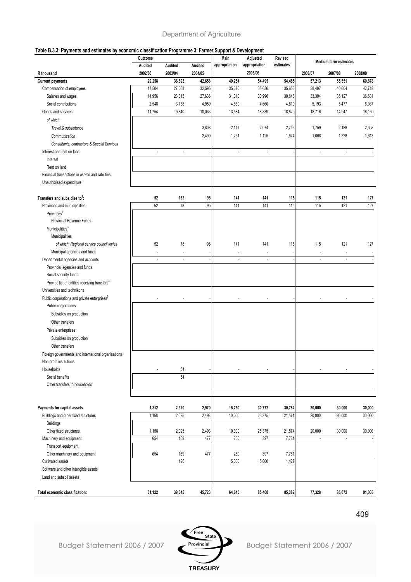#### **Table B.3.3: Payments and estimates by economic classification:Programme 3: Farmer Support & Development**

|                                                           | Outcome        |         |         | Main                     | ppv:/www.vivpii.vii/<br>Adjusted | Revised   |                          |                       |         |  |
|-----------------------------------------------------------|----------------|---------|---------|--------------------------|----------------------------------|-----------|--------------------------|-----------------------|---------|--|
|                                                           | Audited        | Audited | Audited | appropriation            | appropriation                    | estimates |                          | Medium-term estimates |         |  |
| R thousand                                                | 2002/03        | 2003/04 | 2004/05 |                          | 2005/06                          |           | 2006/07                  | 2007/08               | 2008/09 |  |
| <b>Current payments</b>                                   | 29,258         | 36,893  | 42,658  | 49,254                   | 54,495                           | 54,485    | 57,213                   | 55,551                | 60,878  |  |
| Compensation of employees                                 | 17,504         | 27,053  | 32,595  | 35,670                   | 35,656                           | 35,656    | 38,497                   | 40,604                | 42,718  |  |
| Salaries and wages                                        | 14,956         | 23,315  | 27,636  | 31,010                   | 30,996                           | 30,846    | 33,304                   | 35,127                | 36,631  |  |
| Social contributions                                      | 2,548          | 3,738   | 4,959   | 4,660                    | 4,660                            | 4,810     | 5,193                    | 5,477                 | 6,087   |  |
| Goods and services                                        | 11,754         | 9,840   | 10,063  | 13,584                   | 18,839                           | 18,829    | 18,716                   | 14,947                | 18,160  |  |
| of which                                                  |                |         |         |                          |                                  |           |                          |                       |         |  |
| Travel & subsistance                                      |                |         | 3,808   | 2,147                    | 2,074                            | 2,756     | 1,759                    | 2,188                 | 2,658   |  |
| Communication                                             |                |         | 2,490   | 1,231                    | 1,125                            | 1,674     | 1,068                    | 1,328                 | 1,613   |  |
| Consultants, contractors & Special Services               |                |         |         |                          |                                  |           |                          |                       |         |  |
| Interest and rent on land                                 | $\overline{a}$ | ÷.      |         | $\overline{\phantom{a}}$ | $\blacksquare$                   |           | $\overline{a}$           | ÷                     |         |  |
| Interest                                                  |                |         |         |                          |                                  |           |                          |                       |         |  |
| Rent on land                                              |                |         |         |                          |                                  |           |                          |                       |         |  |
| Financial transactions in assets and liabilities          |                |         |         |                          |                                  |           |                          |                       |         |  |
| Unauthorised expenditure                                  |                |         |         |                          |                                  |           |                          |                       |         |  |
|                                                           |                |         |         |                          |                                  |           |                          |                       |         |  |
| Transfers and subsidies to <sup>1</sup> :                 | 52             | 132     | 95      | 141                      | 141                              | 115       | 115                      | 121                   | 127     |  |
| Provinces and municipalities                              | 52             | 78      | 95      | 141                      | 141                              | 115       | 115                      | 121                   | 127     |  |
| Provinces <sup>2</sup>                                    |                |         |         |                          |                                  |           |                          |                       |         |  |
| Provincial Revenue Funds                                  |                |         |         |                          |                                  |           |                          |                       |         |  |
| Municipalities <sup>3</sup>                               |                |         |         |                          |                                  |           |                          |                       |         |  |
| Municipalities                                            |                |         |         |                          |                                  |           |                          |                       |         |  |
| of which: Regional service council levies                 | 52             | 78      | 95      | 141                      | 141                              | 115       | 115                      | 121                   | 127     |  |
| Municipal agencies and funds                              |                |         |         |                          |                                  |           |                          |                       |         |  |
| Departmental agencies and accounts                        |                | ÷.      |         | ÷,                       |                                  |           | $\overline{\phantom{a}}$ |                       |         |  |
| Provincial agencies and funds                             |                |         |         |                          |                                  |           |                          |                       |         |  |
| Social security funds                                     |                |         |         |                          |                                  |           |                          |                       |         |  |
| Provide list of entities receiving transfers <sup>4</sup> |                |         |         |                          |                                  |           |                          |                       |         |  |
| Universities and technikons                               |                |         |         |                          |                                  |           |                          |                       |         |  |
| Public corporations and private enterprises <sup>5</sup>  |                |         |         |                          |                                  |           |                          |                       |         |  |
| Public corporations                                       |                |         |         |                          |                                  |           |                          |                       |         |  |
| Subsidies on production                                   |                |         |         |                          |                                  |           |                          |                       |         |  |
|                                                           |                |         |         |                          |                                  |           |                          |                       |         |  |
| Other transfers                                           |                |         |         |                          |                                  |           |                          |                       |         |  |
| Private enterprises                                       |                |         |         |                          |                                  |           |                          |                       |         |  |
| Subsidies on production                                   |                |         |         |                          |                                  |           |                          |                       |         |  |
| Other transfers                                           |                |         |         |                          |                                  |           |                          |                       |         |  |
| Foreign governments and international organisations       |                |         |         |                          |                                  |           |                          |                       |         |  |
| Non-profit institutions                                   |                |         |         |                          |                                  |           |                          |                       |         |  |
| Households                                                | ٠              | 54      |         |                          |                                  |           |                          |                       |         |  |
| Social benefits                                           |                | 54      |         |                          |                                  |           |                          |                       |         |  |
| Other transfers to households                             |                |         |         |                          |                                  |           |                          |                       |         |  |
|                                                           |                |         |         |                          |                                  |           |                          |                       |         |  |
|                                                           |                |         |         |                          |                                  |           |                          |                       |         |  |
| Payments for capital assets                               | 1,812          | 2,320   | 2,970   | 15,250                   | 30,772                           | 30,782    | 20,000                   | 30,000                | 30,000  |  |
| Buildings and other fixed structures                      | 1,158          | 2,025   | 2,493   | 10,000                   | 25,375                           | 21,574    | 20,000                   | 30,000                | 30,000  |  |
| <b>Buildings</b>                                          |                |         |         |                          |                                  |           |                          |                       |         |  |
| Other fixed structures                                    | 1,158          | 2,025   | 2,493   | 10,000                   | 25,375                           | 21,574    | 20,000                   | 30,000                | 30,000  |  |
| Machinery and equipment                                   | 654            | 169     | 477     | 250                      | 397                              | 7,781     | $\blacksquare$           | ÷,                    |         |  |
| Transport equipment                                       |                |         |         |                          |                                  |           |                          |                       |         |  |
| Other machinery and equipment                             | 654            | 169     | 477     | 250                      | 397                              | 7,781     |                          |                       |         |  |
| Cultivated assets                                         |                | 126     |         | 5,000                    | 5,000                            | 1,427     |                          |                       |         |  |
| Software and other intangible assets                      |                |         |         |                          |                                  |           |                          |                       |         |  |
| Land and subsoil assets                                   |                |         |         |                          |                                  |           |                          |                       |         |  |
| Total economic classification:                            | 31,122         | 39,345  | 45,723  | 64,645                   | 85,408                           | 85,382    | 77,328                   | 85,672                | 91,005  |  |
|                                                           |                |         |         |                          |                                  |           |                          |                       |         |  |

Budget Statement 2006 / 2007

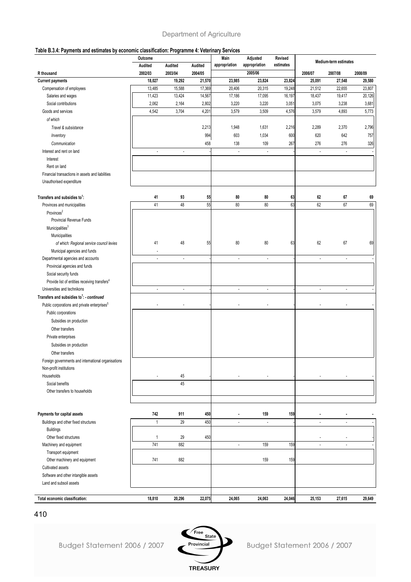#### **Table B.3.4: Payments and estimates by economic classification: Programme 4: Veterinary Services**

|                                                           | Outcome<br>Audited | Audited        | Audited | Main<br>appropriation    | Adjusted<br>appropriation | Revised<br>estimates | Medium-term estimates    |                          |         |
|-----------------------------------------------------------|--------------------|----------------|---------|--------------------------|---------------------------|----------------------|--------------------------|--------------------------|---------|
| R thousand                                                | 2002/03            | 2003/04        | 2004/05 |                          | 2005/06                   |                      | 2006/07                  | 2007/08                  | 2008/09 |
| <b>Current payments</b>                                   | 18,027             | 19,292         | 21,570  | 23,985                   | 23,824                    | 23,824               | 25,091                   | 27,548                   | 29,580  |
| Compensation of employees                                 | 13,485             | 15,588         | 17,369  | 20,406                   | 20,315                    | 19,248               | 21,512                   | 22,655                   | 23,807  |
| Salaries and wages                                        | 11,423             | 13,424         | 14,567  | 17,186                   | 17,095                    | 16,197               | 18,437                   | 19,417                   | 20,126  |
| Social contributions                                      | 2,062              | 2,164          | 2,802   | 3,220                    | 3,220                     | 3,051                | 3,075                    | 3,238                    | 3,681   |
| Goods and services                                        | 4,542              | 3,704          | 4,201   | 3,579                    | 3,509                     | 4,576                | 3,579                    | 4,893                    | 5,773   |
| of which                                                  |                    |                |         |                          |                           |                      |                          |                          |         |
| Travel & subsistance                                      |                    |                | 2,213   | 1,948                    | 1,631                     | 2,216                | 2,289                    | 2,370                    | 2,796   |
|                                                           |                    |                | 994     | 603                      | 1,034                     | 600                  | 620                      | 642                      | 757     |
| Inventory                                                 |                    |                | 458     | 138                      | 109                       | 267                  | 276                      | 276                      | 326     |
| Communication<br>Interest and rent on land                | ÷,                 | $\overline{a}$ |         | $\overline{\phantom{a}}$ | $\overline{\phantom{a}}$  |                      | $\overline{\phantom{a}}$ | $\overline{\phantom{a}}$ |         |
| Interest                                                  |                    |                |         |                          |                           |                      |                          |                          |         |
| Rent on land                                              |                    |                |         |                          |                           |                      |                          |                          |         |
| Financial transactions in assets and liabilities          |                    |                |         |                          |                           |                      |                          |                          |         |
| Unauthorised expenditure                                  |                    |                |         |                          |                           |                      |                          |                          |         |
|                                                           |                    |                |         |                          |                           |                      |                          |                          |         |
| Transfers and subsidies to <sup>1</sup> :                 | 41                 | 93             | 55      | 80                       | 80                        | 63                   | 62                       | 67                       | 69      |
| Provinces and municipalities                              | 41                 | 48             | 55      | 80                       | 80                        | 63                   | 62                       | 67                       | 69      |
| Provinces <sup>2</sup>                                    |                    |                |         |                          |                           |                      |                          |                          |         |
| Provincial Revenue Funds                                  |                    |                |         |                          |                           |                      |                          |                          |         |
| Municipalities <sup>3</sup>                               |                    |                |         |                          |                           |                      |                          |                          |         |
| Municipalities                                            |                    |                |         |                          |                           |                      |                          |                          |         |
| of which: Regional service council levies                 | 41                 | 48             | 55      | 80                       | 80                        | 63                   | 62                       | 67                       | 69      |
| Municipal agencies and funds                              |                    |                |         |                          |                           |                      |                          |                          |         |
| Departmental agencies and accounts                        | L.                 | ÷,             |         | ÷.                       | $\overline{\phantom{a}}$  |                      | $\overline{\phantom{a}}$ | $\overline{\phantom{a}}$ |         |
| Provincial agencies and funds                             |                    |                |         |                          |                           |                      |                          |                          |         |
| Social security funds                                     |                    |                |         |                          |                           |                      |                          |                          |         |
| Provide list of entities receiving transfers <sup>4</sup> |                    |                |         |                          |                           |                      |                          |                          |         |
| Universities and technikons                               | ÷,                 | $\overline{a}$ |         | $\overline{a}$           | $\blacksquare$            |                      | $\blacksquare$           | $\blacksquare$           |         |
| Transfers and subsidies to <sup>1</sup> : - continued     |                    |                |         |                          |                           |                      |                          |                          |         |
| Public corporations and private enterprises <sup>5</sup>  |                    |                |         |                          |                           |                      |                          |                          |         |
| Public corporations                                       |                    |                |         |                          |                           |                      |                          |                          |         |
| Subsidies on production                                   |                    |                |         |                          |                           |                      |                          |                          |         |
| Other transfers                                           |                    |                |         |                          |                           |                      |                          |                          |         |
|                                                           |                    |                |         |                          |                           |                      |                          |                          |         |
| Private enterprises                                       |                    |                |         |                          |                           |                      |                          |                          |         |
| Subsidies on production                                   |                    |                |         |                          |                           |                      |                          |                          |         |
| Other transfers                                           |                    |                |         |                          |                           |                      |                          |                          |         |
| Foreign governments and international organisations       |                    |                |         |                          |                           |                      |                          |                          |         |
| Non-profit institutions                                   |                    |                |         |                          |                           |                      |                          |                          |         |
| Households                                                | ÷,                 | 45<br>45       |         |                          |                           |                      |                          |                          |         |
| Social benefits<br>Other transfers to households          |                    |                |         |                          |                           |                      |                          |                          |         |
|                                                           |                    |                |         |                          |                           |                      |                          |                          |         |
|                                                           |                    |                |         |                          |                           |                      |                          |                          |         |
| Payments for capital assets                               | 742                | 911            | 450     |                          | 159                       | 159                  |                          |                          |         |
| Buildings and other fixed structures                      | $\mathbf{1}$       | 29             | 450     | $\overline{\phantom{a}}$ | $\overline{\phantom{a}}$  |                      | $\overline{\phantom{a}}$ | $\overline{\phantom{a}}$ |         |
| <b>Buildings</b>                                          |                    |                |         |                          |                           |                      |                          |                          |         |
| Other fixed structures                                    | $\mathbf{1}$       | 29             | 450     |                          |                           |                      |                          |                          |         |
| Machinery and equipment                                   | 741                | 882            |         | $\blacksquare$           | 159                       | 159                  | $\overline{\phantom{a}}$ | $\overline{\phantom{a}}$ |         |
| Transport equipment                                       |                    |                |         |                          |                           |                      |                          |                          |         |
| Other machinery and equipment                             | 741                | 882            |         |                          | 159                       | 159                  |                          |                          |         |
| Cultivated assets                                         |                    |                |         |                          |                           |                      |                          |                          |         |
| Software and other intangible assets                      |                    |                |         |                          |                           |                      |                          |                          |         |
| Land and subsoil assets                                   |                    |                |         |                          |                           |                      |                          |                          |         |
|                                                           |                    |                |         |                          |                           |                      |                          |                          |         |
| Total economic classification:                            | 18,810             | 20,296         | 22,075  | 24,065                   | 24,063                    | 24,046               | 25,153                   | 27,615                   | 29,649  |

410

Budget Statement 2006 / 2007

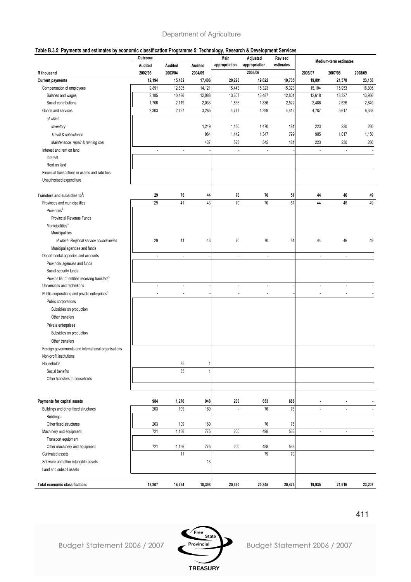#### **Table B.3.5: Payments and estimates by economic classification:Programme 5: Technology, Research & Development Services**

|                                                           | Outcome<br>Audited       | Audited                  | Audited | Main<br>appropriation    | Adjusted<br>appropriation | Revised<br>estimates | Medium-term estimates    |                          |         |
|-----------------------------------------------------------|--------------------------|--------------------------|---------|--------------------------|---------------------------|----------------------|--------------------------|--------------------------|---------|
| R thousand                                                | 2002/03                  | 2003/04                  | 2004/05 |                          | 2005/06                   |                      | 2006/07                  | 2007/08                  | 2008/09 |
| <b>Current payments</b>                                   | 12,194                   | 15,402                   | 17,406  | 20,220                   | 19,622                    | 19,735               | 19,891                   | 21,570                   | 23,158  |
| Compensation of employees                                 | 9,891                    | 12,605                   | 14,121  | 15,443                   | 15,323                    | 15,323               | 15,104                   | 15,953                   | 16,805  |
| Salaries and wages                                        | 8,185                    | 10,486                   | 12,088  | 13,607                   | 13,487                    | 12,801               | 12,618                   | 13,327                   | 13,956  |
| Social contributions                                      | 1,706                    | 2,119                    | 2,033   | 1,836                    | 1,836                     | 2,522                | 2,486                    | 2,626                    | 2,849   |
| Goods and services                                        | 2,303                    | 2,797                    | 3,285   | 4,777                    | 4,299                     | 4,412                | 4,787                    | 5,617                    | 6,353   |
| of which                                                  |                          |                          |         |                          |                           |                      |                          |                          |         |
| Inventory                                                 |                          |                          | 1,249   | 1,450                    | 1,470                     | 181                  | 223                      | 230                      | 260     |
| Travel & subsistance                                      |                          |                          | 964     | 1,442                    | 1,347                     | 799                  | 985                      | 1,017                    | 1,150   |
| Maintenance, repair & running cost                        |                          |                          | 437     | 528                      | 545                       | 181                  | 223                      | 230                      | 260     |
| Interest and rent on land                                 | $\overline{\phantom{a}}$ | $\overline{\phantom{a}}$ |         | $\overline{\phantom{a}}$ | $\overline{\phantom{a}}$  |                      | $\overline{\phantom{a}}$ | $\overline{\phantom{a}}$ |         |
| Interest                                                  |                          |                          |         |                          |                           |                      |                          |                          |         |
| Rent on land                                              |                          |                          |         |                          |                           |                      |                          |                          |         |
| Financial transactions in assets and liabilities          |                          |                          |         |                          |                           |                      |                          |                          |         |
| Unauthorised expenditure                                  |                          |                          |         |                          |                           |                      |                          |                          |         |
|                                                           |                          |                          |         |                          |                           |                      |                          |                          |         |
| Transfers and subsidies to <sup>1</sup> :                 | 29                       | 76                       | 44      | 70                       | 70                        | 51                   | 44                       | 46                       | 49      |
| Provinces and municipalities                              | 29                       | 41                       | 43      | 70                       | 70                        | 51                   | 44                       | 46                       | 49      |
| Provinces <sup>2</sup>                                    |                          |                          |         |                          |                           |                      |                          |                          |         |
| Provincial Revenue Funds                                  |                          |                          |         |                          |                           |                      |                          |                          |         |
| Municipalities <sup>3</sup>                               |                          |                          |         |                          |                           |                      |                          |                          |         |
| Municipalities                                            |                          |                          |         |                          |                           |                      |                          |                          |         |
| of which: Regional service council levies                 | 29                       | 41                       | 43      | 70                       | 70                        | 51                   | 44                       | 46                       | 49      |
| Municipal agencies and funds                              |                          |                          |         |                          |                           |                      |                          |                          |         |
| Departmental agencies and accounts                        | ä,                       | $\overline{\phantom{a}}$ |         | $\overline{a}$           | $\blacksquare$            |                      | Ĭ.                       | $\overline{\phantom{a}}$ |         |
| Provincial agencies and funds                             |                          |                          |         |                          |                           |                      |                          |                          |         |
| Social security funds                                     |                          |                          |         |                          |                           |                      |                          |                          |         |
| Provide list of entities receiving transfers <sup>4</sup> |                          |                          |         |                          |                           |                      |                          |                          |         |
| Universities and technikons                               | Ĭ.                       | $\overline{\phantom{a}}$ |         | ÷,                       | ÷,                        |                      | $\overline{a}$           | ÷,                       |         |
| Public corporations and private enterprises <sup>5</sup>  | ÷,                       | ÷,                       |         | ÷.                       | $\overline{a}$            |                      | J.                       |                          |         |
| Public corporations                                       |                          |                          |         |                          |                           |                      |                          |                          |         |
| Subsidies on production                                   |                          |                          |         |                          |                           |                      |                          |                          |         |
| Other transfers                                           |                          |                          |         |                          |                           |                      |                          |                          |         |
| Private enterprises                                       |                          |                          |         |                          |                           |                      |                          |                          |         |
| Subsidies on production                                   |                          |                          |         |                          |                           |                      |                          |                          |         |
| Other transfers                                           |                          |                          |         |                          |                           |                      |                          |                          |         |
| Foreign governments and international organisations       |                          |                          |         |                          |                           |                      |                          |                          |         |
| Non-profit institutions                                   |                          |                          |         |                          |                           |                      |                          |                          |         |
| Households                                                |                          | 35                       |         |                          |                           |                      |                          |                          |         |
| Social benefits                                           |                          | 35                       |         |                          |                           |                      |                          |                          |         |
| Other transfers to households                             |                          |                          |         |                          |                           |                      |                          |                          |         |
|                                                           |                          |                          |         |                          |                           |                      |                          |                          |         |
|                                                           |                          |                          |         |                          |                           |                      |                          |                          |         |
| Payments for capital assets                               | 984                      | 1,276                    | 948     | 200                      | 653                       | 688                  | ٠                        |                          |         |
| Buildings and other fixed structures                      | 263                      | 109                      | 160     | ÷,                       | 76                        | 76                   | $\overline{a}$           |                          |         |
| <b>Buildings</b>                                          |                          |                          |         |                          |                           |                      |                          |                          |         |
| Other fixed structures                                    | 263                      | 109                      | 160     |                          | 76                        | 76                   |                          |                          |         |
| Machinery and equipment                                   | 721                      | 1,156                    | 775     | 200                      | 498                       | 533                  | $\overline{\phantom{a}}$ | $\blacksquare$           |         |
| Transport equipment                                       |                          |                          |         |                          |                           |                      |                          |                          |         |
| Other machinery and equipment                             | 721                      | 1,156                    | 775     | 200                      | 498<br>79                 | 533<br>79            |                          |                          |         |
| Cultivated assets                                         |                          | 11                       |         |                          |                           |                      |                          |                          |         |
| Software and other intangible assets                      |                          |                          | 13      |                          |                           |                      |                          |                          |         |
| Land and subsoil assets                                   |                          |                          |         |                          |                           |                      |                          |                          |         |
| Total economic classification:                            | 13,207                   | 16,754                   | 18,398  | 20,490                   | 20,345                    | 20,474               | 19,935                   | 21,616                   | 23,207  |

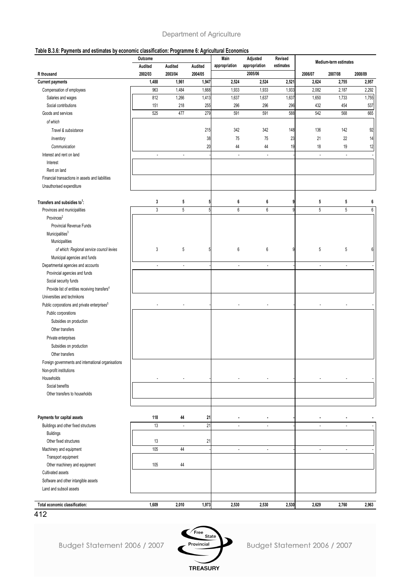#### **Table B.3.6: Payments and estimates by economic classification: Programme 6: Agricultural Economics**

|                                                           | Outcome                  |                          |         | Main                     | Adjusted                 | Revised   | Medium-term estimates    |                          |         |  |
|-----------------------------------------------------------|--------------------------|--------------------------|---------|--------------------------|--------------------------|-----------|--------------------------|--------------------------|---------|--|
|                                                           | Audited                  | Audited                  | Audited | appropriation            | appropriation            | estimates |                          |                          |         |  |
| R thousand                                                | 2002/03                  | 2003/04                  | 2004/05 |                          | 2005/06                  |           | 2006/07                  | 2007/08                  | 2008/09 |  |
| <b>Current payments</b>                                   | 1,488                    | 1,961                    | 1,947   | 2,524                    | 2,524                    | 2,521     | 2,624                    | 2,755                    | 2,957   |  |
| Compensation of employees                                 | 963                      | 1,484                    | 1,668   | 1,933                    | 1,933                    | 1,933     | 2,082                    | 2,187                    | 2,292   |  |
| Salaries and wages                                        | 812                      | 1,266                    | 1,413   | 1,637                    | 1,637                    | 1,637     | 1,650                    | 1,733                    | 1,755   |  |
| Social contributions                                      | 151                      | 218                      | 255     | 296                      | 296                      | 296       | 432                      | 454                      | 537     |  |
| Goods and services                                        | 525                      | 477                      | 279     | 591                      | 591                      | 588       | 542                      | 568                      | 665     |  |
| of which                                                  |                          |                          |         |                          |                          |           |                          |                          |         |  |
| Travel & subsistance                                      |                          |                          | 215     | 342                      | 342                      | 148       | 136                      | 142                      | 92      |  |
| Inventory                                                 |                          |                          | 38      | 75                       | 75                       | 23        | 21                       | 22                       | 14      |  |
| Communication                                             |                          |                          | 20      | 44                       | 44                       | 19        | 18                       | 19                       | 12      |  |
| Interest and rent on land                                 | ÷,                       | ÷,                       |         | ÷,                       | $\overline{a}$           |           | $\overline{\phantom{a}}$ | ÷                        |         |  |
| Interest                                                  |                          |                          |         |                          |                          |           |                          |                          |         |  |
| Rent on land                                              |                          |                          |         |                          |                          |           |                          |                          |         |  |
| Financial transactions in assets and liabilities          |                          |                          |         |                          |                          |           |                          |                          |         |  |
| Unauthorised expenditure                                  |                          |                          |         |                          |                          |           |                          |                          |         |  |
| Transfers and subsidies to <sup>1</sup> :                 | 3                        | 5                        | 5       | 6                        | 6                        | g         | 5                        | 5                        | 6       |  |
| Provinces and municipalities                              | 3                        | $\overline{5}$           |         | $6\,$                    | 6                        | Q         | 5                        | 5                        | 6       |  |
| Provinces <sup>2</sup>                                    |                          |                          |         |                          |                          |           |                          |                          |         |  |
| Provincial Revenue Funds                                  |                          |                          |         |                          |                          |           |                          |                          |         |  |
| Municipalities <sup>3</sup>                               |                          |                          |         |                          |                          |           |                          |                          |         |  |
| Municipalities                                            |                          |                          |         |                          |                          |           |                          |                          |         |  |
| of which: Regional service council levies                 | 3                        | 5                        |         | $6\phantom{1}$           | 6                        | q         | 5                        | 5                        | 6       |  |
| Municipal agencies and funds                              |                          |                          |         |                          |                          |           |                          |                          |         |  |
| Departmental agencies and accounts                        | $\overline{\phantom{a}}$ | $\overline{\phantom{a}}$ |         | $\overline{\phantom{a}}$ | $\overline{\phantom{a}}$ |           | $\overline{\phantom{a}}$ | $\overline{\phantom{a}}$ |         |  |
| Provincial agencies and funds                             |                          |                          |         |                          |                          |           |                          |                          |         |  |
| Social security funds                                     |                          |                          |         |                          |                          |           |                          |                          |         |  |
| Provide list of entities receiving transfers <sup>4</sup> |                          |                          |         |                          |                          |           |                          |                          |         |  |
| Universities and technikons                               |                          |                          |         |                          |                          |           |                          |                          |         |  |
| Public corporations and private enterprises <sup>5</sup>  |                          |                          |         |                          |                          |           |                          |                          |         |  |
| Public corporations                                       |                          |                          |         |                          |                          |           |                          |                          |         |  |
| Subsidies on production                                   |                          |                          |         |                          |                          |           |                          |                          |         |  |
|                                                           |                          |                          |         |                          |                          |           |                          |                          |         |  |
| Other transfers                                           |                          |                          |         |                          |                          |           |                          |                          |         |  |
| Private enterprises                                       |                          |                          |         |                          |                          |           |                          |                          |         |  |
| Subsidies on production                                   |                          |                          |         |                          |                          |           |                          |                          |         |  |
| Other transfers                                           |                          |                          |         |                          |                          |           |                          |                          |         |  |
| Foreign governments and international organisations       |                          |                          |         |                          |                          |           |                          |                          |         |  |
| Non-profit institutions                                   |                          |                          |         |                          |                          |           |                          |                          |         |  |
| Households                                                | ٠                        | ٠                        |         | ٠                        |                          |           |                          |                          |         |  |
| Social benefits                                           |                          |                          |         |                          |                          |           |                          |                          |         |  |
| Other transfers to households                             |                          |                          |         |                          |                          |           |                          |                          |         |  |
|                                                           |                          |                          |         |                          |                          |           |                          |                          |         |  |
| Payments for capital assets                               | 118                      | 44                       | 21      |                          |                          |           |                          |                          |         |  |
| Buildings and other fixed structures                      | 13                       | ÷,                       | 21      |                          |                          |           |                          |                          |         |  |
| <b>Buildings</b>                                          |                          |                          |         |                          |                          |           |                          |                          |         |  |
| Other fixed structures                                    | 13                       |                          | 21      |                          |                          |           |                          |                          |         |  |
| Machinery and equipment                                   | 105                      | 44                       |         | ÷.                       | $\blacksquare$           |           | $\blacksquare$           | ä,                       |         |  |
| Transport equipment                                       |                          |                          |         |                          |                          |           |                          |                          |         |  |
| Other machinery and equipment                             | 105                      | 44                       |         |                          |                          |           |                          |                          |         |  |
| Cultivated assets                                         |                          |                          |         |                          |                          |           |                          |                          |         |  |
| Software and other intangible assets                      |                          |                          |         |                          |                          |           |                          |                          |         |  |
| Land and subsoil assets                                   |                          |                          |         |                          |                          |           |                          |                          |         |  |
|                                                           |                          |                          |         |                          |                          |           |                          |                          |         |  |
| Total economic classification:                            | 1,609                    | 2,010                    | 1,973   | 2,530                    | 2,530                    | 2,530     | 2,629                    | 2,760                    | 2,963   |  |

412

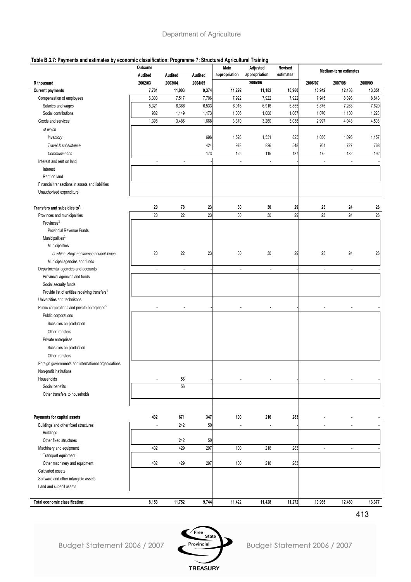#### **Table B.3.7: Payments and estimates by economic classification: Programme 7: Structured Agricultural Training**

|                                                           | Outcome                  |                          |         | Main                     | Adjusted                 | Revised   | Medium-term estimates    |                          |         |  |
|-----------------------------------------------------------|--------------------------|--------------------------|---------|--------------------------|--------------------------|-----------|--------------------------|--------------------------|---------|--|
|                                                           | Audited                  | Audited                  | Audited | appropriation            | appropriation            | estimates |                          |                          |         |  |
| R thousand                                                | 2002/03                  | 2003/04                  | 2004/05 |                          | 2005/06                  |           | 2006/07                  | 2007/08                  | 2008/09 |  |
| <b>Current payments</b>                                   | 7,701                    | 11,003                   | 9,374   | 11,292                   | 11,182                   | 10,960    | 10,942                   | 12,436                   | 13,351  |  |
| Compensation of employees                                 | 6,303                    | 7,517                    | 7,706   | 7,922                    | 7,922                    | 7,922     | 7,945                    | 8,393                    | 8,843   |  |
| Salaries and wages                                        | 5,321                    | 6,368                    | 6,533   | 6,916                    | 6,916                    | 6,855     | 6,875                    | 7,263                    | 7,620   |  |
| Social contributions                                      | 982                      | 1,149                    | 1,173   | 1,006                    | 1,006                    | 1,067     | 1,070                    | 1,130                    | 1,223   |  |
| Goods and services                                        | 1,398                    | 3,486                    | 1,668   | 3,370                    | 3,260                    | 3,038     | 2,997                    | 4,043                    | 4,508   |  |
| of which                                                  |                          |                          |         |                          |                          |           |                          |                          |         |  |
| Inventory                                                 |                          |                          | 696     | 1,528                    | 1,531                    | 825       | 1,056                    | 1,095                    | 1,157   |  |
| Travel & subsistance                                      |                          |                          | 424     | 978                      | 826                      | 548       | 701                      | 727                      | 768     |  |
| Communication                                             |                          |                          | 173     | 125                      | 115                      | 137       | 175                      | 182                      | 192     |  |
| Interest and rent on land                                 | $\overline{\phantom{a}}$ | $\overline{\phantom{a}}$ |         | $\overline{\phantom{a}}$ | $\overline{\phantom{a}}$ |           | $\overline{\phantom{a}}$ | $\overline{\phantom{a}}$ |         |  |
| Interest                                                  |                          |                          |         |                          |                          |           |                          |                          |         |  |
| Rent on land                                              |                          |                          |         |                          |                          |           |                          |                          |         |  |
| Financial transactions in assets and liabilities          |                          |                          |         |                          |                          |           |                          |                          |         |  |
| Unauthorised expenditure                                  |                          |                          |         |                          |                          |           |                          |                          |         |  |
|                                                           |                          |                          |         |                          |                          |           |                          |                          |         |  |
| Transfers and subsidies to <sup>1</sup> :                 | 20                       | 78                       | 23      | 30                       | 30                       | 29        | 23                       | 24                       | 26      |  |
| Provinces and municipalities                              | 20                       | 22                       | 23      | 30                       | 30                       | 29        | 23                       | 24                       | $26\,$  |  |
| Provinces <sup>2</sup>                                    |                          |                          |         |                          |                          |           |                          |                          |         |  |
| Provincial Revenue Funds                                  |                          |                          |         |                          |                          |           |                          |                          |         |  |
| Municipalities <sup>3</sup>                               |                          |                          |         |                          |                          |           |                          |                          |         |  |
| Municipalities                                            |                          |                          |         |                          |                          |           |                          |                          |         |  |
| of which: Regional service council levies                 | $20\,$                   | 22                       | 23      | 30                       | 30                       | 29        | 23                       | 24                       | 26      |  |
| Municipal agencies and funds                              |                          |                          |         |                          |                          |           |                          |                          |         |  |
| Departmental agencies and accounts                        | $\overline{\phantom{a}}$ | ÷,                       |         | ÷,                       | $\sim$                   |           | $\overline{\phantom{a}}$ | ÷.                       |         |  |
| Provincial agencies and funds                             |                          |                          |         |                          |                          |           |                          |                          |         |  |
| Social security funds                                     |                          |                          |         |                          |                          |           |                          |                          |         |  |
| Provide list of entities receiving transfers <sup>4</sup> |                          |                          |         |                          |                          |           |                          |                          |         |  |
| Universities and technikons                               |                          |                          |         |                          |                          |           |                          |                          |         |  |
| Public corporations and private enterprises <sup>5</sup>  |                          |                          |         |                          |                          |           |                          |                          |         |  |
| Public corporations                                       |                          |                          |         |                          |                          |           |                          |                          |         |  |
| Subsidies on production                                   |                          |                          |         |                          |                          |           |                          |                          |         |  |
| Other transfers                                           |                          |                          |         |                          |                          |           |                          |                          |         |  |
| Private enterprises                                       |                          |                          |         |                          |                          |           |                          |                          |         |  |
| Subsidies on production                                   |                          |                          |         |                          |                          |           |                          |                          |         |  |
| Other transfers                                           |                          |                          |         |                          |                          |           |                          |                          |         |  |
| Foreign governments and international organisations       |                          |                          |         |                          |                          |           |                          |                          |         |  |
| Non-profit institutions                                   |                          |                          |         |                          |                          |           |                          |                          |         |  |
| Households                                                |                          | 56                       |         |                          |                          |           |                          |                          |         |  |
| Social benefits                                           |                          | 56                       |         |                          |                          |           |                          |                          |         |  |
| Other transfers to households                             |                          |                          |         |                          |                          |           |                          |                          |         |  |
|                                                           |                          |                          |         |                          |                          |           |                          |                          |         |  |
|                                                           |                          |                          |         |                          |                          |           |                          |                          |         |  |
| Payments for capital assets                               | 432                      | 671                      | 347     | 100                      | 216                      | 283       | $\blacksquare$           |                          |         |  |
| Buildings and other fixed structures                      | $\overline{\phantom{a}}$ | 242                      | 50      | $\blacksquare$           | $\sim$                   |           | $\overline{\phantom{a}}$ | ÷,                       |         |  |
| <b>Buildings</b>                                          |                          |                          |         |                          |                          |           |                          |                          |         |  |
| Other fixed structures                                    |                          | 242                      | 50      |                          |                          |           |                          |                          |         |  |
| Machinery and equipment                                   | 432                      | 429                      | 297     | 100                      | 216                      | 283       | $\overline{\phantom{a}}$ |                          |         |  |
| Transport equipment                                       |                          |                          |         |                          |                          |           |                          |                          |         |  |
| Other machinery and equipment                             | 432                      | 429                      | 297     | 100                      | 216                      | 283       |                          |                          |         |  |
| Cultivated assets                                         |                          |                          |         |                          |                          |           |                          |                          |         |  |
| Software and other intangible assets                      |                          |                          |         |                          |                          |           |                          |                          |         |  |
| Land and subsoil assets                                   |                          |                          |         |                          |                          |           |                          |                          |         |  |
|                                                           |                          |                          |         |                          |                          |           |                          |                          |         |  |
| Total economic classification:                            | 8,153                    | 11,752                   | 9,744   | 11,422                   | 11,428                   | 11,272    | 10,965                   | 12,460                   | 13,377  |  |

413

Budget Statement 2006 / 2007

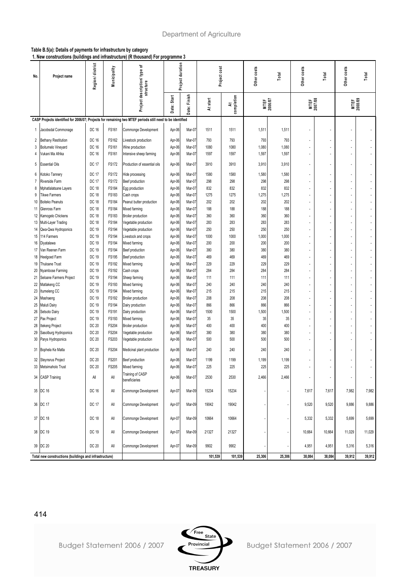#### **Table B.5(a): Details of payments for infrastructure by category**

**1. New constructions (buildings and infrastructure) (R thousand) For programme 3**

| No.      | Project name                                                                                              | Region/district | Municipality          | ኄ<br>Project description/ type<br>structure |                  |                  |            |                 | Project duration       |            | Project cost           |                | Other costs              | Total          | Other costs | Total | Other costs | Total |
|----------|-----------------------------------------------------------------------------------------------------------|-----------------|-----------------------|---------------------------------------------|------------------|------------------|------------|-----------------|------------------------|------------|------------------------|----------------|--------------------------|----------------|-------------|-------|-------------|-------|
|          |                                                                                                           |                 |                       |                                             | Date: Start      | Date: Finish     | At start   | completion<br>₹ | <b>MTEF</b><br>2006/07 |            | <b>MTEF</b><br>2007/08 |                | MTEF<br>2008/09          |                |             |       |             |       |
|          | CASP Projects identified for 2006/07; Projects for remaining two MTEF periods still need to be identified |                 |                       |                                             |                  |                  |            |                 |                        |            |                        |                |                          |                |             |       |             |       |
| 1        | Jacobsdal Commonage                                                                                       | DC 16           | FS161                 | Commonge Development                        | Apr-06           | Mar-07           | 1511       | 1511            | 1,511                  | 1,511      |                        |                |                          |                |             |       |             |       |
| 2        | <b>Bethany Restitution</b>                                                                                | DC 16           | <b>FS162</b>          | Livestock production                        | Apr-06           | Mar-07           | 793        | 793             | 793                    | 793        |                        |                | $\tilde{\phantom{a}}$    |                |             |       |             |       |
| 3        | Boitumelo Vineyard                                                                                        | DC 16           | FS161                 | Wine production                             | Apr-06           | Mar-07           | 1080       | 1080            | 1,080                  | 1,080      |                        |                |                          |                |             |       |             |       |
| 4        | Vukani Ma Afrika                                                                                          | DC 16           | <b>FS161</b>          | Intensive sheep farming                     | Apr-06           | Mar-07           | 1597       | 1597            | 1,597                  | 1,597      |                        |                | $\overline{a}$           |                |             |       |             |       |
| 5        | <b>Essential Oils</b>                                                                                     | <b>DC 17</b>    | <b>FS172</b>          | Production of essential oils                | Apr-06           | Mar-07           | 3910       | 3910            | 3,910                  | 3,910      | ٠                      |                | ÷,                       |                |             |       |             |       |
| 6        | Kotoko Tannery                                                                                            | <b>DC 17</b>    | <b>FS172</b>          | Hide processing                             | Apr-06           | Mar-07           | 1580       | 1580            | 1,580                  | 1,580      | ٠                      |                | ٠                        |                |             |       |             |       |
| 7        | Riverside Farm                                                                                            | <b>DC 17</b>    | <b>FS172</b>          | Beef production                             | Apr-06           | Mar-07           | 298        | 298             | 298                    | 298        |                        |                |                          |                |             |       |             |       |
| 8        | Mphatlalatsane Layers                                                                                     | <b>DC 18</b>    | <b>FS184</b>          | Egg production                              | Apr-06           | Mar-07           | 832        | 832             | 832                    | 832        |                        | ä,             | ä,                       |                |             |       |             |       |
| 9        | Tikwe Farmers                                                                                             | <b>DC 18</b>    | <b>FS183</b>          | Cash crops                                  | Apr-06           | Mar-07           | 1275       | 1275            | 1,275                  | 1,275      | ٠                      |                | ÷,                       |                |             |       |             |       |
| 10       | Boiteko Peanuts                                                                                           | <b>DC 18</b>    | <b>FS184</b>          | Peanut butter production                    | Apr-06           | Mar-07           | 202        | 202             | 202                    | 202        |                        |                |                          |                |             |       |             |       |
| 11       | Glenross Farm                                                                                             | <b>DC 18</b>    | FS184                 | Mixed farming                               | Apr-06           | Mar-07           | 188        | 188             | 188                    | 188        |                        |                | ÷,                       |                |             |       |             |       |
| 12       | Kamogelo Chickens                                                                                         | <b>DC 18</b>    | <b>FS183</b>          | Broiler production                          | Apr-06           | Mar-07           | 360        | 360             | 360                    | 360        | ٠                      | $\overline{a}$ | ÷,                       |                |             |       |             |       |
| 13       | Multi-Layer Trading                                                                                       | <b>DC 18</b>    | <b>FS184</b>          | Vegetable production                        | Apr-06           | Mar-07           | 283        | 283             | 283                    | 283        |                        |                | ÷,                       |                |             |       |             |       |
| 14       | Qwa-Qwa Hydroponics                                                                                       | DC 19           | <b>FS194</b>          | Vegetable production                        | Apr-06           | Mar-07           | 250        | 250             | 250                    | 250        |                        |                | ÷,                       |                |             |       |             |       |
| 15       | 114 Farmers                                                                                               | DC 19           | <b>FS194</b>          | Livestock and crops                         | Apr-06           | Mar-07           | 1000       | 1000            | 1,000                  | 1,000      |                        |                |                          |                |             |       |             |       |
| 16       | Diyatalawa                                                                                                | DC 19           | <b>FS194</b>          | Mixed farming                               | Apr-06           | Mar-07           | 200        | 200             | 200                    | 200        | ä,                     |                | ä,                       |                |             |       |             |       |
| 17       | Van Reenen Farm                                                                                           | DC 19           | <b>FS194</b>          | Beef production                             | Apr-06           | Mar-07           | 380        | 380             | 380                    | 380        | $\overline{a}$         | $\overline{a}$ | ä,                       |                |             |       |             |       |
| 18       | Heelgoed Farm                                                                                             | DC 19           | <b>FS195</b>          | Beef production                             | Apr-06           | Mar-07           | 469        | 469             | 469                    | 469        |                        |                | ÷,                       |                |             |       |             |       |
| 19       | <b>Thuloane Trust</b>                                                                                     | DC 19           | FS192                 | Mixed farming                               | Apr-06           | Mar-07           | 229        | 229             | 229                    | 229        |                        |                | ٠                        |                |             |       |             |       |
| 20       | Nyambose Farming                                                                                          | DC 19           | <b>FS192</b>          | Cash crops                                  | Apr-06           | Mar-07           | 284        | 284             | 284                    | 284        |                        |                | ä,                       |                |             |       |             |       |
| 21       | Seloane Farmers Project                                                                                   | DC 19           | <b>FS194</b>          | Sheep farming                               | Apr-06           | Mar-07           | 111        | 111             | 111                    | 111        | ٠                      | ٠              | ä,                       |                |             |       |             |       |
| 22<br>23 | Matlakeng CC<br>tumeleng CC                                                                               | DC 19<br>DC 19  | FS193<br><b>FS194</b> | Mixed farming<br>Mixed farming              | Apr-06<br>Apr-06 | Mar-07<br>Mar-07 | 240<br>215 | 240<br>215      | 240<br>215             | 240<br>215 |                        |                | ÷,                       |                |             |       |             |       |
| 24       | Mashaeng                                                                                                  | DC 19           | <b>FS192</b>          | <b>Broiler production</b>                   | Apr-06           | Mar-07           | 208        | 208             | 208                    | 208        | ٠                      |                | ÷,                       |                |             |       |             |       |
| 25       | Maluti Dairy                                                                                              | DC 19           | <b>FS194</b>          | Dairy production                            | Apr-06           | Mar-07           | 866        | 866             | 866                    | 866        |                        |                | ÷,                       |                |             |       |             |       |
| 26       | Setsoto Dairy                                                                                             | DC 19           | FS191                 | Dairy production                            | Apr-06           | Mar-07           | 1500       | 1500            | 1,500                  | 1,500      |                        |                |                          |                |             |       |             |       |
| 27       | Pax Project                                                                                               | DC 19           | <b>FS193</b>          | Mixed farming                               | Apr-06           | Mar-07           | 35         | 35              | 35                     | 35         |                        |                | ÷,                       |                |             |       |             |       |
| 28       | Itekeng Project                                                                                           | DC 20           | <b>FS204</b>          | <b>Broiler production</b>                   | Apr-06           | Mar-07           | 400        | 400             | 400                    | 400        |                        |                | ÷,                       |                |             |       |             |       |
| 29       | Sasolburg Hydroponics                                                                                     | <b>DC 20</b>    | <b>FS204</b>          | Vegetable production                        | Apr-06           | Mar-07           | 380        | 380             | 380                    | 380        | ä,                     |                | ÷,                       |                |             |       |             |       |
| 30       | Parys Hydroponics                                                                                         | <b>DC 20</b>    | FS203                 | Vegetable production                        | Apr-06           | Mar-07           | 500        | 500             | 500                    | 500        | ٠                      | $\overline{a}$ | ÷.                       |                |             |       |             |       |
| 31       | Bophela Ke Matla                                                                                          | <b>DC 20</b>    | <b>FS204</b>          | Medicinal plant production                  | Apr-06           | Mar-07           | 240        | 240             | 240                    | 240        | ÷,                     |                | ÷,                       |                |             |       |             |       |
| 32       | <b>Steynsrus Project</b>                                                                                  | DC 20           | FS201                 | Beef production                             | Apr-06           | Mar-07           | 1199       | 1199            | 1,199                  | 1,199      |                        |                | ÷,                       |                |             |       |             |       |
| 33       | Metsimaholo Trust                                                                                         | DC 20           | FS205                 | Mixed farming                               | Apr-06           | Mar-07           | 225        | 225             | 225                    | 225        |                        |                | ä,                       |                |             |       |             |       |
| 34       | <b>CASP Training</b>                                                                                      | All             | All                   | Training of CASP<br>beneficiaries           | Apr-06           | Mar-07           | 2530       | 2530            | 2,466                  | 2,466      | ä,                     | $\blacksquare$ | $\overline{\phantom{a}}$ | $\blacksquare$ |             |       |             |       |
|          | 35 DC 16                                                                                                  | DC 16           | All                   | Commonge Development                        | Apr-07           | Mar-09           | 15234      | 15234           |                        |            | 7,617                  | 7,617          | 7,982                    | 7,982          |             |       |             |       |
|          | 36 DC 17                                                                                                  | <b>DC 17</b>    | All                   | Commonge Development                        | Apr-07           | Mar-09           | 19042      | 19042           |                        |            | 9,520                  | 9,520          | 9,886                    | 9,886          |             |       |             |       |
|          | 37 DC 18                                                                                                  | DC 18           | All                   | Commonge Development                        | Apr-07           | Mar-09           | 10664      | 10664           |                        |            | 5,332                  | 5,332          | 5,699                    | 5,699          |             |       |             |       |
|          | 38  DC 19                                                                                                 | DC 19           | All                   | Commonge Development                        | Apr-07           | Mar-09           | 21327      | 21327           |                        |            | 10,664                 | 10,664         | 11,029                   | 11,029         |             |       |             |       |
|          | 39 DC 20                                                                                                  | DC 20           | All                   | Commonge Development                        | Apr-07           | Mar-09           | 9902       | 9902            |                        |            | 4,951                  | 4,951          | 5,316                    | 5,316          |             |       |             |       |
|          | Total new constructions (buildings and infrastructure)                                                    |                 |                       |                                             |                  | 101,539          | 101,539    | 25,306          | 25,306                 | 38,084     | 38,084                 | 39,912         | 39,912                   |                |             |       |             |       |

414



Budget Statement 2006 / 2007